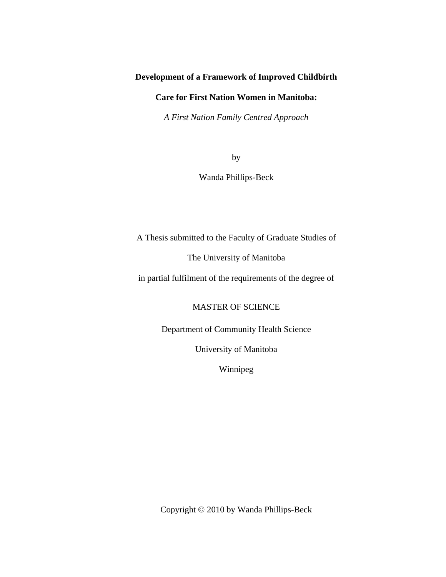## **Development of a Framework of Improved Childbirth**

## **Care for First Nation Women in Manitoba:**

*A First Nation Family Centred Approach* 

by

Wanda Phillips-Beck

A Thesis submitted to the Faculty of Graduate Studies of

The University of Manitoba

in partial fulfilment of the requirements of the degree of

MASTER OF SCIENCE

Department of Community Health Science

University of Manitoba

Winnipeg

Copyright © 2010 by Wanda Phillips-Beck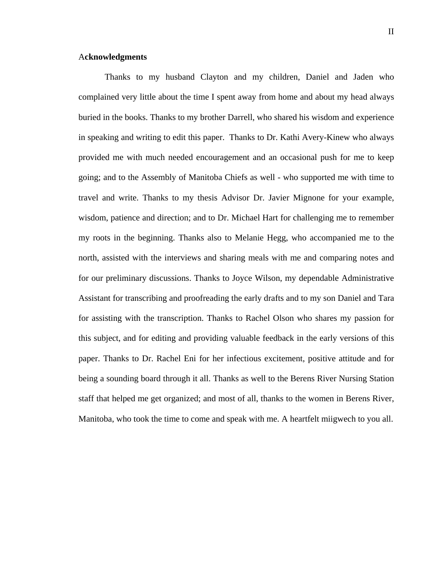### A**cknowledgments**

Thanks to my husband Clayton and my children, Daniel and Jaden who complained very little about the time I spent away from home and about my head always buried in the books. Thanks to my brother Darrell, who shared his wisdom and experience in speaking and writing to edit this paper. Thanks to Dr. Kathi Avery-Kinew who always provided me with much needed encouragement and an occasional push for me to keep going; and to the Assembly of Manitoba Chiefs as well - who supported me with time to travel and write. Thanks to my thesis Advisor Dr. Javier Mignone for your example, wisdom, patience and direction; and to Dr. Michael Hart for challenging me to remember my roots in the beginning. Thanks also to Melanie Hegg, who accompanied me to the north, assisted with the interviews and sharing meals with me and comparing notes and for our preliminary discussions. Thanks to Joyce Wilson, my dependable Administrative Assistant for transcribing and proofreading the early drafts and to my son Daniel and Tara for assisting with the transcription. Thanks to Rachel Olson who shares my passion for this subject, and for editing and providing valuable feedback in the early versions of this paper. Thanks to Dr. Rachel Eni for her infectious excitement, positive attitude and for being a sounding board through it all. Thanks as well to the Berens River Nursing Station staff that helped me get organized; and most of all, thanks to the women in Berens River, Manitoba, who took the time to come and speak with me. A heartfelt miigwech to you all.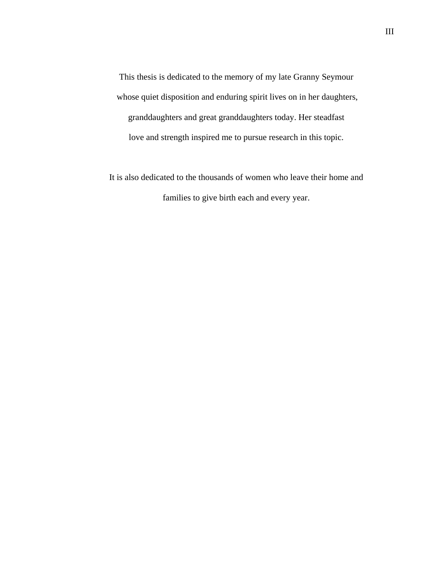This thesis is dedicated to the memory of my late Granny Seymour whose quiet disposition and enduring spirit lives on in her daughters, granddaughters and great granddaughters today. Her steadfast love and strength inspired me to pursue research in this topic.

It is also dedicated to the thousands of women who leave their home and families to give birth each and every year.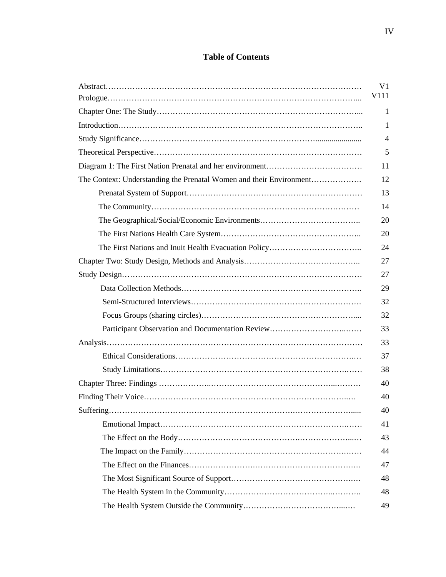# **Table of Contents**

|                                                                     | V1           |
|---------------------------------------------------------------------|--------------|
|                                                                     | V111         |
|                                                                     | $\mathbf{1}$ |
|                                                                     | 1            |
|                                                                     | 4            |
|                                                                     | 5            |
|                                                                     | 11           |
| The Context: Understanding the Prenatal Women and their Environment | 12           |
|                                                                     | 13           |
|                                                                     | 14           |
|                                                                     | 20           |
|                                                                     | 20           |
|                                                                     | 24           |
|                                                                     | 27           |
|                                                                     | 27           |
|                                                                     | 29           |
|                                                                     | 32           |
|                                                                     | 32           |
|                                                                     | 33           |
|                                                                     | 33           |
|                                                                     | 37           |
|                                                                     | 38           |
|                                                                     | 40           |
|                                                                     | 40           |
|                                                                     | 40           |
|                                                                     | 41           |
|                                                                     | 43           |
|                                                                     | 44           |
|                                                                     | 47           |
|                                                                     | 48           |
|                                                                     | 48           |
|                                                                     | 49           |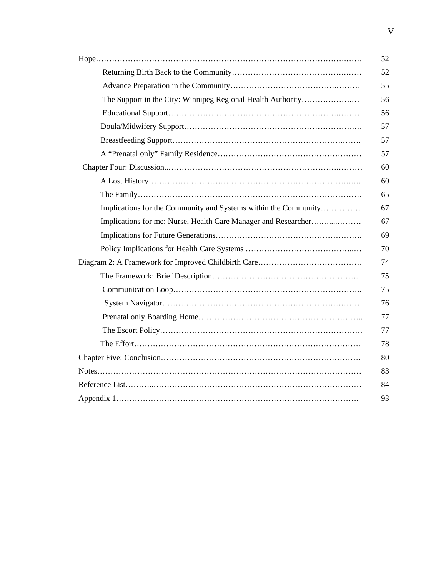|                                                                 | 52 |
|-----------------------------------------------------------------|----|
|                                                                 | 52 |
|                                                                 | 55 |
| The Support in the City: Winnipeg Regional Health Authority     | 56 |
|                                                                 | 56 |
|                                                                 | 57 |
|                                                                 | 57 |
|                                                                 | 57 |
|                                                                 | 60 |
|                                                                 | 60 |
|                                                                 | 65 |
| Implications for the Community and Systems within the Community | 67 |
| Implications for me: Nurse, Health Care Manager and Researcher  | 67 |
|                                                                 | 69 |
|                                                                 | 70 |
|                                                                 | 74 |
|                                                                 | 75 |
|                                                                 | 75 |
|                                                                 | 76 |
|                                                                 | 77 |
|                                                                 | 77 |
|                                                                 | 78 |
|                                                                 | 80 |
|                                                                 | 83 |
|                                                                 | 84 |
|                                                                 | 93 |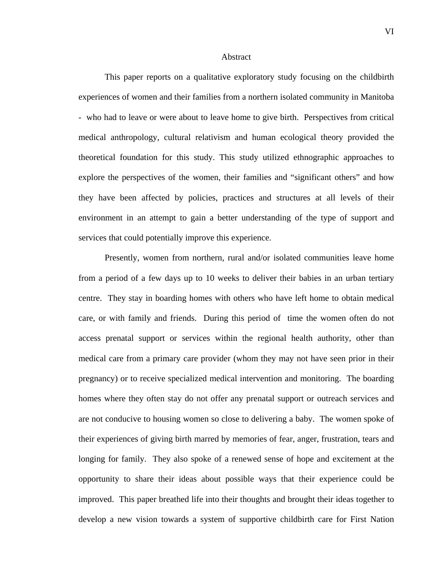#### Abstract

This paper reports on a qualitative exploratory study focusing on the childbirth experiences of women and their families from a northern isolated community in Manitoba - who had to leave or were about to leave home to give birth. Perspectives from critical medical anthropology, cultural relativism and human ecological theory provided the theoretical foundation for this study. This study utilized ethnographic approaches to explore the perspectives of the women, their families and "significant others" and how they have been affected by policies, practices and structures at all levels of their environment in an attempt to gain a better understanding of the type of support and services that could potentially improve this experience.

Presently, women from northern, rural and/or isolated communities leave home from a period of a few days up to 10 weeks to deliver their babies in an urban tertiary centre. They stay in boarding homes with others who have left home to obtain medical care, or with family and friends. During this period of time the women often do not access prenatal support or services within the regional health authority, other than medical care from a primary care provider (whom they may not have seen prior in their pregnancy) or to receive specialized medical intervention and monitoring. The boarding homes where they often stay do not offer any prenatal support or outreach services and are not conducive to housing women so close to delivering a baby. The women spoke of their experiences of giving birth marred by memories of fear, anger, frustration, tears and longing for family. They also spoke of a renewed sense of hope and excitement at the opportunity to share their ideas about possible ways that their experience could be improved. This paper breathed life into their thoughts and brought their ideas together to develop a new vision towards a system of supportive childbirth care for First Nation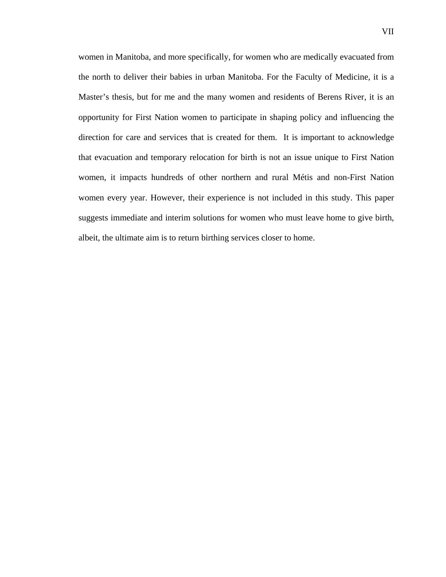women in Manitoba, and more specifically, for women who are medically evacuated from the north to deliver their babies in urban Manitoba. For the Faculty of Medicine, it is a Master's thesis, but for me and the many women and residents of Berens River, it is an opportunity for First Nation women to participate in shaping policy and influencing the direction for care and services that is created for them. It is important to acknowledge that evacuation and temporary relocation for birth is not an issue unique to First Nation women, it impacts hundreds of other northern and rural Métis and non-First Nation women every year. However, their experience is not included in this study. This paper suggests immediate and interim solutions for women who must leave home to give birth, albeit, the ultimate aim is to return birthing services closer to home.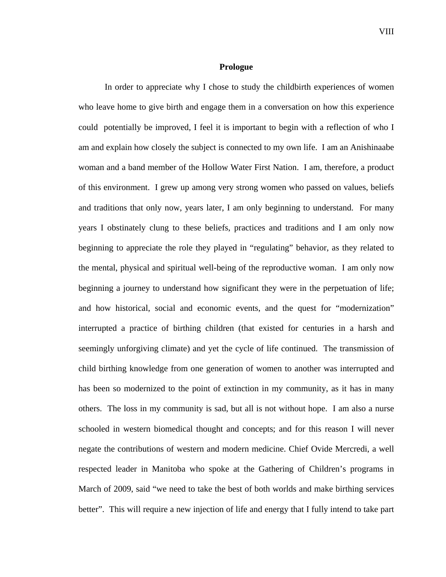#### **Prologue**

In order to appreciate why I chose to study the childbirth experiences of women who leave home to give birth and engage them in a conversation on how this experience could potentially be improved, I feel it is important to begin with a reflection of who I am and explain how closely the subject is connected to my own life. I am an Anishinaabe woman and a band member of the Hollow Water First Nation. I am, therefore, a product of this environment. I grew up among very strong women who passed on values, beliefs and traditions that only now, years later, I am only beginning to understand. For many years I obstinately clung to these beliefs, practices and traditions and I am only now beginning to appreciate the role they played in "regulating" behavior, as they related to the mental, physical and spiritual well-being of the reproductive woman. I am only now beginning a journey to understand how significant they were in the perpetuation of life; and how historical, social and economic events, and the quest for "modernization" interrupted a practice of birthing children (that existed for centuries in a harsh and seemingly unforgiving climate) and yet the cycle of life continued. The transmission of child birthing knowledge from one generation of women to another was interrupted and has been so modernized to the point of extinction in my community, as it has in many others. The loss in my community is sad, but all is not without hope. I am also a nurse schooled in western biomedical thought and concepts; and for this reason I will never negate the contributions of western and modern medicine. Chief Ovide Mercredi, a well respected leader in Manitoba who spoke at the Gathering of Children's programs in March of 2009, said "we need to take the best of both worlds and make birthing services better". This will require a new injection of life and energy that I fully intend to take part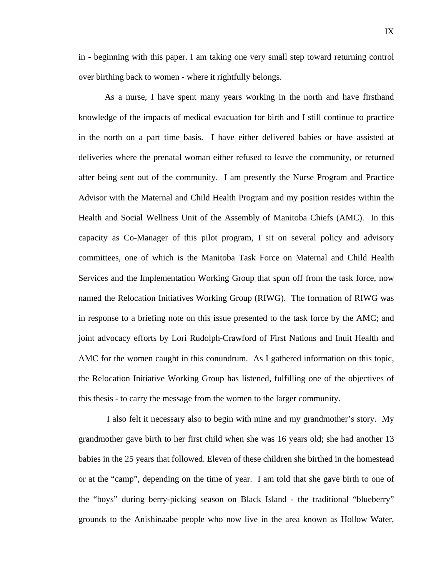in - beginning with this paper. I am taking one very small step toward returning control over birthing back to women - where it rightfully belongs.

As a nurse, I have spent many years working in the north and have firsthand knowledge of the impacts of medical evacuation for birth and I still continue to practice in the north on a part time basis. I have either delivered babies or have assisted at deliveries where the prenatal woman either refused to leave the community, or returned after being sent out of the community. I am presently the Nurse Program and Practice Advisor with the Maternal and Child Health Program and my position resides within the Health and Social Wellness Unit of the Assembly of Manitoba Chiefs (AMC). In this capacity as Co-Manager of this pilot program, I sit on several policy and advisory committees, one of which is the Manitoba Task Force on Maternal and Child Health Services and the Implementation Working Group that spun off from the task force, now named the Relocation Initiatives Working Group (RIWG). The formation of RIWG was in response to a briefing note on this issue presented to the task force by the AMC; and joint advocacy efforts by Lori Rudolph-Crawford of First Nations and Inuit Health and AMC for the women caught in this conundrum. As I gathered information on this topic, the Relocation Initiative Working Group has listened, fulfilling one of the objectives of this thesis - to carry the message from the women to the larger community.

 I also felt it necessary also to begin with mine and my grandmother's story. My grandmother gave birth to her first child when she was 16 years old; she had another 13 babies in the 25 years that followed. Eleven of these children she birthed in the homestead or at the "camp", depending on the time of year. I am told that she gave birth to one of the "boys" during berry-picking season on Black Island - the traditional "blueberry" grounds to the Anishinaabe people who now live in the area known as Hollow Water,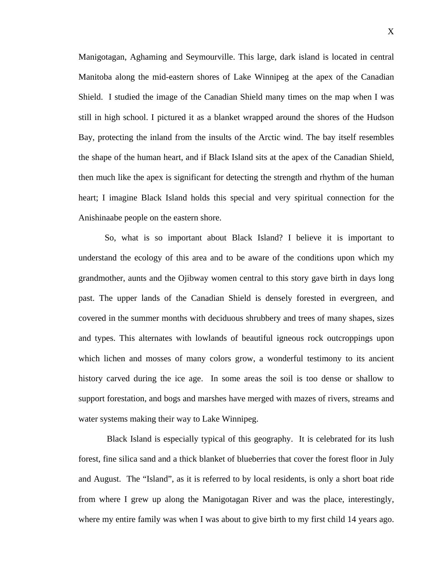Manigotagan, Aghaming and Seymourville. This large, dark island is located in central Manitoba along the mid-eastern shores of Lake Winnipeg at the apex of the Canadian Shield. I studied the image of the Canadian Shield many times on the map when I was still in high school. I pictured it as a blanket wrapped around the shores of the Hudson Bay, protecting the inland from the insults of the Arctic wind. The bay itself resembles the shape of the human heart, and if Black Island sits at the apex of the Canadian Shield, then much like the apex is significant for detecting the strength and rhythm of the human heart; I imagine Black Island holds this special and very spiritual connection for the Anishinaabe people on the eastern shore.

So, what is so important about Black Island? I believe it is important to understand the ecology of this area and to be aware of the conditions upon which my grandmother, aunts and the Ojibway women central to this story gave birth in days long past. The upper lands of the Canadian Shield is densely forested in evergreen, and covered in the summer months with deciduous shrubbery and trees of many shapes, sizes and types. This alternates with lowlands of beautiful igneous rock outcroppings upon which lichen and mosses of many colors grow, a wonderful testimony to its ancient history carved during the ice age. In some areas the soil is too dense or shallow to support forestation, and bogs and marshes have merged with mazes of rivers, streams and water systems making their way to Lake Winnipeg.

 Black Island is especially typical of this geography. It is celebrated for its lush forest, fine silica sand and a thick blanket of blueberries that cover the forest floor in July and August. The "Island", as it is referred to by local residents, is only a short boat ride from where I grew up along the Manigotagan River and was the place, interestingly, where my entire family was when I was about to give birth to my first child 14 years ago.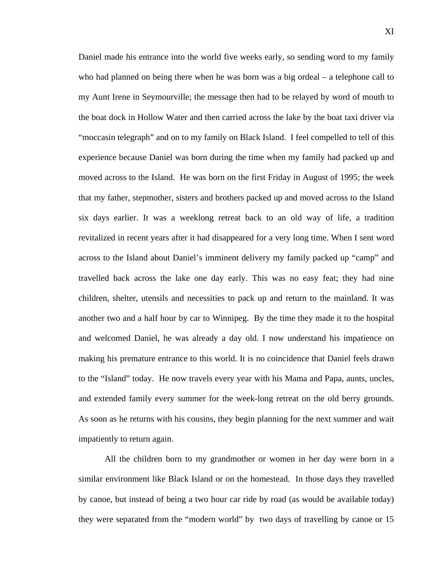Daniel made his entrance into the world five weeks early, so sending word to my family who had planned on being there when he was born was a big ordeal – a telephone call to my Aunt Irene in Seymourville; the message then had to be relayed by word of mouth to the boat dock in Hollow Water and then carried across the lake by the boat taxi driver via "moccasin telegraph" and on to my family on Black Island. I feel compelled to tell of this experience because Daniel was born during the time when my family had packed up and moved across to the Island. He was born on the first Friday in August of 1995; the week that my father, stepmother, sisters and brothers packed up and moved across to the Island six days earlier. It was a weeklong retreat back to an old way of life, a tradition revitalized in recent years after it had disappeared for a very long time. When I sent word across to the Island about Daniel's imminent delivery my family packed up "camp" and travelled back across the lake one day early. This was no easy feat; they had nine children, shelter, utensils and necessities to pack up and return to the mainland. It was another two and a half hour by car to Winnipeg. By the time they made it to the hospital and welcomed Daniel, he was already a day old. I now understand his impatience on making his premature entrance to this world. It is no coincidence that Daniel feels drawn to the "Island" today. He now travels every year with his Mama and Papa, aunts, uncles, and extended family every summer for the week-long retreat on the old berry grounds. As soon as he returns with his cousins, they begin planning for the next summer and wait impatiently to return again.

All the children born to my grandmother or women in her day were born in a similar environment like Black Island or on the homestead. In those days they travelled by canoe, but instead of being a two hour car ride by road (as would be available today) they were separated from the "modern world" by two days of travelling by canoe or 15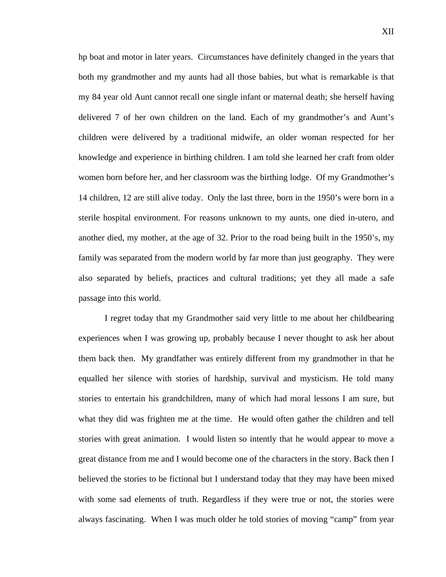hp boat and motor in later years. Circumstances have definitely changed in the years that both my grandmother and my aunts had all those babies, but what is remarkable is that my 84 year old Aunt cannot recall one single infant or maternal death; she herself having delivered 7 of her own children on the land. Each of my grandmother's and Aunt's children were delivered by a traditional midwife, an older woman respected for her knowledge and experience in birthing children. I am told she learned her craft from older women born before her, and her classroom was the birthing lodge. Of my Grandmother's 14 children, 12 are still alive today. Only the last three, born in the 1950's were born in a sterile hospital environment. For reasons unknown to my aunts, one died in-utero, and another died, my mother, at the age of 32. Prior to the road being built in the 1950's, my family was separated from the modern world by far more than just geography. They were also separated by beliefs, practices and cultural traditions; yet they all made a safe passage into this world.

I regret today that my Grandmother said very little to me about her childbearing experiences when I was growing up, probably because I never thought to ask her about them back then. My grandfather was entirely different from my grandmother in that he equalled her silence with stories of hardship, survival and mysticism. He told many stories to entertain his grandchildren, many of which had moral lessons I am sure, but what they did was frighten me at the time. He would often gather the children and tell stories with great animation. I would listen so intently that he would appear to move a great distance from me and I would become one of the characters in the story. Back then I believed the stories to be fictional but I understand today that they may have been mixed with some sad elements of truth. Regardless if they were true or not, the stories were always fascinating. When I was much older he told stories of moving "camp" from year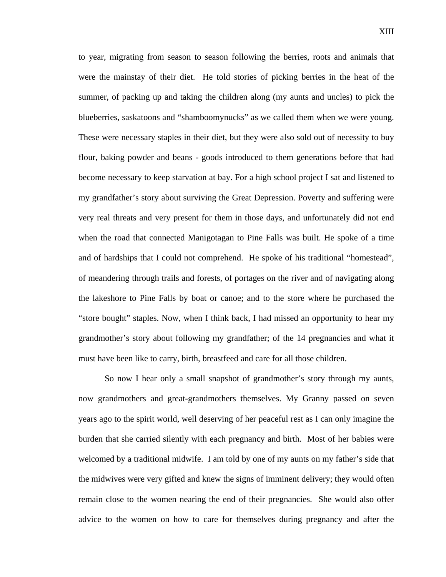to year, migrating from season to season following the berries, roots and animals that were the mainstay of their diet. He told stories of picking berries in the heat of the summer, of packing up and taking the children along (my aunts and uncles) to pick the blueberries, saskatoons and "shamboomynucks" as we called them when we were young. These were necessary staples in their diet, but they were also sold out of necessity to buy flour, baking powder and beans - goods introduced to them generations before that had become necessary to keep starvation at bay. For a high school project I sat and listened to my grandfather's story about surviving the Great Depression. Poverty and suffering were very real threats and very present for them in those days, and unfortunately did not end when the road that connected Manigotagan to Pine Falls was built. He spoke of a time and of hardships that I could not comprehend. He spoke of his traditional "homestead", of meandering through trails and forests, of portages on the river and of navigating along the lakeshore to Pine Falls by boat or canoe; and to the store where he purchased the "store bought" staples. Now, when I think back, I had missed an opportunity to hear my grandmother's story about following my grandfather; of the 14 pregnancies and what it must have been like to carry, birth, breastfeed and care for all those children.

So now I hear only a small snapshot of grandmother's story through my aunts, now grandmothers and great-grandmothers themselves. My Granny passed on seven years ago to the spirit world, well deserving of her peaceful rest as I can only imagine the burden that she carried silently with each pregnancy and birth. Most of her babies were welcomed by a traditional midwife. I am told by one of my aunts on my father's side that the midwives were very gifted and knew the signs of imminent delivery; they would often remain close to the women nearing the end of their pregnancies. She would also offer advice to the women on how to care for themselves during pregnancy and after the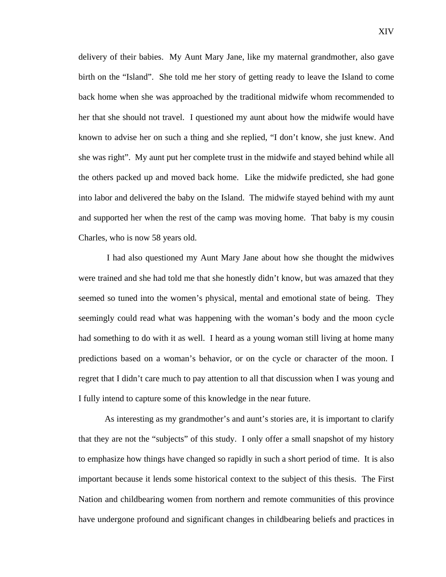delivery of their babies. My Aunt Mary Jane, like my maternal grandmother, also gave birth on the "Island". She told me her story of getting ready to leave the Island to come back home when she was approached by the traditional midwife whom recommended to her that she should not travel. I questioned my aunt about how the midwife would have known to advise her on such a thing and she replied, "I don't know, she just knew. And she was right". My aunt put her complete trust in the midwife and stayed behind while all the others packed up and moved back home. Like the midwife predicted, she had gone into labor and delivered the baby on the Island. The midwife stayed behind with my aunt and supported her when the rest of the camp was moving home. That baby is my cousin Charles, who is now 58 years old.

 I had also questioned my Aunt Mary Jane about how she thought the midwives were trained and she had told me that she honestly didn't know, but was amazed that they seemed so tuned into the women's physical, mental and emotional state of being. They seemingly could read what was happening with the woman's body and the moon cycle had something to do with it as well. I heard as a young woman still living at home many predictions based on a woman's behavior, or on the cycle or character of the moon. I regret that I didn't care much to pay attention to all that discussion when I was young and I fully intend to capture some of this knowledge in the near future.

As interesting as my grandmother's and aunt's stories are, it is important to clarify that they are not the "subjects" of this study. I only offer a small snapshot of my history to emphasize how things have changed so rapidly in such a short period of time. It is also important because it lends some historical context to the subject of this thesis. The First Nation and childbearing women from northern and remote communities of this province have undergone profound and significant changes in childbearing beliefs and practices in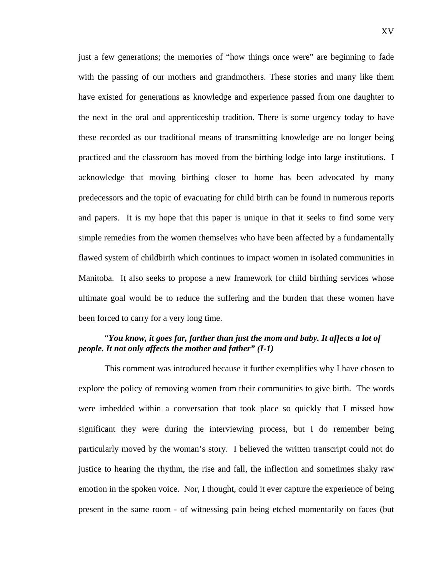just a few generations; the memories of "how things once were" are beginning to fade with the passing of our mothers and grandmothers. These stories and many like them have existed for generations as knowledge and experience passed from one daughter to the next in the oral and apprenticeship tradition. There is some urgency today to have these recorded as our traditional means of transmitting knowledge are no longer being practiced and the classroom has moved from the birthing lodge into large institutions. I acknowledge that moving birthing closer to home has been advocated by many predecessors and the topic of evacuating for child birth can be found in numerous reports and papers. It is my hope that this paper is unique in that it seeks to find some very simple remedies from the women themselves who have been affected by a fundamentally flawed system of childbirth which continues to impact women in isolated communities in Manitoba. It also seeks to propose a new framework for child birthing services whose ultimate goal would be to reduce the suffering and the burden that these women have been forced to carry for a very long time.

## "*You know, it goes far, farther than just the mom and baby. It affects a lot of people. It not only affects the mother and father" (I-1)*

 This comment was introduced because it further exemplifies why I have chosen to explore the policy of removing women from their communities to give birth. The words were imbedded within a conversation that took place so quickly that I missed how significant they were during the interviewing process, but I do remember being particularly moved by the woman's story. I believed the written transcript could not do justice to hearing the rhythm, the rise and fall, the inflection and sometimes shaky raw emotion in the spoken voice. Nor, I thought, could it ever capture the experience of being present in the same room - of witnessing pain being etched momentarily on faces (but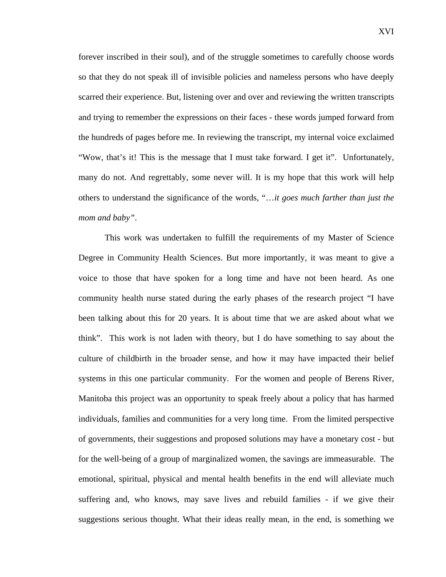forever inscribed in their soul), and of the struggle sometimes to carefully choose words so that they do not speak ill of invisible policies and nameless persons who have deeply scarred their experience. But, listening over and over and reviewing the written transcripts and trying to remember the expressions on their faces - these words jumped forward from the hundreds of pages before me. In reviewing the transcript, my internal voice exclaimed "Wow, that's it! This is the message that I must take forward. I get it". Unfortunately, many do not. And regrettably, some never will. It is my hope that this work will help others to understand the significance of the words, "…*it goes much farther than just the mom and baby"*.

This work was undertaken to fulfill the requirements of my Master of Science Degree in Community Health Sciences. But more importantly, it was meant to give a voice to those that have spoken for a long time and have not been heard. As one community health nurse stated during the early phases of the research project "I have been talking about this for 20 years. It is about time that we are asked about what we think". This work is not laden with theory, but I do have something to say about the culture of childbirth in the broader sense, and how it may have impacted their belief systems in this one particular community. For the women and people of Berens River, Manitoba this project was an opportunity to speak freely about a policy that has harmed individuals, families and communities for a very long time. From the limited perspective of governments, their suggestions and proposed solutions may have a monetary cost - but for the well-being of a group of marginalized women, the savings are immeasurable. The emotional, spiritual, physical and mental health benefits in the end will alleviate much suffering and, who knows, may save lives and rebuild families - if we give their suggestions serious thought. What their ideas really mean, in the end, is something we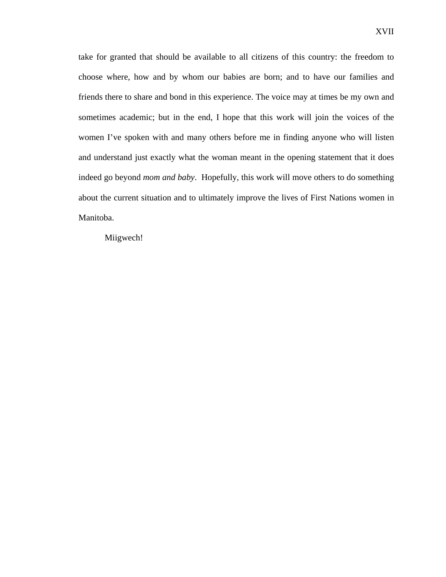take for granted that should be available to all citizens of this country: the freedom to choose where, how and by whom our babies are born; and to have our families and friends there to share and bond in this experience. The voice may at times be my own and sometimes academic; but in the end, I hope that this work will join the voices of the women I've spoken with and many others before me in finding anyone who will listen and understand just exactly what the woman meant in the opening statement that it does indeed go beyond *mom and baby*. Hopefully, this work will move others to do something about the current situation and to ultimately improve the lives of First Nations women in Manitoba.

Miigwech!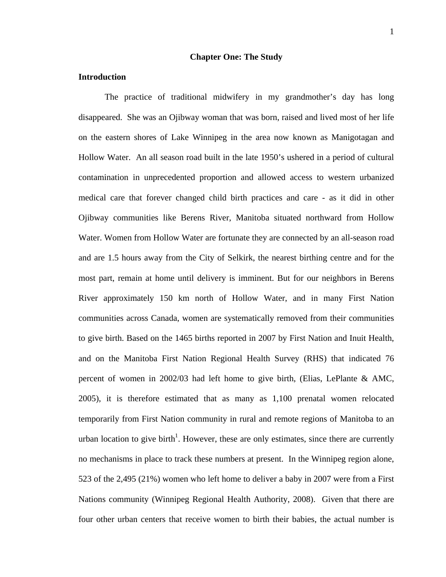#### **Chapter One: The Study**

#### **Introduction**

The practice of traditional midwifery in my grandmother's day has long disappeared. She was an Ojibway woman that was born, raised and lived most of her life on the eastern shores of Lake Winnipeg in the area now known as Manigotagan and Hollow Water. An all season road built in the late 1950's ushered in a period of cultural contamination in unprecedented proportion and allowed access to western urbanized medical care that forever changed child birth practices and care - as it did in other Ojibway communities like Berens River, Manitoba situated northward from Hollow Water. Women from Hollow Water are fortunate they are connected by an all-season road and are 1.5 hours away from the City of Selkirk, the nearest birthing centre and for the most part, remain at home until delivery is imminent. But for our neighbors in Berens River approximately 150 km north of Hollow Water, and in many First Nation communities across Canada, women are systematically removed from their communities to give birth. Based on the 1465 births reported in 2007 by First Nation and Inuit Health, and on the Manitoba First Nation Regional Health Survey (RHS) that indicated 76 percent of women in 2002/03 had left home to give birth, (Elias, LePlante & AMC, 2005), it is therefore estimated that as many as 1,100 prenatal women relocated temporarily from First Nation community in rural and remote regions of Manitoba to an urban location to give birth<sup>1</sup>. However, these are only estimates, since there are currently no mechanisms in place to track these numbers at present. In the Winnipeg region alone, 523 of the 2,495 (21%) women who left home to deliver a baby in 2007 were from a First Nations community (Winnipeg Regional Health Authority, 2008). Given that there are four other urban centers that receive women to birth their babies, the actual number is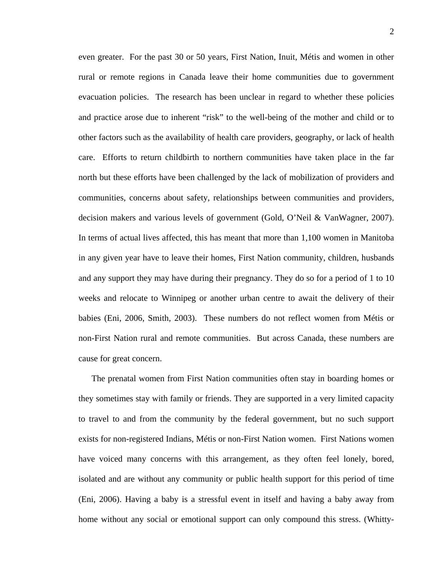even greater. For the past 30 or 50 years, First Nation, Inuit, Métis and women in other rural or remote regions in Canada leave their home communities due to government evacuation policies. The research has been unclear in regard to whether these policies and practice arose due to inherent "risk" to the well-being of the mother and child or to other factors such as the availability of health care providers, geography, or lack of health care. Efforts to return childbirth to northern communities have taken place in the far north but these efforts have been challenged by the lack of mobilization of providers and communities, concerns about safety, relationships between communities and providers, decision makers and various levels of government (Gold, O'Neil & VanWagner, 2007). In terms of actual lives affected, this has meant that more than 1,100 women in Manitoba in any given year have to leave their homes, First Nation community, children, husbands and any support they may have during their pregnancy. They do so for a period of 1 to 10 weeks and relocate to Winnipeg or another urban centre to await the delivery of their babies (Eni, 2006, Smith, 2003). These numbers do not reflect women from Métis or non-First Nation rural and remote communities. But across Canada, these numbers are cause for great concern.

The prenatal women from First Nation communities often stay in boarding homes or they sometimes stay with family or friends. They are supported in a very limited capacity to travel to and from the community by the federal government, but no such support exists for non-registered Indians, Métis or non-First Nation women. First Nations women have voiced many concerns with this arrangement, as they often feel lonely, bored, isolated and are without any community or public health support for this period of time (Eni, 2006). Having a baby is a stressful event in itself and having a baby away from home without any social or emotional support can only compound this stress. (Whitty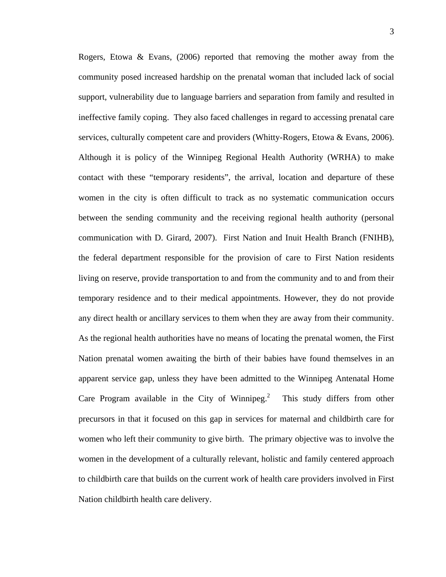Rogers, Etowa & Evans,  $(2006)$  reported that removing the mother away from the community posed increased hardship on the prenatal woman that included lack of social support, vulnerability due to language barriers and separation from family and resulted in ineffective family coping. They also faced challenges in regard to accessing prenatal care services, culturally competent care and providers (Whitty-Rogers, Etowa & Evans, 2006). Although it is policy of the Winnipeg Regional Health Authority (WRHA) to make contact with these "temporary residents", the arrival, location and departure of these women in the city is often difficult to track as no systematic communication occurs between the sending community and the receiving regional health authority (personal communication with D. Girard, 2007). First Nation and Inuit Health Branch (FNIHB), the federal department responsible for the provision of care to First Nation residents living on reserve, provide transportation to and from the community and to and from their temporary residence and to their medical appointments. However, they do not provide any direct health or ancillary services to them when they are away from their community. As the regional health authorities have no means of locating the prenatal women, the First Nation prenatal women awaiting the birth of their babies have found themselves in an apparent service gap, unless they have been admitted to the Winnipeg Antenatal Home Care Program available in the City of Winnipeg.<sup>2</sup> This study differs from other precursors in that it focused on this gap in services for maternal and childbirth care for women who left their community to give birth. The primary objective was to involve the women in the development of a culturally relevant, holistic and family centered approach to childbirth care that builds on the current work of health care providers involved in First Nation childbirth health care delivery.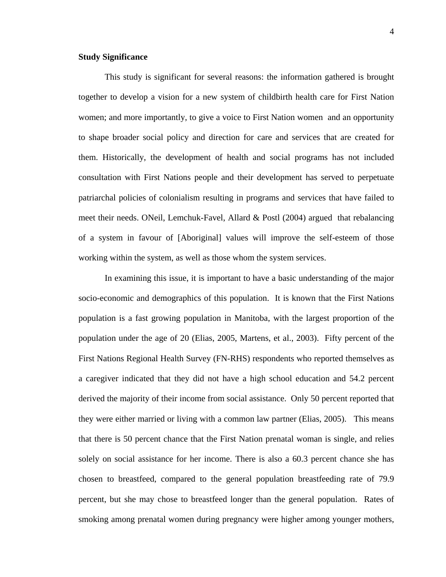### **Study Significance**

This study is significant for several reasons: the information gathered is brought together to develop a vision for a new system of childbirth health care for First Nation women; and more importantly, to give a voice to First Nation women and an opportunity to shape broader social policy and direction for care and services that are created for them. Historically, the development of health and social programs has not included consultation with First Nations people and their development has served to perpetuate patriarchal policies of colonialism resulting in programs and services that have failed to meet their needs. ONeil, Lemchuk-Favel, Allard & Postl (2004) argued that rebalancing of a system in favour of [Aboriginal] values will improve the self-esteem of those working within the system, as well as those whom the system services.

In examining this issue, it is important to have a basic understanding of the major socio-economic and demographics of this population. It is known that the First Nations population is a fast growing population in Manitoba, with the largest proportion of the population under the age of 20 (Elias, 2005, Martens, et al., 2003). Fifty percent of the First Nations Regional Health Survey (FN-RHS) respondents who reported themselves as a caregiver indicated that they did not have a high school education and 54.2 percent derived the majority of their income from social assistance. Only 50 percent reported that they were either married or living with a common law partner (Elias, 2005). This means that there is 50 percent chance that the First Nation prenatal woman is single, and relies solely on social assistance for her income. There is also a 60.3 percent chance she has chosen to breastfeed, compared to the general population breastfeeding rate of 79.9 percent, but she may chose to breastfeed longer than the general population. Rates of smoking among prenatal women during pregnancy were higher among younger mothers,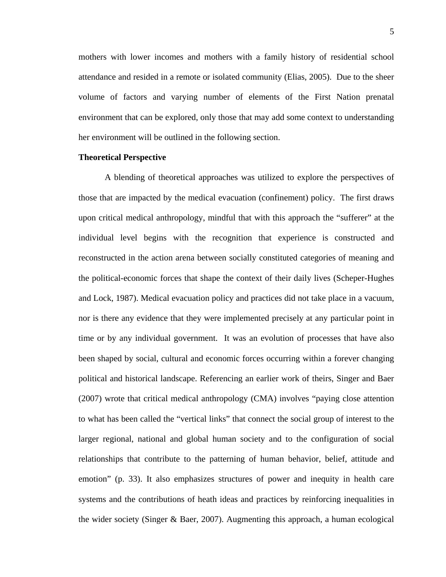mothers with lower incomes and mothers with a family history of residential school attendance and resided in a remote or isolated community (Elias, 2005). Due to the sheer volume of factors and varying number of elements of the First Nation prenatal environment that can be explored, only those that may add some context to understanding her environment will be outlined in the following section.

#### **Theoretical Perspective**

A blending of theoretical approaches was utilized to explore the perspectives of those that are impacted by the medical evacuation (confinement) policy. The first draws upon critical medical anthropology, mindful that with this approach the "sufferer" at the individual level begins with the recognition that experience is constructed and reconstructed in the action arena between socially constituted categories of meaning and the political-economic forces that shape the context of their daily lives (Scheper-Hughes and Lock, 1987). Medical evacuation policy and practices did not take place in a vacuum, nor is there any evidence that they were implemented precisely at any particular point in time or by any individual government. It was an evolution of processes that have also been shaped by social, cultural and economic forces occurring within a forever changing political and historical landscape. Referencing an earlier work of theirs, Singer and Baer (2007) wrote that critical medical anthropology (CMA) involves "paying close attention to what has been called the "vertical links" that connect the social group of interest to the larger regional, national and global human society and to the configuration of social relationships that contribute to the patterning of human behavior, belief, attitude and emotion" (p. 33). It also emphasizes structures of power and inequity in health care systems and the contributions of heath ideas and practices by reinforcing inequalities in the wider society (Singer & Baer, 2007). Augmenting this approach, a human ecological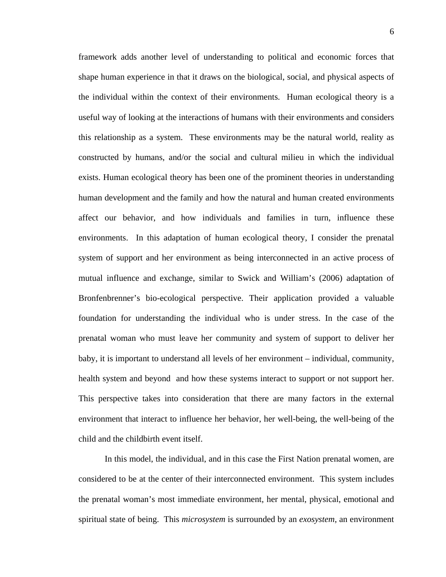framework adds another level of understanding to political and economic forces that shape human experience in that it draws on the biological, social, and physical aspects of the individual within the context of their environments. Human ecological theory is a useful way of looking at the interactions of humans with their environments and considers this relationship as a system. These environments may be the natural world, reality as constructed by humans, and/or the social and cultural milieu in which the individual exists. Human ecological theory has been one of the prominent theories in understanding human development and the family and how the natural and human created environments affect our behavior, and how individuals and families in turn, influence these environments. In this adaptation of human ecological theory, I consider the prenatal system of support and her environment as being interconnected in an active process of mutual influence and exchange, similar to Swick and William's (2006) adaptation of Bronfenbrenner's bio-ecological perspective. Their application provided a valuable foundation for understanding the individual who is under stress. In the case of the prenatal woman who must leave her community and system of support to deliver her baby, it is important to understand all levels of her environment – individual, community, health system and beyond and how these systems interact to support or not support her. This perspective takes into consideration that there are many factors in the external environment that interact to influence her behavior, her well-being, the well-being of the child and the childbirth event itself.

In this model, the individual, and in this case the First Nation prenatal women, are considered to be at the center of their interconnected environment. This system includes the prenatal woman's most immediate environment, her mental, physical, emotional and spiritual state of being. This *microsystem* is surrounded by an *exosystem*, an environment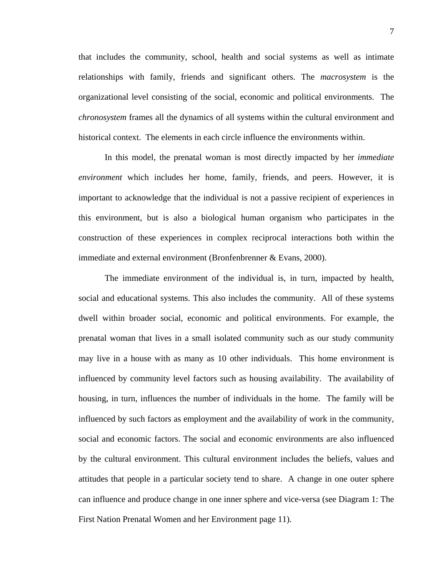that includes the community, school, health and social systems as well as intimate relationships with family, friends and significant others. The *macrosystem* is the organizational level consisting of the social, economic and political environments. The *chronosystem* frames all the dynamics of all systems within the cultural environment and historical context. The elements in each circle influence the environments within.

In this model, the prenatal woman is most directly impacted by her *immediate environment* which includes her home, family, friends, and peers. However, it is important to acknowledge that the individual is not a passive recipient of experiences in this environment, but is also a biological human organism who participates in the construction of these experiences in complex reciprocal interactions both within the immediate and external environment (Bronfenbrenner & Evans, 2000).

The immediate environment of the individual is, in turn, impacted by health, social and educational systems. This also includes the community. All of these systems dwell within broader social, economic and political environments. For example, the prenatal woman that lives in a small isolated community such as our study community may live in a house with as many as 10 other individuals. This home environment is influenced by community level factors such as housing availability. The availability of housing, in turn, influences the number of individuals in the home. The family will be influenced by such factors as employment and the availability of work in the community, social and economic factors. The social and economic environments are also influenced by the cultural environment. This cultural environment includes the beliefs, values and attitudes that people in a particular society tend to share. A change in one outer sphere can influence and produce change in one inner sphere and vice-versa (see Diagram 1: The First Nation Prenatal Women and her Environment page 11).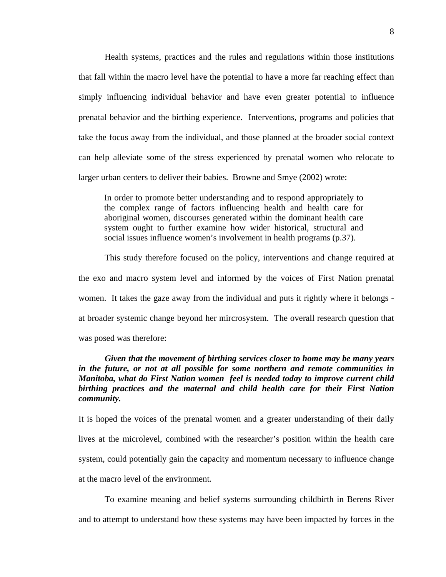Health systems, practices and the rules and regulations within those institutions that fall within the macro level have the potential to have a more far reaching effect than simply influencing individual behavior and have even greater potential to influence prenatal behavior and the birthing experience. Interventions, programs and policies that take the focus away from the individual, and those planned at the broader social context can help alleviate some of the stress experienced by prenatal women who relocate to larger urban centers to deliver their babies. Browne and Smye (2002) wrote:

In order to promote better understanding and to respond appropriately to the complex range of factors influencing health and health care for aboriginal women, discourses generated within the dominant health care system ought to further examine how wider historical, structural and social issues influence women's involvement in health programs (p.37).

This study therefore focused on the policy, interventions and change required at the exo and macro system level and informed by the voices of First Nation prenatal women. It takes the gaze away from the individual and puts it rightly where it belongs at broader systemic change beyond her mircrosystem. The overall research question that was posed was therefore:

## *Given that the movement of birthing services closer to home may be many years in the future, or not at all possible for some northern and remote communities in Manitoba, what do First Nation women feel is needed today to improve current child birthing practices and the maternal and child health care for their First Nation community.*

It is hoped the voices of the prenatal women and a greater understanding of their daily lives at the microlevel, combined with the researcher's position within the health care system, could potentially gain the capacity and momentum necessary to influence change at the macro level of the environment.

To examine meaning and belief systems surrounding childbirth in Berens River and to attempt to understand how these systems may have been impacted by forces in the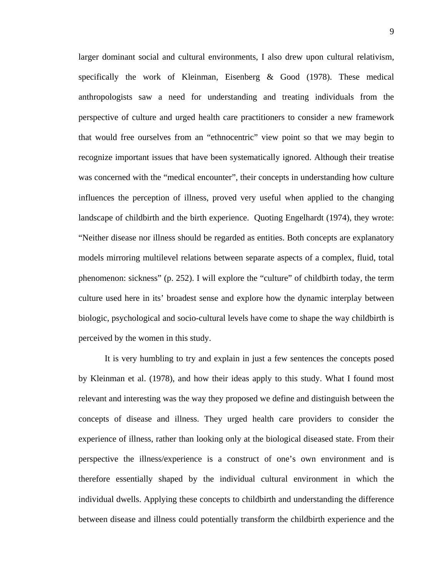larger dominant social and cultural environments, I also drew upon cultural relativism, specifically the work of Kleinman, Eisenberg & Good (1978). These medical anthropologists saw a need for understanding and treating individuals from the perspective of culture and urged health care practitioners to consider a new framework that would free ourselves from an "ethnocentric" view point so that we may begin to recognize important issues that have been systematically ignored. Although their treatise was concerned with the "medical encounter", their concepts in understanding how culture influences the perception of illness, proved very useful when applied to the changing landscape of childbirth and the birth experience. Quoting Engelhardt (1974), they wrote: "Neither disease nor illness should be regarded as entities. Both concepts are explanatory models mirroring multilevel relations between separate aspects of a complex, fluid, total phenomenon: sickness" (p. 252). I will explore the "culture" of childbirth today, the term culture used here in its' broadest sense and explore how the dynamic interplay between biologic, psychological and socio-cultural levels have come to shape the way childbirth is perceived by the women in this study.

It is very humbling to try and explain in just a few sentences the concepts posed by Kleinman et al. (1978), and how their ideas apply to this study. What I found most relevant and interesting was the way they proposed we define and distinguish between the concepts of disease and illness. They urged health care providers to consider the experience of illness, rather than looking only at the biological diseased state. From their perspective the illness/experience is a construct of one's own environment and is therefore essentially shaped by the individual cultural environment in which the individual dwells. Applying these concepts to childbirth and understanding the difference between disease and illness could potentially transform the childbirth experience and the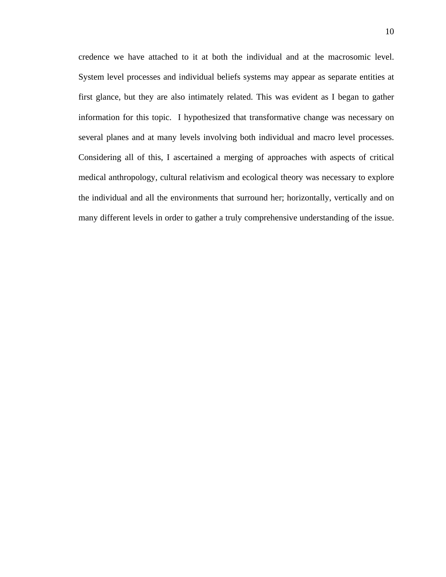credence we have attached to it at both the individual and at the macrosomic level. System level processes and individual beliefs systems may appear as separate entities at first glance, but they are also intimately related. This was evident as I began to gather information for this topic. I hypothesized that transformative change was necessary on several planes and at many levels involving both individual and macro level processes. Considering all of this, I ascertained a merging of approaches with aspects of critical medical anthropology, cultural relativism and ecological theory was necessary to explore the individual and all the environments that surround her; horizontally, vertically and on many different levels in order to gather a truly comprehensive understanding of the issue.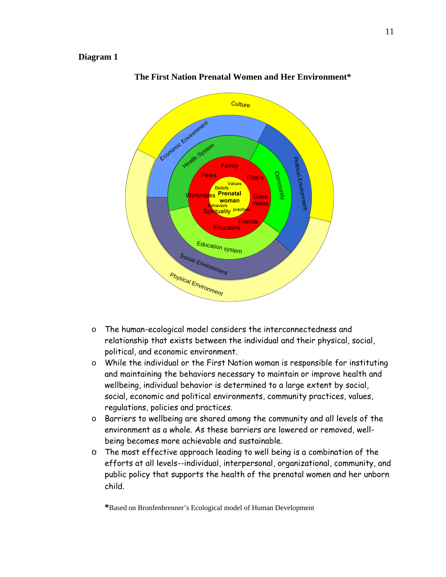### **Diagram 1**



### **The First Nation Prenatal Women and Her Environment\***

- o The human-ecological model considers the interconnectedness and relationship that exists between the individual and their physical, social, political, and economic environment.
- o While the individual or the First Nation woman is responsible for instituting and maintaining the behaviors necessary to maintain or improve health and wellbeing, individual behavior is determined to a large extent by social, social, economic and political environments, community practices, values, regulations, policies and practices.
- o Barriers to wellbeing are shared among the community and all levels of the environment as a whole. As these barriers are lowered or removed, wellbeing becomes more achievable and sustainable.
- o The most effective approach leading to well being is a combination of the efforts at all levels--individual, interpersonal, organizational, community, and public policy that supports the health of the prenatal women and her unborn child.

**\***Based on Bronfenbrenner's Ecological model of Human Development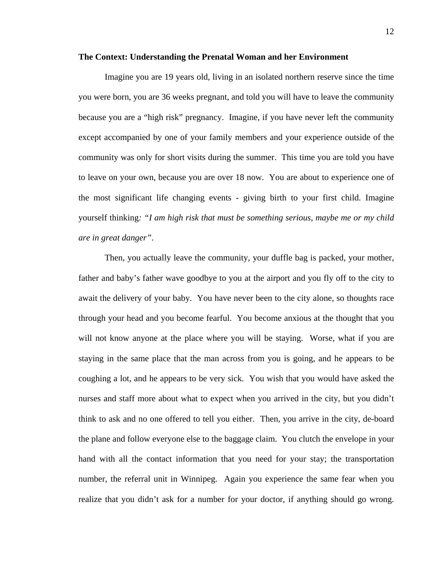#### **The Context: Understanding the Prenatal Woman and her Environment**

Imagine you are 19 years old, living in an isolated northern reserve since the time you were born, you are 36 weeks pregnant, and told you will have to leave the community because you are a "high risk" pregnancy. Imagine, if you have never left the community except accompanied by one of your family members and your experience outside of the community was only for short visits during the summer. This time you are told you have to leave on your own, because you are over 18 now. You are about to experience one of the most significant life changing events - giving birth to your first child. Imagine yourself thinking*: "I am high risk that must be something serious, maybe me or my child are in great danger"*.

Then, you actually leave the community, your duffle bag is packed, your mother, father and baby's father wave goodbye to you at the airport and you fly off to the city to await the delivery of your baby. You have never been to the city alone, so thoughts race through your head and you become fearful. You become anxious at the thought that you will not know anyone at the place where you will be staying. Worse, what if you are staying in the same place that the man across from you is going, and he appears to be coughing a lot, and he appears to be very sick. You wish that you would have asked the nurses and staff more about what to expect when you arrived in the city, but you didn't think to ask and no one offered to tell you either. Then, you arrive in the city, de-board the plane and follow everyone else to the baggage claim. You clutch the envelope in your hand with all the contact information that you need for your stay; the transportation number, the referral unit in Winnipeg. Again you experience the same fear when you realize that you didn't ask for a number for your doctor, if anything should go wrong.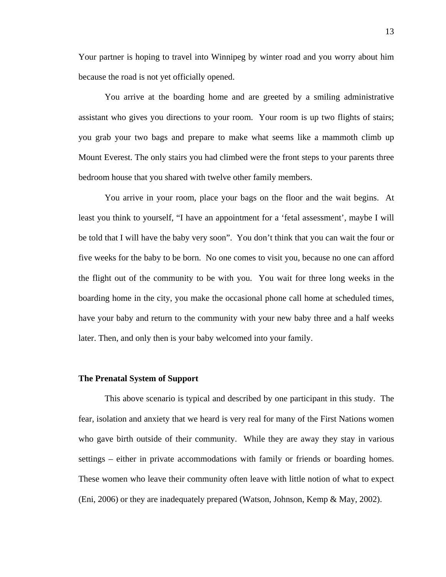Your partner is hoping to travel into Winnipeg by winter road and you worry about him because the road is not yet officially opened.

You arrive at the boarding home and are greeted by a smiling administrative assistant who gives you directions to your room. Your room is up two flights of stairs; you grab your two bags and prepare to make what seems like a mammoth climb up Mount Everest. The only stairs you had climbed were the front steps to your parents three bedroom house that you shared with twelve other family members.

You arrive in your room, place your bags on the floor and the wait begins. At least you think to yourself, "I have an appointment for a 'fetal assessment', maybe I will be told that I will have the baby very soon". You don't think that you can wait the four or five weeks for the baby to be born. No one comes to visit you, because no one can afford the flight out of the community to be with you. You wait for three long weeks in the boarding home in the city, you make the occasional phone call home at scheduled times, have your baby and return to the community with your new baby three and a half weeks later. Then, and only then is your baby welcomed into your family.

### **The Prenatal System of Support**

This above scenario is typical and described by one participant in this study. The fear, isolation and anxiety that we heard is very real for many of the First Nations women who gave birth outside of their community. While they are away they stay in various settings – either in private accommodations with family or friends or boarding homes. These women who leave their community often leave with little notion of what to expect (Eni, 2006) or they are inadequately prepared (Watson, Johnson, Kemp & May, 2002).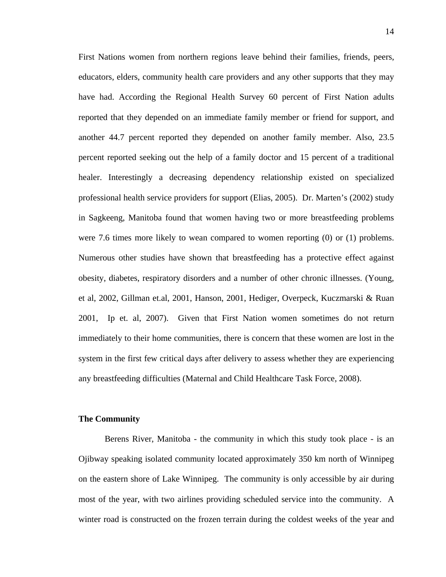First Nations women from northern regions leave behind their families, friends, peers, educators, elders, community health care providers and any other supports that they may have had. According the Regional Health Survey 60 percent of First Nation adults reported that they depended on an immediate family member or friend for support, and another 44.7 percent reported they depended on another family member. Also, 23.5 percent reported seeking out the help of a family doctor and 15 percent of a traditional healer. Interestingly a decreasing dependency relationship existed on specialized professional health service providers for support (Elias, 2005). Dr. Marten's (2002) study in Sagkeeng, Manitoba found that women having two or more breastfeeding problems were 7.6 times more likely to wean compared to women reporting (0) or (1) problems. Numerous other studies have shown that breastfeeding has a protective effect against obesity, diabetes, respiratory disorders and a number of other chronic illnesses. (Young, et al, 2002, Gillman et.al, 2001, Hanson, 2001, Hediger, Overpeck, Kuczmarski & Ruan 2001, Ip et. al, 2007). Given that First Nation women sometimes do not return immediately to their home communities, there is concern that these women are lost in the system in the first few critical days after delivery to assess whether they are experiencing any breastfeeding difficulties (Maternal and Child Healthcare Task Force, 2008).

#### **The Community**

Berens River, Manitoba - the community in which this study took place - is an Ojibway speaking isolated community located approximately 350 km north of Winnipeg on the eastern shore of Lake Winnipeg. The community is only accessible by air during most of the year, with two airlines providing scheduled service into the community. A winter road is constructed on the frozen terrain during the coldest weeks of the year and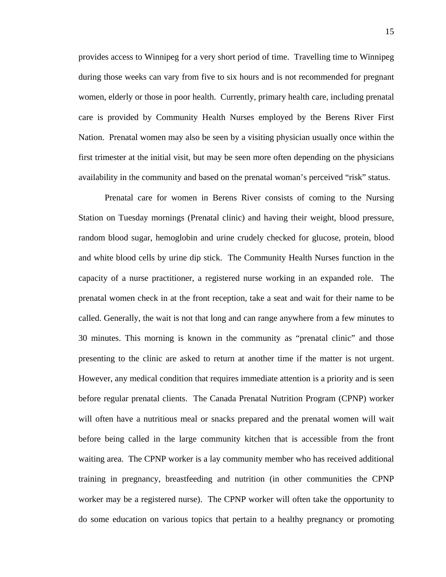provides access to Winnipeg for a very short period of time. Travelling time to Winnipeg during those weeks can vary from five to six hours and is not recommended for pregnant women, elderly or those in poor health. Currently, primary health care, including prenatal care is provided by Community Health Nurses employed by the Berens River First Nation. Prenatal women may also be seen by a visiting physician usually once within the first trimester at the initial visit, but may be seen more often depending on the physicians availability in the community and based on the prenatal woman's perceived "risk" status.

Prenatal care for women in Berens River consists of coming to the Nursing Station on Tuesday mornings (Prenatal clinic) and having their weight, blood pressure, random blood sugar, hemoglobin and urine crudely checked for glucose, protein, blood and white blood cells by urine dip stick. The Community Health Nurses function in the capacity of a nurse practitioner, a registered nurse working in an expanded role. The prenatal women check in at the front reception, take a seat and wait for their name to be called. Generally, the wait is not that long and can range anywhere from a few minutes to 30 minutes. This morning is known in the community as "prenatal clinic" and those presenting to the clinic are asked to return at another time if the matter is not urgent. However, any medical condition that requires immediate attention is a priority and is seen before regular prenatal clients. The Canada Prenatal Nutrition Program (CPNP) worker will often have a nutritious meal or snacks prepared and the prenatal women will wait before being called in the large community kitchen that is accessible from the front waiting area. The CPNP worker is a lay community member who has received additional training in pregnancy, breastfeeding and nutrition (in other communities the CPNP worker may be a registered nurse). The CPNP worker will often take the opportunity to do some education on various topics that pertain to a healthy pregnancy or promoting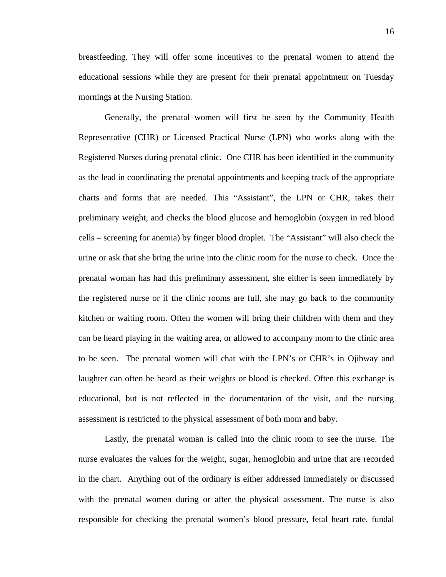breastfeeding. They will offer some incentives to the prenatal women to attend the educational sessions while they are present for their prenatal appointment on Tuesday mornings at the Nursing Station.

Generally, the prenatal women will first be seen by the Community Health Representative (CHR) or Licensed Practical Nurse (LPN) who works along with the Registered Nurses during prenatal clinic. One CHR has been identified in the community as the lead in coordinating the prenatal appointments and keeping track of the appropriate charts and forms that are needed. This "Assistant", the LPN or CHR, takes their preliminary weight, and checks the blood glucose and hemoglobin (oxygen in red blood cells – screening for anemia) by finger blood droplet. The "Assistant" will also check the urine or ask that she bring the urine into the clinic room for the nurse to check. Once the prenatal woman has had this preliminary assessment, she either is seen immediately by the registered nurse or if the clinic rooms are full, she may go back to the community kitchen or waiting room. Often the women will bring their children with them and they can be heard playing in the waiting area, or allowed to accompany mom to the clinic area to be seen. The prenatal women will chat with the LPN's or CHR's in Ojibway and laughter can often be heard as their weights or blood is checked. Often this exchange is educational, but is not reflected in the documentation of the visit, and the nursing assessment is restricted to the physical assessment of both mom and baby.

Lastly, the prenatal woman is called into the clinic room to see the nurse. The nurse evaluates the values for the weight, sugar, hemoglobin and urine that are recorded in the chart. Anything out of the ordinary is either addressed immediately or discussed with the prenatal women during or after the physical assessment. The nurse is also responsible for checking the prenatal women's blood pressure, fetal heart rate, fundal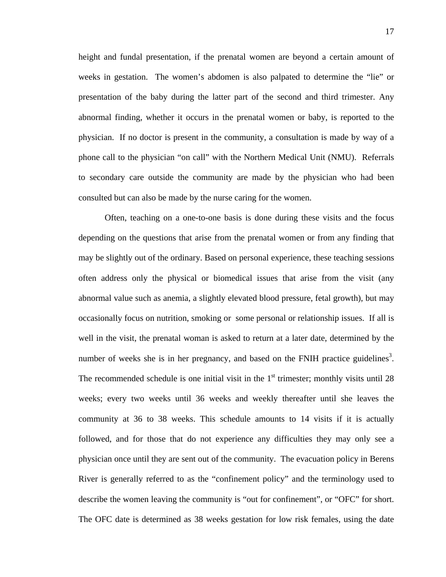height and fundal presentation, if the prenatal women are beyond a certain amount of weeks in gestation. The women's abdomen is also palpated to determine the "lie" or presentation of the baby during the latter part of the second and third trimester. Any abnormal finding, whether it occurs in the prenatal women or baby, is reported to the physician. If no doctor is present in the community, a consultation is made by way of a phone call to the physician "on call" with the Northern Medical Unit (NMU). Referrals to secondary care outside the community are made by the physician who had been consulted but can also be made by the nurse caring for the women.

Often, teaching on a one-to-one basis is done during these visits and the focus depending on the questions that arise from the prenatal women or from any finding that may be slightly out of the ordinary. Based on personal experience, these teaching sessions often address only the physical or biomedical issues that arise from the visit (any abnormal value such as anemia, a slightly elevated blood pressure, fetal growth), but may occasionally focus on nutrition, smoking or some personal or relationship issues. If all is well in the visit, the prenatal woman is asked to return at a later date, determined by the number of weeks she is in her pregnancy, and based on the FNIH practice guidelines<sup>3</sup>. The recommended schedule is one initial visit in the  $1<sup>st</sup>$  trimester; monthly visits until 28 weeks; every two weeks until 36 weeks and weekly thereafter until she leaves the community at 36 to 38 weeks. This schedule amounts to 14 visits if it is actually followed, and for those that do not experience any difficulties they may only see a physician once until they are sent out of the community. The evacuation policy in Berens River is generally referred to as the "confinement policy" and the terminology used to describe the women leaving the community is "out for confinement", or "OFC" for short. The OFC date is determined as 38 weeks gestation for low risk females, using the date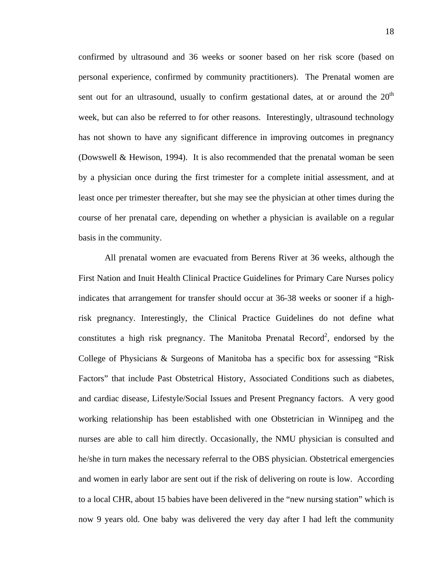confirmed by ultrasound and 36 weeks or sooner based on her risk score (based on personal experience, confirmed by community practitioners). The Prenatal women are sent out for an ultrasound, usually to confirm gestational dates, at or around the  $20<sup>th</sup>$ week, but can also be referred to for other reasons. Interestingly, ultrasound technology has not shown to have any significant difference in improving outcomes in pregnancy (Dowswell & Hewison, 1994). It is also recommended that the prenatal woman be seen by a physician once during the first trimester for a complete initial assessment, and at least once per trimester thereafter, but she may see the physician at other times during the course of her prenatal care, depending on whether a physician is available on a regular basis in the community.

All prenatal women are evacuated from Berens River at 36 weeks, although the First Nation and Inuit Health Clinical Practice Guidelines for Primary Care Nurses policy indicates that arrangement for transfer should occur at 36-38 weeks or sooner if a highrisk pregnancy. Interestingly, the Clinical Practice Guidelines do not define what constitutes a high risk pregnancy. The Manitoba Prenatal Record<sup>2</sup>, endorsed by the College of Physicians & Surgeons of Manitoba has a specific box for assessing "Risk Factors" that include Past Obstetrical History, Associated Conditions such as diabetes, and cardiac disease, Lifestyle/Social Issues and Present Pregnancy factors. A very good working relationship has been established with one Obstetrician in Winnipeg and the nurses are able to call him directly. Occasionally, the NMU physician is consulted and he/she in turn makes the necessary referral to the OBS physician. Obstetrical emergencies and women in early labor are sent out if the risk of delivering on route is low. According to a local CHR, about 15 babies have been delivered in the "new nursing station" which is now 9 years old. One baby was delivered the very day after I had left the community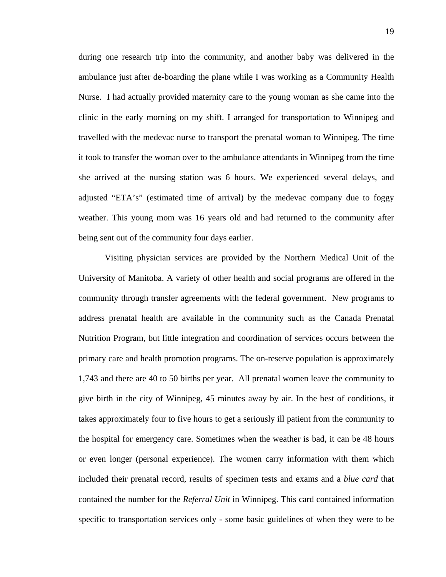during one research trip into the community, and another baby was delivered in the ambulance just after de-boarding the plane while I was working as a Community Health Nurse. I had actually provided maternity care to the young woman as she came into the clinic in the early morning on my shift. I arranged for transportation to Winnipeg and travelled with the medevac nurse to transport the prenatal woman to Winnipeg. The time it took to transfer the woman over to the ambulance attendants in Winnipeg from the time she arrived at the nursing station was 6 hours. We experienced several delays, and adjusted "ETA's" (estimated time of arrival) by the medevac company due to foggy weather. This young mom was 16 years old and had returned to the community after being sent out of the community four days earlier.

Visiting physician services are provided by the Northern Medical Unit of the University of Manitoba. A variety of other health and social programs are offered in the community through transfer agreements with the federal government. New programs to address prenatal health are available in the community such as the Canada Prenatal Nutrition Program, but little integration and coordination of services occurs between the primary care and health promotion programs. The on-reserve population is approximately 1,743 and there are 40 to 50 births per year. All prenatal women leave the community to give birth in the city of Winnipeg, 45 minutes away by air. In the best of conditions, it takes approximately four to five hours to get a seriously ill patient from the community to the hospital for emergency care. Sometimes when the weather is bad, it can be 48 hours or even longer (personal experience). The women carry information with them which included their prenatal record, results of specimen tests and exams and a *blue card* that contained the number for the *Referral Unit* in Winnipeg. This card contained information specific to transportation services only - some basic guidelines of when they were to be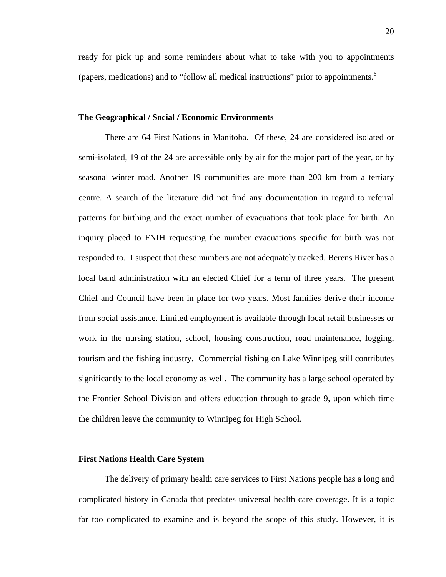ready for pick up and some reminders about what to take with you to appointments (papers, medications) and to "follow all medical instructions" prior to appointments.6

### **The Geographical / Social / Economic Environments**

There are 64 First Nations in Manitoba. Of these, 24 are considered isolated or semi-isolated, 19 of the 24 are accessible only by air for the major part of the year, or by seasonal winter road. Another 19 communities are more than 200 km from a tertiary centre. A search of the literature did not find any documentation in regard to referral patterns for birthing and the exact number of evacuations that took place for birth. An inquiry placed to FNIH requesting the number evacuations specific for birth was not responded to. I suspect that these numbers are not adequately tracked. Berens River has a local band administration with an elected Chief for a term of three years. The present Chief and Council have been in place for two years. Most families derive their income from social assistance. Limited employment is available through local retail businesses or work in the nursing station, school, housing construction, road maintenance, logging, tourism and the fishing industry. Commercial fishing on Lake Winnipeg still contributes significantly to the local economy as well. The community has a large school operated by the Frontier School Division and offers education through to grade 9, upon which time the children leave the community to Winnipeg for High School.

#### **First Nations Health Care System**

The delivery of primary health care services to First Nations people has a long and complicated history in Canada that predates universal health care coverage. It is a topic far too complicated to examine and is beyond the scope of this study. However, it is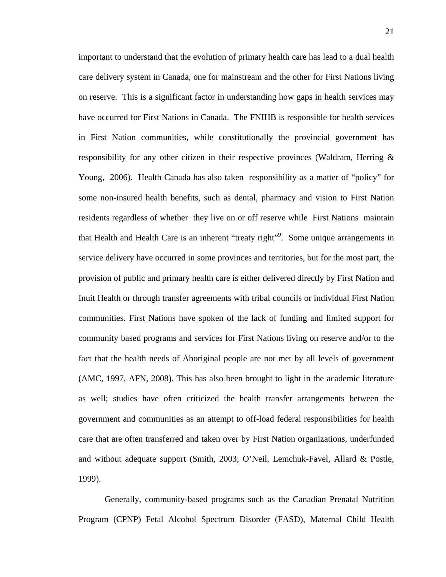important to understand that the evolution of primary health care has lead to a dual health care delivery system in Canada, one for mainstream and the other for First Nations living on reserve. This is a significant factor in understanding how gaps in health services may have occurred for First Nations in Canada. The FNIHB is responsible for health services in First Nation communities, while constitutionally the provincial government has responsibility for any other citizen in their respective provinces (Waldram, Herring & Young, 2006). Health Canada has also taken responsibility as a matter of "policy" for some non-insured health benefits, such as dental, pharmacy and vision to First Nation residents regardless of whether they live on or off reserve while First Nations maintain that Health and Health Care is an inherent "treaty right"<sup>9</sup>. Some unique arrangements in service delivery have occurred in some provinces and territories, but for the most part, the provision of public and primary health care is either delivered directly by First Nation and Inuit Health or through transfer agreements with tribal councils or individual First Nation communities. First Nations have spoken of the lack of funding and limited support for community based programs and services for First Nations living on reserve and/or to the fact that the health needs of Aboriginal people are not met by all levels of government (AMC, 1997, AFN, 2008). This has also been brought to light in the academic literature as well; studies have often criticized the health transfer arrangements between the government and communities as an attempt to off-load federal responsibilities for health care that are often transferred and taken over by First Nation organizations, underfunded and without adequate support (Smith, 2003; O'Neil, Lemchuk-Favel, Allard & Postle, 1999).

Generally, community-based programs such as the Canadian Prenatal Nutrition Program (CPNP) Fetal Alcohol Spectrum Disorder (FASD), Maternal Child Health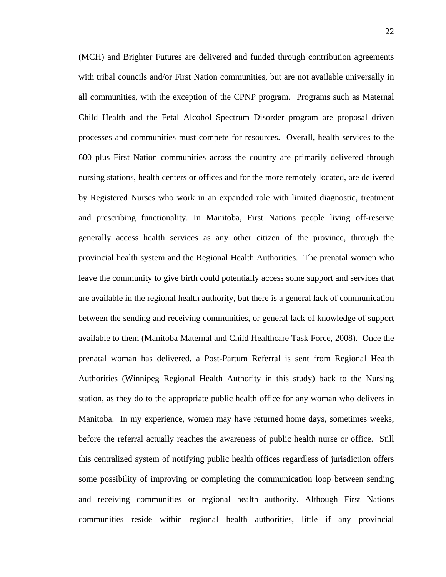(MCH) and Brighter Futures are delivered and funded through contribution agreements with tribal councils and/or First Nation communities, but are not available universally in all communities, with the exception of the CPNP program. Programs such as Maternal Child Health and the Fetal Alcohol Spectrum Disorder program are proposal driven processes and communities must compete for resources. Overall, health services to the 600 plus First Nation communities across the country are primarily delivered through nursing stations, health centers or offices and for the more remotely located, are delivered by Registered Nurses who work in an expanded role with limited diagnostic, treatment and prescribing functionality. In Manitoba, First Nations people living off-reserve generally access health services as any other citizen of the province, through the provincial health system and the Regional Health Authorities. The prenatal women who leave the community to give birth could potentially access some support and services that are available in the regional health authority, but there is a general lack of communication between the sending and receiving communities, or general lack of knowledge of support available to them (Manitoba Maternal and Child Healthcare Task Force, 2008). Once the prenatal woman has delivered, a Post-Partum Referral is sent from Regional Health Authorities (Winnipeg Regional Health Authority in this study) back to the Nursing station, as they do to the appropriate public health office for any woman who delivers in Manitoba. In my experience, women may have returned home days, sometimes weeks, before the referral actually reaches the awareness of public health nurse or office. Still this centralized system of notifying public health offices regardless of jurisdiction offers some possibility of improving or completing the communication loop between sending and receiving communities or regional health authority. Although First Nations communities reside within regional health authorities, little if any provincial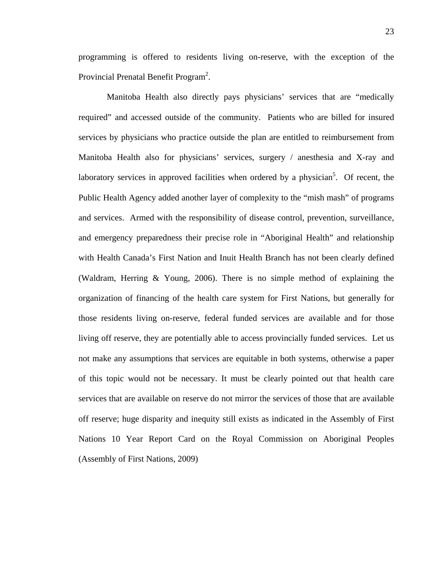programming is offered to residents living on-reserve, with the exception of the Provincial Prenatal Benefit Program<sup>2</sup>.

 Manitoba Health also directly pays physicians' services that are "medically required" and accessed outside of the community. Patients who are billed for insured services by physicians who practice outside the plan are entitled to reimbursement from Manitoba Health also for physicians' services, surgery / anesthesia and X-ray and laboratory services in approved facilities when ordered by a physician<sup>5</sup>. Of recent, the Public Health Agency added another layer of complexity to the "mish mash" of programs and services. Armed with the responsibility of disease control, prevention, surveillance, and emergency preparedness their precise role in "Aboriginal Health" and relationship with Health Canada's First Nation and Inuit Health Branch has not been clearly defined (Waldram, Herring & Young, 2006). There is no simple method of explaining the organization of financing of the health care system for First Nations, but generally for those residents living on-reserve, federal funded services are available and for those living off reserve, they are potentially able to access provincially funded services. Let us not make any assumptions that services are equitable in both systems, otherwise a paper of this topic would not be necessary. It must be clearly pointed out that health care services that are available on reserve do not mirror the services of those that are available off reserve; huge disparity and inequity still exists as indicated in the Assembly of First Nations 10 Year Report Card on the Royal Commission on Aboriginal Peoples (Assembly of First Nations, 2009)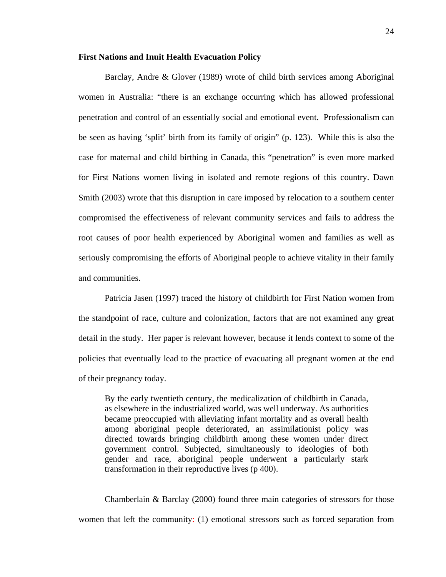### **First Nations and Inuit Health Evacuation Policy**

Barclay, Andre & Glover (1989) wrote of child birth services among Aboriginal women in Australia: "there is an exchange occurring which has allowed professional penetration and control of an essentially social and emotional event. Professionalism can be seen as having 'split' birth from its family of origin" (p. 123). While this is also the case for maternal and child birthing in Canada, this "penetration" is even more marked for First Nations women living in isolated and remote regions of this country. Dawn Smith (2003) wrote that this disruption in care imposed by relocation to a southern center compromised the effectiveness of relevant community services and fails to address the root causes of poor health experienced by Aboriginal women and families as well as seriously compromising the efforts of Aboriginal people to achieve vitality in their family and communities.

Patricia Jasen (1997) traced the history of childbirth for First Nation women from the standpoint of race, culture and colonization, factors that are not examined any great detail in the study. Her paper is relevant however, because it lends context to some of the policies that eventually lead to the practice of evacuating all pregnant women at the end of their pregnancy today.

By the early twentieth century, the medicalization of childbirth in Canada, as elsewhere in the industrialized world, was well underway. As authorities became preoccupied with alleviating infant mortality and as overall health among aboriginal people deteriorated, an assimilationist policy was directed towards bringing childbirth among these women under direct government control. Subjected, simultaneously to ideologies of both gender and race, aboriginal people underwent a particularly stark transformation in their reproductive lives (p 400).

Chamberlain & Barclay (2000) found three main categories of stressors for those women that left the community: (1) emotional stressors such as forced separation from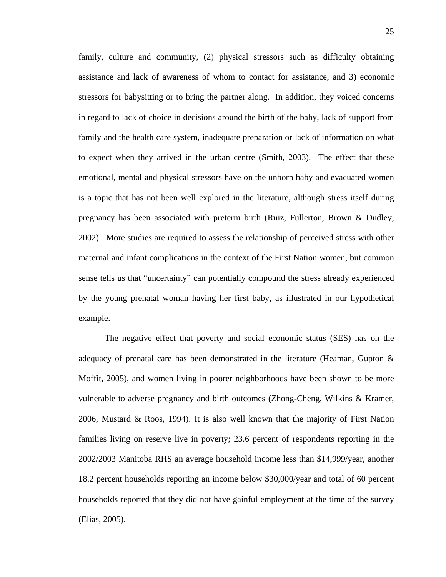family, culture and community, (2) physical stressors such as difficulty obtaining assistance and lack of awareness of whom to contact for assistance, and 3) economic stressors for babysitting or to bring the partner along. In addition, they voiced concerns in regard to lack of choice in decisions around the birth of the baby, lack of support from family and the health care system, inadequate preparation or lack of information on what to expect when they arrived in the urban centre (Smith, 2003). The effect that these emotional, mental and physical stressors have on the unborn baby and evacuated women is a topic that has not been well explored in the literature, although stress itself during pregnancy has been associated with preterm birth (Ruiz, Fullerton, Brown & Dudley, 2002). More studies are required to assess the relationship of perceived stress with other maternal and infant complications in the context of the First Nation women, but common sense tells us that "uncertainty" can potentially compound the stress already experienced by the young prenatal woman having her first baby, as illustrated in our hypothetical example.

The negative effect that poverty and social economic status (SES) has on the adequacy of prenatal care has been demonstrated in the literature (Heaman, Gupton & Moffit, 2005), and women living in poorer neighborhoods have been shown to be more vulnerable to adverse pregnancy and birth outcomes (Zhong-Cheng, Wilkins & Kramer, 2006, Mustard & Roos, 1994). It is also well known that the majority of First Nation families living on reserve live in poverty; 23.6 percent of respondents reporting in the 2002/2003 Manitoba RHS an average household income less than \$14,999/year, another 18.2 percent households reporting an income below \$30,000/year and total of 60 percent households reported that they did not have gainful employment at the time of the survey (Elias, 2005).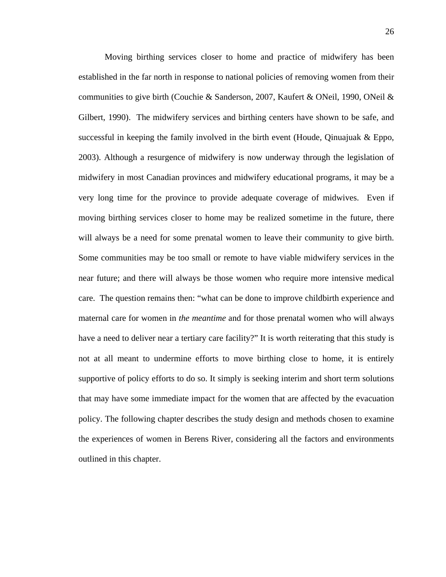Moving birthing services closer to home and practice of midwifery has been established in the far north in response to national policies of removing women from their communities to give birth (Couchie & Sanderson, 2007, Kaufert & ONeil, 1990, ONeil & Gilbert, 1990). The midwifery services and birthing centers have shown to be safe, and successful in keeping the family involved in the birth event (Houde, Qinuajuak  $\&$  Eppo, 2003). Although a resurgence of midwifery is now underway through the legislation of midwifery in most Canadian provinces and midwifery educational programs, it may be a very long time for the province to provide adequate coverage of midwives. Even if moving birthing services closer to home may be realized sometime in the future, there will always be a need for some prenatal women to leave their community to give birth. Some communities may be too small or remote to have viable midwifery services in the near future; and there will always be those women who require more intensive medical care. The question remains then: "what can be done to improve childbirth experience and maternal care for women in *the meantime* and for those prenatal women who will always have a need to deliver near a tertiary care facility?" It is worth reiterating that this study is not at all meant to undermine efforts to move birthing close to home, it is entirely supportive of policy efforts to do so. It simply is seeking interim and short term solutions that may have some immediate impact for the women that are affected by the evacuation policy. The following chapter describes the study design and methods chosen to examine the experiences of women in Berens River, considering all the factors and environments outlined in this chapter.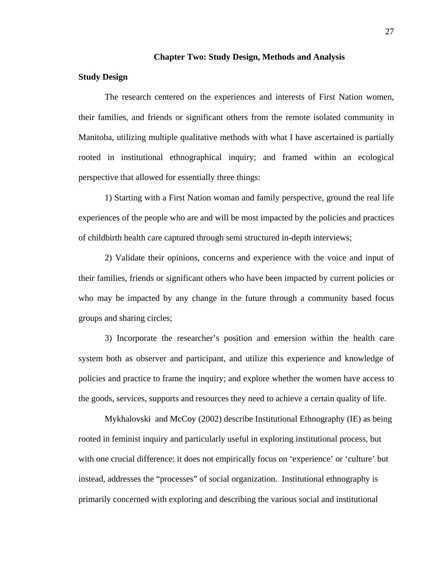#### **Chapter Two: Study Design, Methods and Analysis**

## **Study Design**

The research centered on the experiences and interests of First Nation women, their families, and friends or significant others from the remote isolated community in Manitoba, utilizing multiple qualitative methods with what I have ascertained is partially rooted in institutional ethnographical inquiry; and framed within an ecological perspective that allowed for essentially three things:

1) Starting with a First Nation woman and family perspective, ground the real life experiences of the people who are and will be most impacted by the policies and practices of childbirth health care captured through semi structured in-depth interviews;

2) Validate their opinions, concerns and experience with the voice and input of their families, friends or significant others who have been impacted by current policies or who may be impacted by any change in the future through a community based focus groups and sharing circles;

3) Incorporate the researcher's position and emersion within the health care system both as observer and participant, and utilize this experience and knowledge of policies and practice to frame the inquiry; and explore whether the women have access to the goods, services, supports and resources they need to achieve a certain quality of life.

Mykhalovski and McCoy (2002) describe Institutional Ethnography (IE) as being rooted in feminist inquiry and particularly useful in exploring institutional process, but with one crucial difference: it does not empirically focus on 'experience' or 'culture' but instead, addresses the "processes" of social organization. Institutional ethnography is primarily concerned with exploring and describing the various social and institutional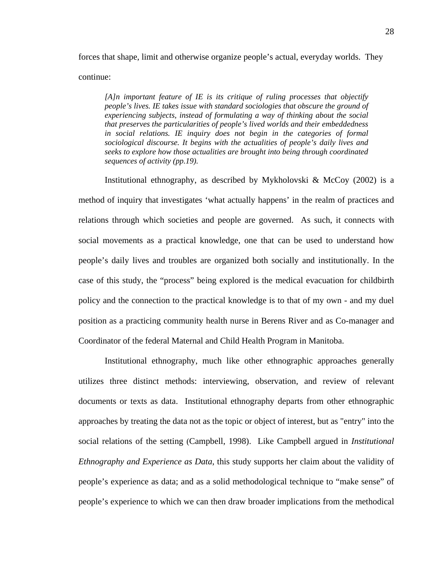forces that shape, limit and otherwise organize people's actual, everyday worlds. They continue:

*[A]n important feature of IE is its critique of ruling processes that objectify people's lives. IE takes issue with standard sociologies that obscure the ground of experiencing subjects, instead of formulating a way of thinking about the social that preserves the particularities of people's lived worlds and their embeddedness in social relations. IE inquiry does not begin in the categories of formal sociological discourse. It begins with the actualities of people's daily lives and seeks to explore how those actualities are brought into being through coordinated sequences of activity (pp.19).* 

Institutional ethnography, as described by Mykholovski & McCoy (2002) is a method of inquiry that investigates 'what actually happens' in the realm of practices and relations through which societies and people are governed. As such, it connects with social movements as a practical knowledge, one that can be used to understand how people's daily lives and troubles are organized both socially and institutionally. In the case of this study, the "process" being explored is the medical evacuation for childbirth policy and the connection to the practical knowledge is to that of my own - and my duel position as a practicing community health nurse in Berens River and as Co-manager and Coordinator of the federal Maternal and Child Health Program in Manitoba.

Institutional ethnography, much like other ethnographic approaches generally utilizes three distinct methods: interviewing, observation, and review of relevant documents or texts as data. Institutional ethnography departs from other ethnographic approaches by treating the data not as the topic or object of interest, but as "entry" into the social relations of the setting (Campbell, 1998). Like Campbell argued in *Institutional Ethnography and Experience as Data*, this study supports her claim about the validity of people's experience as data; and as a solid methodological technique to "make sense" of people's experience to which we can then draw broader implications from the methodical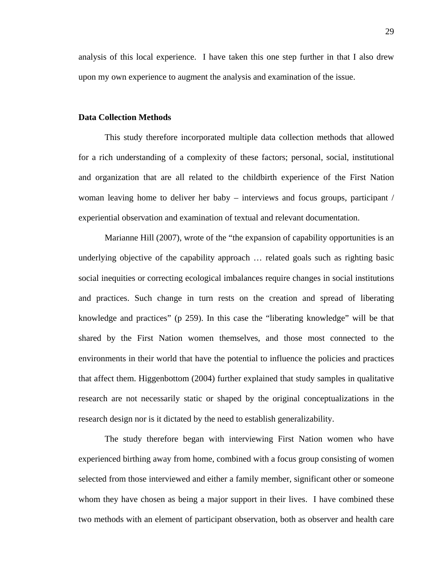analysis of this local experience. I have taken this one step further in that I also drew upon my own experience to augment the analysis and examination of the issue.

### **Data Collection Methods**

This study therefore incorporated multiple data collection methods that allowed for a rich understanding of a complexity of these factors; personal, social, institutional and organization that are all related to the childbirth experience of the First Nation woman leaving home to deliver her baby – interviews and focus groups, participant / experiential observation and examination of textual and relevant documentation.

Marianne Hill (2007), wrote of the "the expansion of capability opportunities is an underlying objective of the capability approach … related goals such as righting basic social inequities or correcting ecological imbalances require changes in social institutions and practices. Such change in turn rests on the creation and spread of liberating knowledge and practices" (p 259). In this case the "liberating knowledge" will be that shared by the First Nation women themselves, and those most connected to the environments in their world that have the potential to influence the policies and practices that affect them. Higgenbottom (2004) further explained that study samples in qualitative research are not necessarily static or shaped by the original conceptualizations in the research design nor is it dictated by the need to establish generalizability.

The study therefore began with interviewing First Nation women who have experienced birthing away from home, combined with a focus group consisting of women selected from those interviewed and either a family member, significant other or someone whom they have chosen as being a major support in their lives. I have combined these two methods with an element of participant observation, both as observer and health care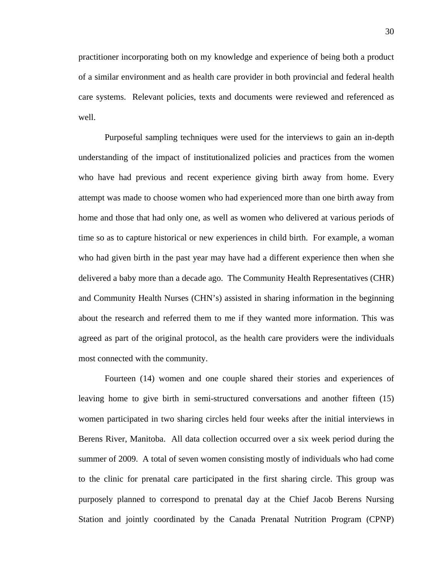practitioner incorporating both on my knowledge and experience of being both a product of a similar environment and as health care provider in both provincial and federal health care systems. Relevant policies, texts and documents were reviewed and referenced as well.

Purposeful sampling techniques were used for the interviews to gain an in-depth understanding of the impact of institutionalized policies and practices from the women who have had previous and recent experience giving birth away from home. Every attempt was made to choose women who had experienced more than one birth away from home and those that had only one, as well as women who delivered at various periods of time so as to capture historical or new experiences in child birth. For example, a woman who had given birth in the past year may have had a different experience then when she delivered a baby more than a decade ago. The Community Health Representatives (CHR) and Community Health Nurses (CHN's) assisted in sharing information in the beginning about the research and referred them to me if they wanted more information. This was agreed as part of the original protocol, as the health care providers were the individuals most connected with the community.

Fourteen (14) women and one couple shared their stories and experiences of leaving home to give birth in semi-structured conversations and another fifteen (15) women participated in two sharing circles held four weeks after the initial interviews in Berens River, Manitoba. All data collection occurred over a six week period during the summer of 2009. A total of seven women consisting mostly of individuals who had come to the clinic for prenatal care participated in the first sharing circle. This group was purposely planned to correspond to prenatal day at the Chief Jacob Berens Nursing Station and jointly coordinated by the Canada Prenatal Nutrition Program (CPNP)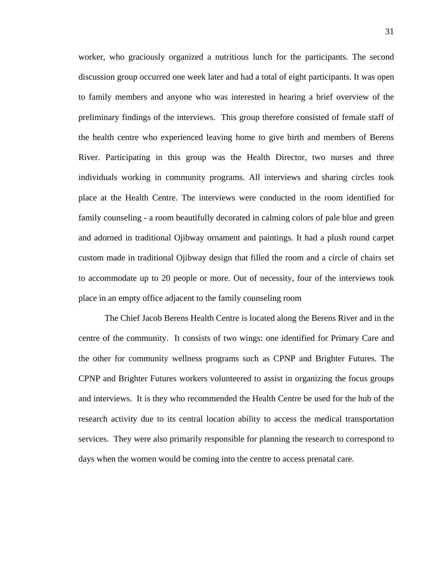worker, who graciously organized a nutritious lunch for the participants. The second discussion group occurred one week later and had a total of eight participants. It was open to family members and anyone who was interested in hearing a brief overview of the preliminary findings of the interviews. This group therefore consisted of female staff of the health centre who experienced leaving home to give birth and members of Berens River. Participating in this group was the Health Director, two nurses and three individuals working in community programs. All interviews and sharing circles took place at the Health Centre. The interviews were conducted in the room identified for family counseling - a room beautifully decorated in calming colors of pale blue and green and adorned in traditional Ojibway ornament and paintings. It had a plush round carpet custom made in traditional Ojibway design that filled the room and a circle of chairs set to accommodate up to 20 people or more. Out of necessity, four of the interviews took place in an empty office adjacent to the family counseling room

The Chief Jacob Berens Health Centre is located along the Berens River and in the centre of the community. It consists of two wings: one identified for Primary Care and the other for community wellness programs such as CPNP and Brighter Futures. The CPNP and Brighter Futures workers volunteered to assist in organizing the focus groups and interviews. It is they who recommended the Health Centre be used for the hub of the research activity due to its central location ability to access the medical transportation services. They were also primarily responsible for planning the research to correspond to days when the women would be coming into the centre to access prenatal care.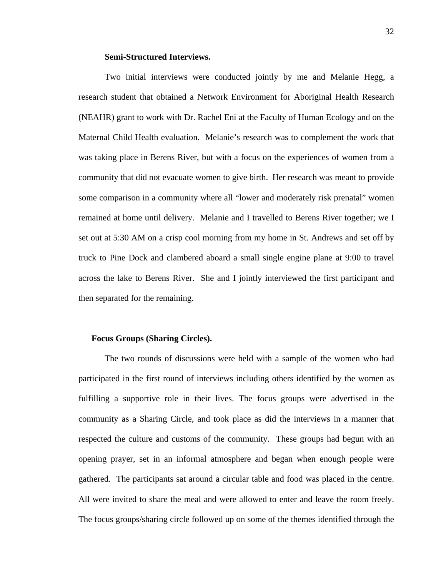### **Semi-Structured Interviews.**

Two initial interviews were conducted jointly by me and Melanie Hegg, a research student that obtained a Network Environment for Aboriginal Health Research (NEAHR) grant to work with Dr. Rachel Eni at the Faculty of Human Ecology and on the Maternal Child Health evaluation. Melanie's research was to complement the work that was taking place in Berens River, but with a focus on the experiences of women from a community that did not evacuate women to give birth. Her research was meant to provide some comparison in a community where all "lower and moderately risk prenatal" women remained at home until delivery. Melanie and I travelled to Berens River together; we I set out at 5:30 AM on a crisp cool morning from my home in St. Andrews and set off by truck to Pine Dock and clambered aboard a small single engine plane at 9:00 to travel across the lake to Berens River. She and I jointly interviewed the first participant and then separated for the remaining.

### **Focus Groups (Sharing Circles).**

The two rounds of discussions were held with a sample of the women who had participated in the first round of interviews including others identified by the women as fulfilling a supportive role in their lives. The focus groups were advertised in the community as a Sharing Circle, and took place as did the interviews in a manner that respected the culture and customs of the community. These groups had begun with an opening prayer, set in an informal atmosphere and began when enough people were gathered. The participants sat around a circular table and food was placed in the centre. All were invited to share the meal and were allowed to enter and leave the room freely. The focus groups/sharing circle followed up on some of the themes identified through the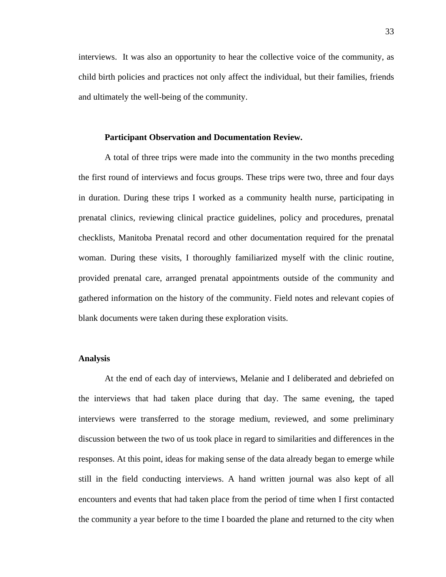interviews. It was also an opportunity to hear the collective voice of the community, as child birth policies and practices not only affect the individual, but their families, friends and ultimately the well-being of the community.

### **Participant Observation and Documentation Review.**

A total of three trips were made into the community in the two months preceding the first round of interviews and focus groups. These trips were two, three and four days in duration. During these trips I worked as a community health nurse, participating in prenatal clinics, reviewing clinical practice guidelines, policy and procedures, prenatal checklists, Manitoba Prenatal record and other documentation required for the prenatal woman. During these visits, I thoroughly familiarized myself with the clinic routine, provided prenatal care, arranged prenatal appointments outside of the community and gathered information on the history of the community. Field notes and relevant copies of blank documents were taken during these exploration visits.

# **Analysis**

At the end of each day of interviews, Melanie and I deliberated and debriefed on the interviews that had taken place during that day. The same evening, the taped interviews were transferred to the storage medium, reviewed, and some preliminary discussion between the two of us took place in regard to similarities and differences in the responses. At this point, ideas for making sense of the data already began to emerge while still in the field conducting interviews. A hand written journal was also kept of all encounters and events that had taken place from the period of time when I first contacted the community a year before to the time I boarded the plane and returned to the city when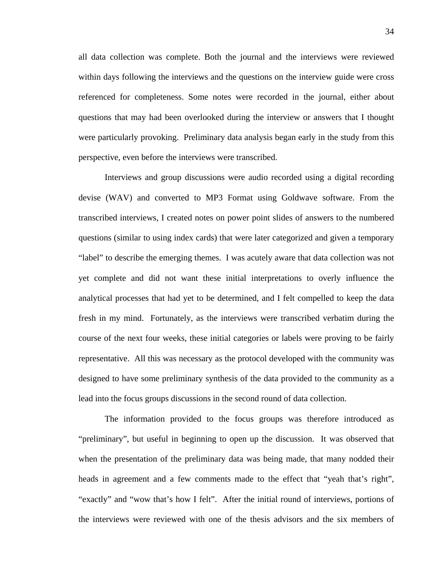all data collection was complete. Both the journal and the interviews were reviewed within days following the interviews and the questions on the interview guide were cross referenced for completeness. Some notes were recorded in the journal, either about questions that may had been overlooked during the interview or answers that I thought were particularly provoking. Preliminary data analysis began early in the study from this perspective, even before the interviews were transcribed.

Interviews and group discussions were audio recorded using a digital recording devise (WAV) and converted to MP3 Format using Goldwave software. From the transcribed interviews, I created notes on power point slides of answers to the numbered questions (similar to using index cards) that were later categorized and given a temporary "label" to describe the emerging themes. I was acutely aware that data collection was not yet complete and did not want these initial interpretations to overly influence the analytical processes that had yet to be determined, and I felt compelled to keep the data fresh in my mind. Fortunately, as the interviews were transcribed verbatim during the course of the next four weeks, these initial categories or labels were proving to be fairly representative. All this was necessary as the protocol developed with the community was designed to have some preliminary synthesis of the data provided to the community as a lead into the focus groups discussions in the second round of data collection.

The information provided to the focus groups was therefore introduced as "preliminary", but useful in beginning to open up the discussion. It was observed that when the presentation of the preliminary data was being made, that many nodded their heads in agreement and a few comments made to the effect that "yeah that's right", "exactly" and "wow that's how I felt". After the initial round of interviews, portions of the interviews were reviewed with one of the thesis advisors and the six members of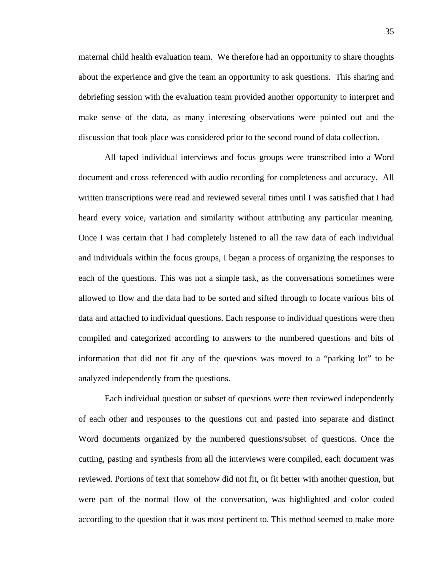maternal child health evaluation team. We therefore had an opportunity to share thoughts about the experience and give the team an opportunity to ask questions. This sharing and debriefing session with the evaluation team provided another opportunity to interpret and make sense of the data, as many interesting observations were pointed out and the discussion that took place was considered prior to the second round of data collection.

All taped individual interviews and focus groups were transcribed into a Word document and cross referenced with audio recording for completeness and accuracy. All written transcriptions were read and reviewed several times until I was satisfied that I had heard every voice, variation and similarity without attributing any particular meaning. Once I was certain that I had completely listened to all the raw data of each individual and individuals within the focus groups, I began a process of organizing the responses to each of the questions. This was not a simple task, as the conversations sometimes were allowed to flow and the data had to be sorted and sifted through to locate various bits of data and attached to individual questions. Each response to individual questions were then compiled and categorized according to answers to the numbered questions and bits of information that did not fit any of the questions was moved to a "parking lot" to be analyzed independently from the questions.

Each individual question or subset of questions were then reviewed independently of each other and responses to the questions cut and pasted into separate and distinct Word documents organized by the numbered questions/subset of questions. Once the cutting, pasting and synthesis from all the interviews were compiled, each document was reviewed. Portions of text that somehow did not fit, or fit better with another question, but were part of the normal flow of the conversation, was highlighted and color coded according to the question that it was most pertinent to. This method seemed to make more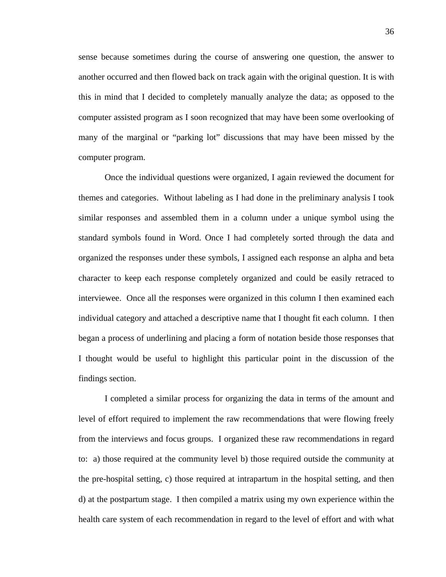sense because sometimes during the course of answering one question, the answer to another occurred and then flowed back on track again with the original question. It is with this in mind that I decided to completely manually analyze the data; as opposed to the computer assisted program as I soon recognized that may have been some overlooking of many of the marginal or "parking lot" discussions that may have been missed by the computer program.

Once the individual questions were organized, I again reviewed the document for themes and categories. Without labeling as I had done in the preliminary analysis I took similar responses and assembled them in a column under a unique symbol using the standard symbols found in Word. Once I had completely sorted through the data and organized the responses under these symbols, I assigned each response an alpha and beta character to keep each response completely organized and could be easily retraced to interviewee. Once all the responses were organized in this column I then examined each individual category and attached a descriptive name that I thought fit each column. I then began a process of underlining and placing a form of notation beside those responses that I thought would be useful to highlight this particular point in the discussion of the findings section.

I completed a similar process for organizing the data in terms of the amount and level of effort required to implement the raw recommendations that were flowing freely from the interviews and focus groups. I organized these raw recommendations in regard to: a) those required at the community level b) those required outside the community at the pre-hospital setting, c) those required at intrapartum in the hospital setting, and then d) at the postpartum stage. I then compiled a matrix using my own experience within the health care system of each recommendation in regard to the level of effort and with what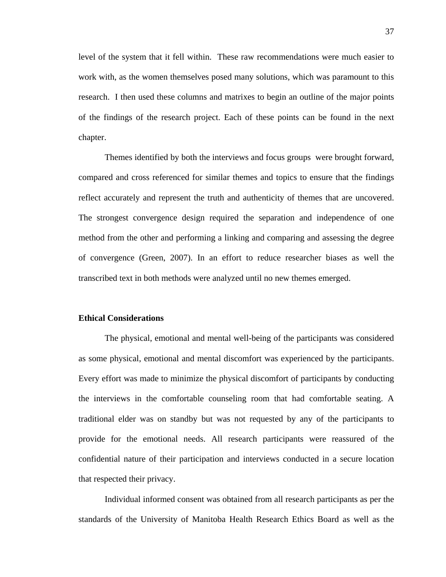level of the system that it fell within. These raw recommendations were much easier to work with, as the women themselves posed many solutions, which was paramount to this research. I then used these columns and matrixes to begin an outline of the major points of the findings of the research project. Each of these points can be found in the next chapter.

Themes identified by both the interviews and focus groups were brought forward, compared and cross referenced for similar themes and topics to ensure that the findings reflect accurately and represent the truth and authenticity of themes that are uncovered. The strongest convergence design required the separation and independence of one method from the other and performing a linking and comparing and assessing the degree of convergence (Green, 2007). In an effort to reduce researcher biases as well the transcribed text in both methods were analyzed until no new themes emerged.

### **Ethical Considerations**

The physical, emotional and mental well-being of the participants was considered as some physical, emotional and mental discomfort was experienced by the participants. Every effort was made to minimize the physical discomfort of participants by conducting the interviews in the comfortable counseling room that had comfortable seating. A traditional elder was on standby but was not requested by any of the participants to provide for the emotional needs. All research participants were reassured of the confidential nature of their participation and interviews conducted in a secure location that respected their privacy.

Individual informed consent was obtained from all research participants as per the standards of the University of Manitoba Health Research Ethics Board as well as the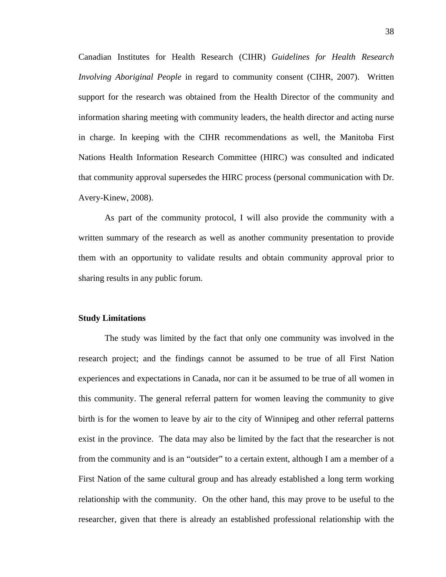Canadian Institutes for Health Research (CIHR) *Guidelines for Health Research Involving Aboriginal People* in regard to community consent (CIHR, 2007). Written support for the research was obtained from the Health Director of the community and information sharing meeting with community leaders, the health director and acting nurse in charge. In keeping with the CIHR recommendations as well, the Manitoba First Nations Health Information Research Committee (HIRC) was consulted and indicated that community approval supersedes the HIRC process (personal communication with Dr. Avery-Kinew, 2008).

 As part of the community protocol, I will also provide the community with a written summary of the research as well as another community presentation to provide them with an opportunity to validate results and obtain community approval prior to sharing results in any public forum.

## **Study Limitations**

 The study was limited by the fact that only one community was involved in the research project; and the findings cannot be assumed to be true of all First Nation experiences and expectations in Canada, nor can it be assumed to be true of all women in this community. The general referral pattern for women leaving the community to give birth is for the women to leave by air to the city of Winnipeg and other referral patterns exist in the province. The data may also be limited by the fact that the researcher is not from the community and is an "outsider" to a certain extent, although I am a member of a First Nation of the same cultural group and has already established a long term working relationship with the community. On the other hand, this may prove to be useful to the researcher, given that there is already an established professional relationship with the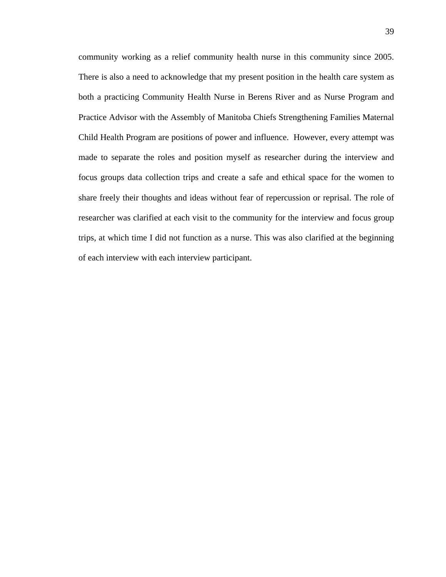community working as a relief community health nurse in this community since 2005. There is also a need to acknowledge that my present position in the health care system as both a practicing Community Health Nurse in Berens River and as Nurse Program and Practice Advisor with the Assembly of Manitoba Chiefs Strengthening Families Maternal Child Health Program are positions of power and influence. However, every attempt was made to separate the roles and position myself as researcher during the interview and focus groups data collection trips and create a safe and ethical space for the women to share freely their thoughts and ideas without fear of repercussion or reprisal. The role of researcher was clarified at each visit to the community for the interview and focus group trips, at which time I did not function as a nurse. This was also clarified at the beginning of each interview with each interview participant.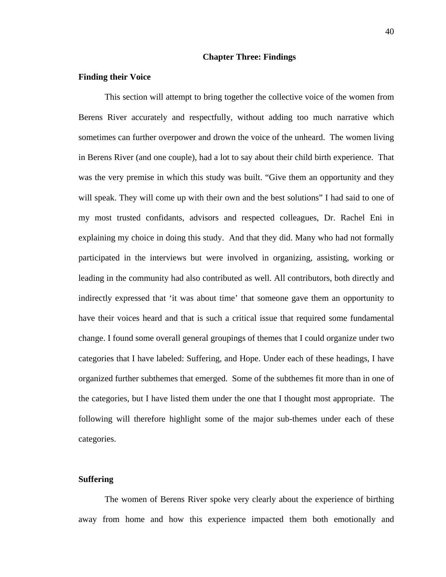#### **Chapter Three: Findings**

#### **Finding their Voice**

This section will attempt to bring together the collective voice of the women from Berens River accurately and respectfully, without adding too much narrative which sometimes can further overpower and drown the voice of the unheard. The women living in Berens River (and one couple), had a lot to say about their child birth experience. That was the very premise in which this study was built. "Give them an opportunity and they will speak. They will come up with their own and the best solutions" I had said to one of my most trusted confidants, advisors and respected colleagues, Dr. Rachel Eni in explaining my choice in doing this study. And that they did. Many who had not formally participated in the interviews but were involved in organizing, assisting, working or leading in the community had also contributed as well. All contributors, both directly and indirectly expressed that 'it was about time' that someone gave them an opportunity to have their voices heard and that is such a critical issue that required some fundamental change. I found some overall general groupings of themes that I could organize under two categories that I have labeled: Suffering, and Hope. Under each of these headings, I have organized further subthemes that emerged. Some of the subthemes fit more than in one of the categories, but I have listed them under the one that I thought most appropriate. The following will therefore highlight some of the major sub-themes under each of these categories.

## **Suffering**

The women of Berens River spoke very clearly about the experience of birthing away from home and how this experience impacted them both emotionally and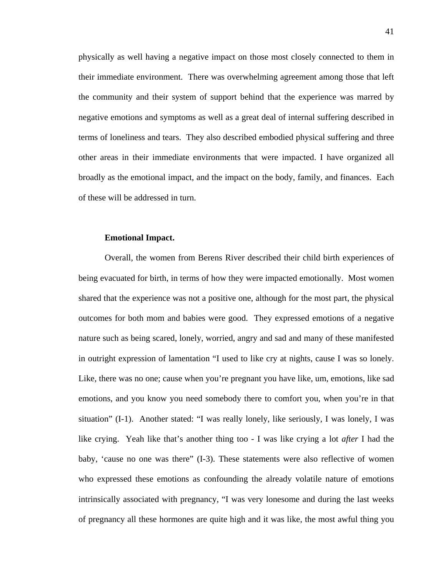physically as well having a negative impact on those most closely connected to them in their immediate environment. There was overwhelming agreement among those that left the community and their system of support behind that the experience was marred by negative emotions and symptoms as well as a great deal of internal suffering described in terms of loneliness and tears. They also described embodied physical suffering and three other areas in their immediate environments that were impacted. I have organized all broadly as the emotional impact, and the impact on the body, family, and finances. Each of these will be addressed in turn.

### **Emotional Impact.**

Overall, the women from Berens River described their child birth experiences of being evacuated for birth, in terms of how they were impacted emotionally. Most women shared that the experience was not a positive one, although for the most part, the physical outcomes for both mom and babies were good. They expressed emotions of a negative nature such as being scared, lonely, worried, angry and sad and many of these manifested in outright expression of lamentation "I used to like cry at nights, cause I was so lonely. Like, there was no one; cause when you're pregnant you have like, um, emotions, like sad emotions, and you know you need somebody there to comfort you, when you're in that situation" (I-1). Another stated: "I was really lonely, like seriously, I was lonely, I was like crying. Yeah like that's another thing too - I was like crying a lot *after* I had the baby, 'cause no one was there" (I-3). These statements were also reflective of women who expressed these emotions as confounding the already volatile nature of emotions intrinsically associated with pregnancy, "I was very lonesome and during the last weeks of pregnancy all these hormones are quite high and it was like, the most awful thing you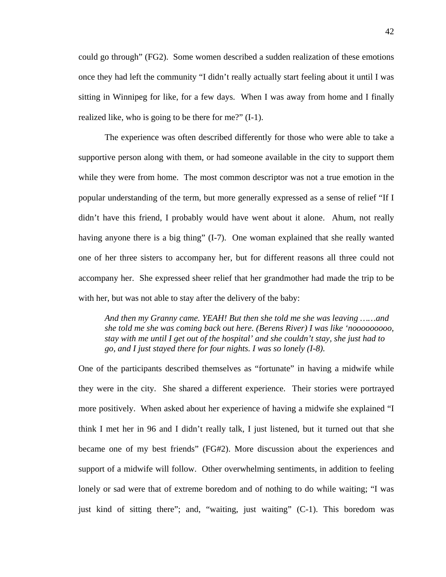could go through" (FG2). Some women described a sudden realization of these emotions once they had left the community "I didn't really actually start feeling about it until I was sitting in Winnipeg for like, for a few days. When I was away from home and I finally realized like, who is going to be there for me?" (I-1).

The experience was often described differently for those who were able to take a supportive person along with them, or had someone available in the city to support them while they were from home. The most common descriptor was not a true emotion in the popular understanding of the term, but more generally expressed as a sense of relief "If I didn't have this friend, I probably would have went about it alone. Ahum, not really having anyone there is a big thing" (I-7). One woman explained that she really wanted one of her three sisters to accompany her, but for different reasons all three could not accompany her. She expressed sheer relief that her grandmother had made the trip to be with her, but was not able to stay after the delivery of the baby:

*And then my Granny came. YEAH! But then she told me she was leaving ……and she told me she was coming back out here. (Berens River) I was like 'nooooooooo, stay with me until I get out of the hospital' and she couldn't stay, she just had to go, and I just stayed there for four nights. I was so lonely (I-8).* 

One of the participants described themselves as "fortunate" in having a midwife while they were in the city. She shared a different experience. Their stories were portrayed more positively. When asked about her experience of having a midwife she explained "I think I met her in 96 and I didn't really talk, I just listened, but it turned out that she became one of my best friends" (FG#2). More discussion about the experiences and support of a midwife will follow. Other overwhelming sentiments, in addition to feeling lonely or sad were that of extreme boredom and of nothing to do while waiting; "I was just kind of sitting there"; and, "waiting, just waiting" (C-1). This boredom was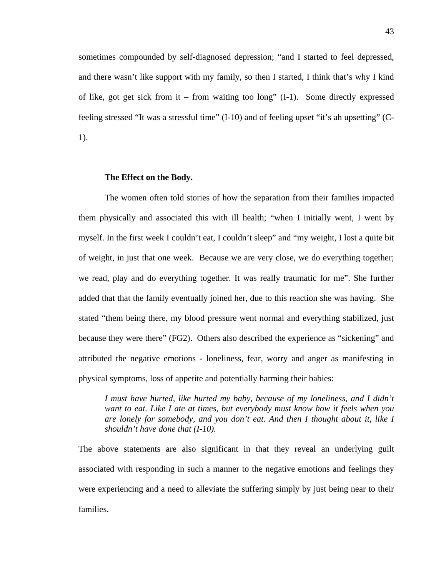sometimes compounded by self-diagnosed depression; "and I started to feel depressed, and there wasn't like support with my family, so then I started, I think that's why I kind of like, got get sick from it – from waiting too long" (I-1). Some directly expressed feeling stressed "It was a stressful time" (I-10) and of feeling upset "it's ah upsetting" (C-1).

### **The Effect on the Body.**

The women often told stories of how the separation from their families impacted them physically and associated this with ill health; "when I initially went, I went by myself. In the first week I couldn't eat, I couldn't sleep" and "my weight, I lost a quite bit of weight, in just that one week. Because we are very close, we do everything together; we read, play and do everything together. It was really traumatic for me". She further added that that the family eventually joined her, due to this reaction she was having. She stated "them being there, my blood pressure went normal and everything stabilized, just because they were there" (FG2). Others also described the experience as "sickening" and attributed the negative emotions - loneliness, fear, worry and anger as manifesting in physical symptoms, loss of appetite and potentially harming their babies:

*I must have hurted, like hurted my baby, because of my loneliness, and I didn't want to eat. Like I ate at times, but everybody must know how it feels when you are lonely for somebody, and you don't eat. And then I thought about it, like I shouldn't have done that (I-10).* 

The above statements are also significant in that they reveal an underlying guilt associated with responding in such a manner to the negative emotions and feelings they were experiencing and a need to alleviate the suffering simply by just being near to their families.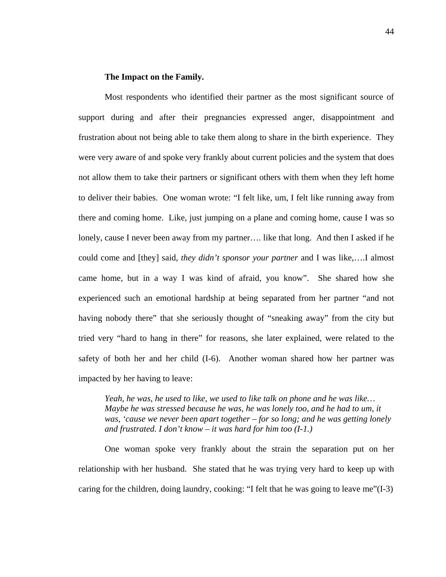### **The Impact on the Family.**

Most respondents who identified their partner as the most significant source of support during and after their pregnancies expressed anger, disappointment and frustration about not being able to take them along to share in the birth experience. They were very aware of and spoke very frankly about current policies and the system that does not allow them to take their partners or significant others with them when they left home to deliver their babies. One woman wrote: "I felt like, um, I felt like running away from there and coming home. Like, just jumping on a plane and coming home, cause I was so lonely, cause I never been away from my partner…. like that long. And then I asked if he could come and [they] said, *they didn't sponsor your partner* and I was like,….I almost came home, but in a way I was kind of afraid, you know". She shared how she experienced such an emotional hardship at being separated from her partner "and not having nobody there" that she seriously thought of "sneaking away" from the city but tried very "hard to hang in there" for reasons, she later explained, were related to the safety of both her and her child (I-6). Another woman shared how her partner was impacted by her having to leave:

*Yeah, he was, he used to like, we used to like talk on phone and he was like… Maybe he was stressed because he was, he was lonely too, and he had to um, it was, 'cause we never been apart together – for so long; and he was getting lonely and frustrated. I don't know – it was hard for him too (I-1.)* 

One woman spoke very frankly about the strain the separation put on her relationship with her husband. She stated that he was trying very hard to keep up with caring for the children, doing laundry, cooking: "I felt that he was going to leave me"(I-3)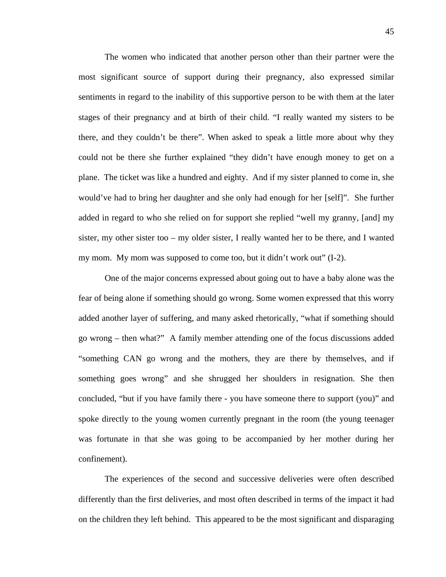The women who indicated that another person other than their partner were the most significant source of support during their pregnancy, also expressed similar sentiments in regard to the inability of this supportive person to be with them at the later stages of their pregnancy and at birth of their child. "I really wanted my sisters to be there, and they couldn't be there". When asked to speak a little more about why they could not be there she further explained "they didn't have enough money to get on a plane. The ticket was like a hundred and eighty. And if my sister planned to come in, she would've had to bring her daughter and she only had enough for her [self]". She further added in regard to who she relied on for support she replied "well my granny, [and] my sister, my other sister too – my older sister, I really wanted her to be there, and I wanted my mom. My mom was supposed to come too, but it didn't work out" (I-2).

One of the major concerns expressed about going out to have a baby alone was the fear of being alone if something should go wrong. Some women expressed that this worry added another layer of suffering, and many asked rhetorically, "what if something should go wrong – then what?" A family member attending one of the focus discussions added "something CAN go wrong and the mothers, they are there by themselves, and if something goes wrong" and she shrugged her shoulders in resignation. She then concluded, "but if you have family there - you have someone there to support (you)" and spoke directly to the young women currently pregnant in the room (the young teenager was fortunate in that she was going to be accompanied by her mother during her confinement).

The experiences of the second and successive deliveries were often described differently than the first deliveries, and most often described in terms of the impact it had on the children they left behind. This appeared to be the most significant and disparaging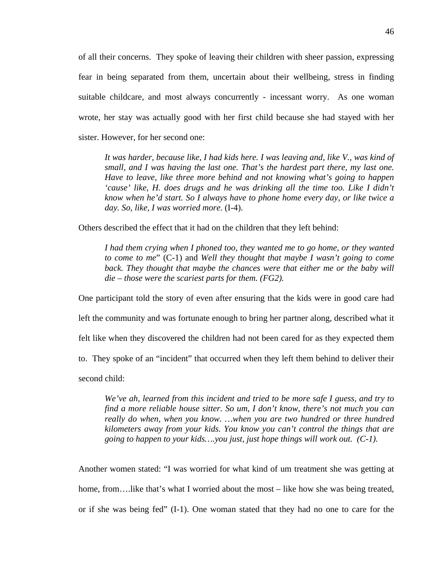of all their concerns. They spoke of leaving their children with sheer passion, expressing fear in being separated from them, uncertain about their wellbeing, stress in finding suitable childcare, and most always concurrently - incessant worry. As one woman wrote, her stay was actually good with her first child because she had stayed with her sister. However, for her second one:

*It was harder, because like, I had kids here. I was leaving and, like V., was kind of small, and I was having the last one. That's the hardest part there, my last one. Have to leave, like three more behind and not knowing what's going to happen 'cause' like, H. does drugs and he was drinking all the time too. Like I didn't know when he'd start. So I always have to phone home every day, or like twice a day. So, like, I was worried more.* (I-4).

Others described the effect that it had on the children that they left behind:

*I had them crying when I phoned too, they wanted me to go home, or they wanted to come to me*" (C-1) and *Well they thought that maybe I wasn't going to come back. They thought that maybe the chances were that either me or the baby will die – those were the scariest parts for them. (FG2).* 

One participant told the story of even after ensuring that the kids were in good care had

left the community and was fortunate enough to bring her partner along, described what it

felt like when they discovered the children had not been cared for as they expected them

to. They spoke of an "incident" that occurred when they left them behind to deliver their

second child:

*We've ah, learned from this incident and tried to be more safe I guess, and try to find a more reliable house sitter. So um, I don't know, there's not much you can really do when, when you know. …when you are two hundred or three hundred kilometers away from your kids. You know you can't control the things that are going to happen to your kids….you just, just hope things will work out. (C-1).*

Another women stated: "I was worried for what kind of um treatment she was getting at home, from....like that's what I worried about the most – like how she was being treated, or if she was being fed" (I-1). One woman stated that they had no one to care for the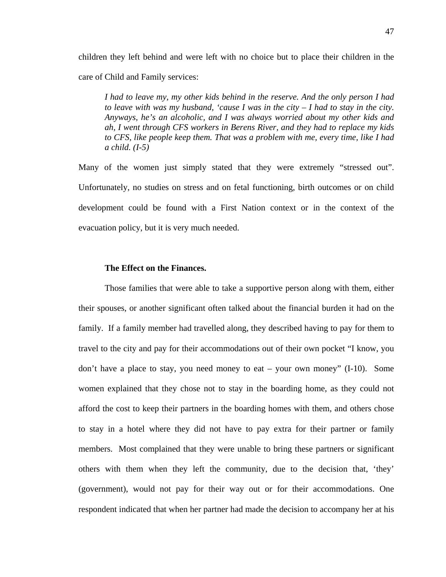children they left behind and were left with no choice but to place their children in the care of Child and Family services:

*I had to leave my, my other kids behind in the reserve. And the only person I had to leave with was my husband, 'cause I was in the city – I had to stay in the city. Anyways, he's an alcoholic, and I was always worried about my other kids and ah, I went through CFS workers in Berens River, and they had to replace my kids to CFS, like people keep them. That was a problem with me, every time, like I had a child. (I-5)*

Many of the women just simply stated that they were extremely "stressed out". Unfortunately, no studies on stress and on fetal functioning, birth outcomes or on child development could be found with a First Nation context or in the context of the evacuation policy, but it is very much needed.

### **The Effect on the Finances.**

Those families that were able to take a supportive person along with them, either their spouses, or another significant often talked about the financial burden it had on the family. If a family member had travelled along, they described having to pay for them to travel to the city and pay for their accommodations out of their own pocket "I know, you don't have a place to stay, you need money to eat – your own money" (I-10). Some women explained that they chose not to stay in the boarding home, as they could not afford the cost to keep their partners in the boarding homes with them, and others chose to stay in a hotel where they did not have to pay extra for their partner or family members. Most complained that they were unable to bring these partners or significant others with them when they left the community, due to the decision that, 'they' (government), would not pay for their way out or for their accommodations. One respondent indicated that when her partner had made the decision to accompany her at his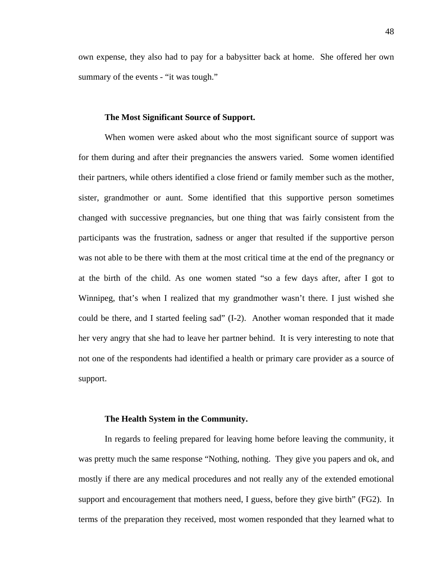own expense, they also had to pay for a babysitter back at home. She offered her own summary of the events - "it was tough."

### **The Most Significant Source of Support.**

When women were asked about who the most significant source of support was for them during and after their pregnancies the answers varied. Some women identified their partners, while others identified a close friend or family member such as the mother, sister, grandmother or aunt. Some identified that this supportive person sometimes changed with successive pregnancies, but one thing that was fairly consistent from the participants was the frustration, sadness or anger that resulted if the supportive person was not able to be there with them at the most critical time at the end of the pregnancy or at the birth of the child. As one women stated "so a few days after, after I got to Winnipeg, that's when I realized that my grandmother wasn't there. I just wished she could be there, and I started feeling sad" (I-2). Another woman responded that it made her very angry that she had to leave her partner behind. It is very interesting to note that not one of the respondents had identified a health or primary care provider as a source of support.

#### **The Health System in the Community.**

In regards to feeling prepared for leaving home before leaving the community, it was pretty much the same response "Nothing, nothing. They give you papers and ok, and mostly if there are any medical procedures and not really any of the extended emotional support and encouragement that mothers need, I guess, before they give birth" (FG2). In terms of the preparation they received, most women responded that they learned what to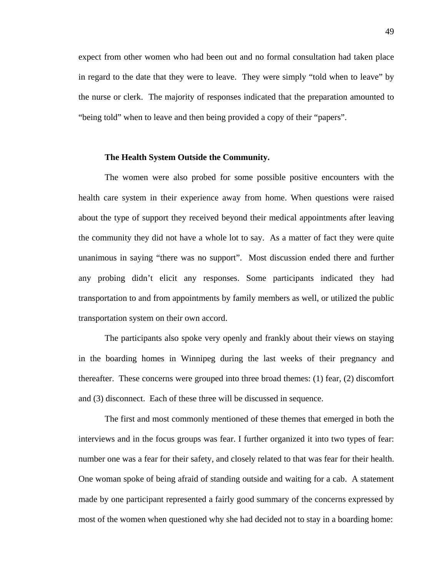expect from other women who had been out and no formal consultation had taken place in regard to the date that they were to leave. They were simply "told when to leave" by the nurse or clerk. The majority of responses indicated that the preparation amounted to "being told" when to leave and then being provided a copy of their "papers".

#### **The Health System Outside the Community.**

The women were also probed for some possible positive encounters with the health care system in their experience away from home. When questions were raised about the type of support they received beyond their medical appointments after leaving the community they did not have a whole lot to say. As a matter of fact they were quite unanimous in saying "there was no support". Most discussion ended there and further any probing didn't elicit any responses. Some participants indicated they had transportation to and from appointments by family members as well, or utilized the public transportation system on their own accord.

The participants also spoke very openly and frankly about their views on staying in the boarding homes in Winnipeg during the last weeks of their pregnancy and thereafter. These concerns were grouped into three broad themes: (1) fear, (2) discomfort and (3) disconnect. Each of these three will be discussed in sequence.

The first and most commonly mentioned of these themes that emerged in both the interviews and in the focus groups was fear. I further organized it into two types of fear: number one was a fear for their safety, and closely related to that was fear for their health. One woman spoke of being afraid of standing outside and waiting for a cab. A statement made by one participant represented a fairly good summary of the concerns expressed by most of the women when questioned why she had decided not to stay in a boarding home: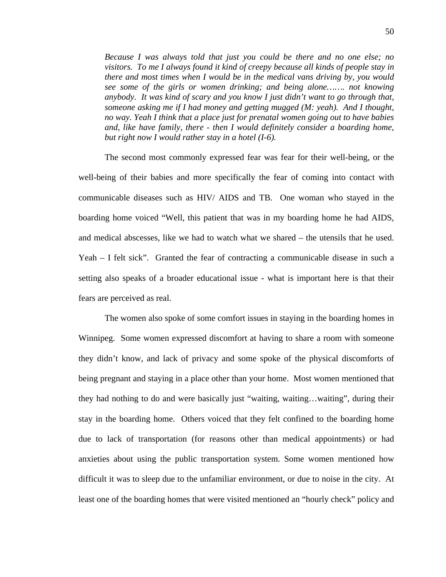*Because I was always told that just you could be there and no one else; no visitors. To me I always found it kind of creepy because all kinds of people stay in there and most times when I would be in the medical vans driving by, you would see some of the girls or women drinking; and being alone……. not knowing anybody. It was kind of scary and you know I just didn't want to go through that, someone asking me if I had money and getting mugged (M: yeah). And I thought, no way. Yeah I think that a place just for prenatal women going out to have babies and, like have family, there - then I would definitely consider a boarding home, but right now I would rather stay in a hotel (I-6).* 

The second most commonly expressed fear was fear for their well-being, or the well-being of their babies and more specifically the fear of coming into contact with communicable diseases such as HIV/ AIDS and TB. One woman who stayed in the boarding home voiced "Well, this patient that was in my boarding home he had AIDS, and medical abscesses, like we had to watch what we shared – the utensils that he used. Yeah – I felt sick". Granted the fear of contracting a communicable disease in such a setting also speaks of a broader educational issue - what is important here is that their fears are perceived as real.

The women also spoke of some comfort issues in staying in the boarding homes in Winnipeg. Some women expressed discomfort at having to share a room with someone they didn't know, and lack of privacy and some spoke of the physical discomforts of being pregnant and staying in a place other than your home. Most women mentioned that they had nothing to do and were basically just "waiting, waiting…waiting", during their stay in the boarding home. Others voiced that they felt confined to the boarding home due to lack of transportation (for reasons other than medical appointments) or had anxieties about using the public transportation system. Some women mentioned how difficult it was to sleep due to the unfamiliar environment, or due to noise in the city. At least one of the boarding homes that were visited mentioned an "hourly check" policy and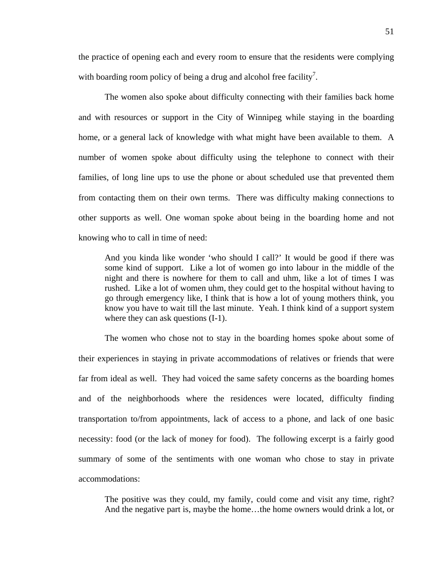the practice of opening each and every room to ensure that the residents were complying with boarding room policy of being a drug and alcohol free facility<sup>7</sup>.

The women also spoke about difficulty connecting with their families back home and with resources or support in the City of Winnipeg while staying in the boarding home, or a general lack of knowledge with what might have been available to them. A number of women spoke about difficulty using the telephone to connect with their families, of long line ups to use the phone or about scheduled use that prevented them from contacting them on their own terms. There was difficulty making connections to other supports as well. One woman spoke about being in the boarding home and not knowing who to call in time of need:

And you kinda like wonder 'who should I call?' It would be good if there was some kind of support. Like a lot of women go into labour in the middle of the night and there is nowhere for them to call and uhm, like a lot of times I was rushed. Like a lot of women uhm, they could get to the hospital without having to go through emergency like, I think that is how a lot of young mothers think, you know you have to wait till the last minute. Yeah. I think kind of a support system where they can ask questions  $(I-1)$ .

The women who chose not to stay in the boarding homes spoke about some of their experiences in staying in private accommodations of relatives or friends that were far from ideal as well. They had voiced the same safety concerns as the boarding homes and of the neighborhoods where the residences were located, difficulty finding transportation to/from appointments, lack of access to a phone, and lack of one basic necessity: food (or the lack of money for food). The following excerpt is a fairly good summary of some of the sentiments with one woman who chose to stay in private accommodations:

The positive was they could, my family, could come and visit any time, right? And the negative part is, maybe the home…the home owners would drink a lot, or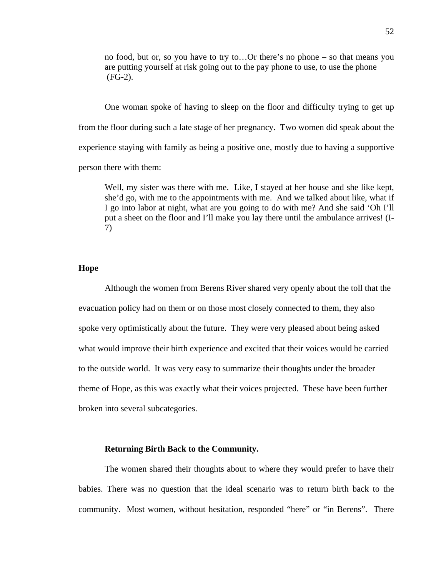no food, but or, so you have to try to…Or there's no phone – so that means you are putting yourself at risk going out to the pay phone to use, to use the phone (FG-2).

One woman spoke of having to sleep on the floor and difficulty trying to get up from the floor during such a late stage of her pregnancy. Two women did speak about the experience staying with family as being a positive one, mostly due to having a supportive person there with them:

Well, my sister was there with me. Like, I stayed at her house and she like kept, she'd go, with me to the appointments with me. And we talked about like, what if I go into labor at night, what are you going to do with me? And she said 'Oh I'll put a sheet on the floor and I'll make you lay there until the ambulance arrives! (I-7)

## **Hope**

Although the women from Berens River shared very openly about the toll that the evacuation policy had on them or on those most closely connected to them, they also spoke very optimistically about the future. They were very pleased about being asked what would improve their birth experience and excited that their voices would be carried to the outside world. It was very easy to summarize their thoughts under the broader theme of Hope, as this was exactly what their voices projected. These have been further broken into several subcategories.

### **Returning Birth Back to the Community.**

The women shared their thoughts about to where they would prefer to have their babies. There was no question that the ideal scenario was to return birth back to the community. Most women, without hesitation, responded "here" or "in Berens". There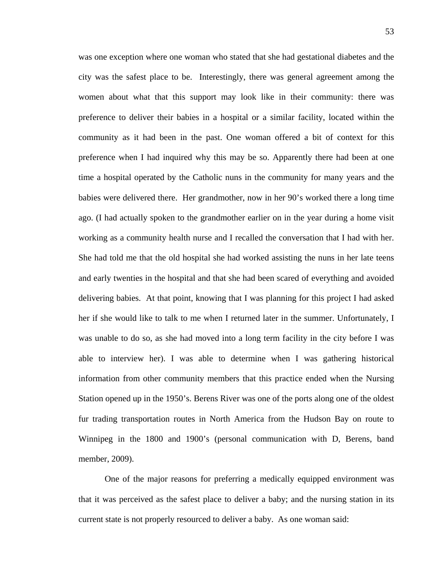was one exception where one woman who stated that she had gestational diabetes and the city was the safest place to be. Interestingly, there was general agreement among the women about what that this support may look like in their community: there was preference to deliver their babies in a hospital or a similar facility, located within the community as it had been in the past. One woman offered a bit of context for this preference when I had inquired why this may be so. Apparently there had been at one time a hospital operated by the Catholic nuns in the community for many years and the babies were delivered there. Her grandmother, now in her 90's worked there a long time ago. (I had actually spoken to the grandmother earlier on in the year during a home visit working as a community health nurse and I recalled the conversation that I had with her. She had told me that the old hospital she had worked assisting the nuns in her late teens and early twenties in the hospital and that she had been scared of everything and avoided delivering babies. At that point, knowing that I was planning for this project I had asked her if she would like to talk to me when I returned later in the summer. Unfortunately, I was unable to do so, as she had moved into a long term facility in the city before I was able to interview her). I was able to determine when I was gathering historical information from other community members that this practice ended when the Nursing Station opened up in the 1950's. Berens River was one of the ports along one of the oldest fur trading transportation routes in North America from the Hudson Bay on route to Winnipeg in the 1800 and 1900's (personal communication with D, Berens, band member, 2009).

One of the major reasons for preferring a medically equipped environment was that it was perceived as the safest place to deliver a baby; and the nursing station in its current state is not properly resourced to deliver a baby. As one woman said: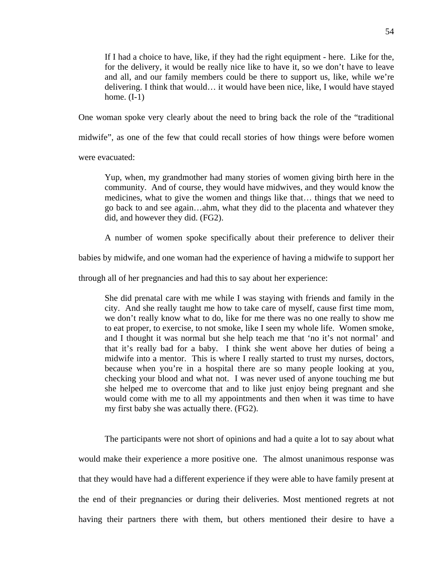If I had a choice to have, like, if they had the right equipment - here. Like for the, for the delivery, it would be really nice like to have it, so we don't have to leave and all, and our family members could be there to support us, like, while we're delivering. I think that would… it would have been nice, like, I would have stayed home.  $(I-1)$ 

One woman spoke very clearly about the need to bring back the role of the "traditional

midwife", as one of the few that could recall stories of how things were before women

were evacuated:

Yup, when, my grandmother had many stories of women giving birth here in the community. And of course, they would have midwives, and they would know the medicines, what to give the women and things like that… things that we need to go back to and see again…ahm, what they did to the placenta and whatever they did, and however they did. (FG2).

A number of women spoke specifically about their preference to deliver their

babies by midwife, and one woman had the experience of having a midwife to support her

through all of her pregnancies and had this to say about her experience:

She did prenatal care with me while I was staying with friends and family in the city. And she really taught me how to take care of myself, cause first time mom, we don't really know what to do, like for me there was no one really to show me to eat proper, to exercise, to not smoke, like I seen my whole life. Women smoke, and I thought it was normal but she help teach me that 'no it's not normal' and that it's really bad for a baby. I think she went above her duties of being a midwife into a mentor. This is where I really started to trust my nurses, doctors, because when you're in a hospital there are so many people looking at you, checking your blood and what not. I was never used of anyone touching me but she helped me to overcome that and to like just enjoy being pregnant and she would come with me to all my appointments and then when it was time to have my first baby she was actually there. (FG2).

The participants were not short of opinions and had a quite a lot to say about what would make their experience a more positive one. The almost unanimous response was that they would have had a different experience if they were able to have family present at the end of their pregnancies or during their deliveries. Most mentioned regrets at not having their partners there with them, but others mentioned their desire to have a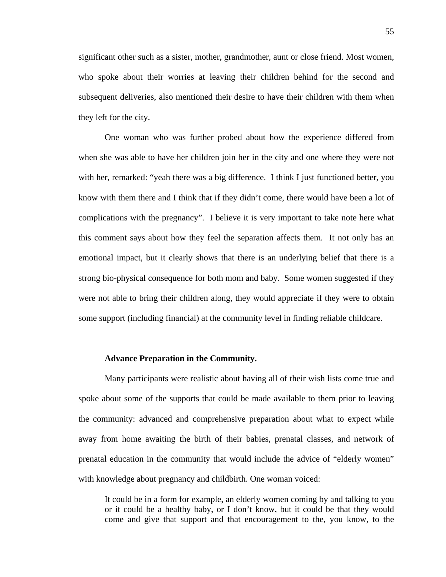significant other such as a sister, mother, grandmother, aunt or close friend. Most women, who spoke about their worries at leaving their children behind for the second and subsequent deliveries, also mentioned their desire to have their children with them when they left for the city.

One woman who was further probed about how the experience differed from when she was able to have her children join her in the city and one where they were not with her, remarked: "yeah there was a big difference. I think I just functioned better, you know with them there and I think that if they didn't come, there would have been a lot of complications with the pregnancy". I believe it is very important to take note here what this comment says about how they feel the separation affects them. It not only has an emotional impact, but it clearly shows that there is an underlying belief that there is a strong bio-physical consequence for both mom and baby. Some women suggested if they were not able to bring their children along, they would appreciate if they were to obtain some support (including financial) at the community level in finding reliable childcare.

## **Advance Preparation in the Community.**

Many participants were realistic about having all of their wish lists come true and spoke about some of the supports that could be made available to them prior to leaving the community: advanced and comprehensive preparation about what to expect while away from home awaiting the birth of their babies, prenatal classes, and network of prenatal education in the community that would include the advice of "elderly women" with knowledge about pregnancy and childbirth. One woman voiced:

It could be in a form for example, an elderly women coming by and talking to you or it could be a healthy baby, or I don't know, but it could be that they would come and give that support and that encouragement to the, you know, to the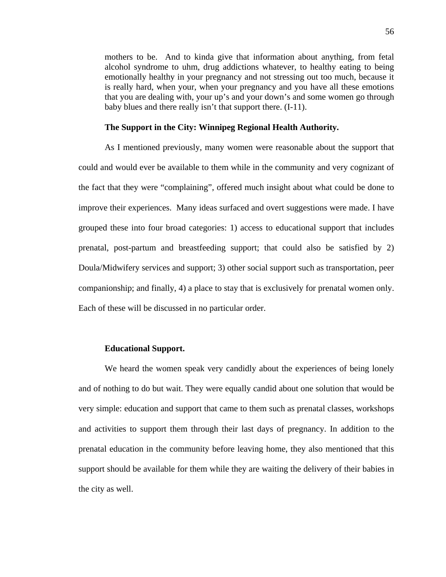mothers to be. And to kinda give that information about anything, from fetal alcohol syndrome to uhm, drug addictions whatever, to healthy eating to being emotionally healthy in your pregnancy and not stressing out too much, because it is really hard, when your, when your pregnancy and you have all these emotions that you are dealing with, your up's and your down's and some women go through baby blues and there really isn't that support there. (I-11).

#### **The Support in the City: Winnipeg Regional Health Authority.**

As I mentioned previously, many women were reasonable about the support that could and would ever be available to them while in the community and very cognizant of the fact that they were "complaining", offered much insight about what could be done to improve their experiences. Many ideas surfaced and overt suggestions were made. I have grouped these into four broad categories: 1) access to educational support that includes prenatal, post-partum and breastfeeding support; that could also be satisfied by 2) Doula/Midwifery services and support; 3) other social support such as transportation, peer companionship; and finally, 4) a place to stay that is exclusively for prenatal women only. Each of these will be discussed in no particular order.

# **Educational Support.**

We heard the women speak very candidly about the experiences of being lonely and of nothing to do but wait. They were equally candid about one solution that would be very simple: education and support that came to them such as prenatal classes, workshops and activities to support them through their last days of pregnancy. In addition to the prenatal education in the community before leaving home, they also mentioned that this support should be available for them while they are waiting the delivery of their babies in the city as well.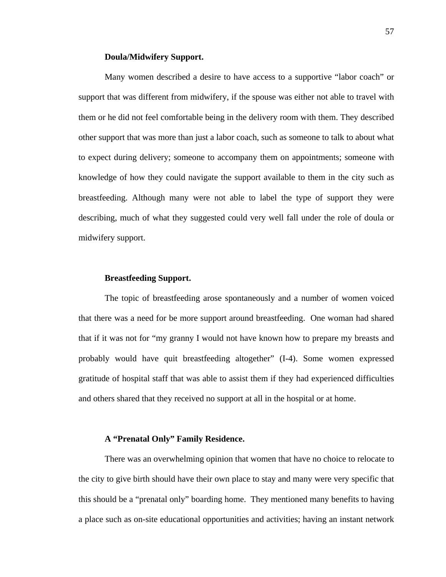## **Doula/Midwifery Support.**

Many women described a desire to have access to a supportive "labor coach" or support that was different from midwifery, if the spouse was either not able to travel with them or he did not feel comfortable being in the delivery room with them. They described other support that was more than just a labor coach, such as someone to talk to about what to expect during delivery; someone to accompany them on appointments; someone with knowledge of how they could navigate the support available to them in the city such as breastfeeding. Although many were not able to label the type of support they were describing, much of what they suggested could very well fall under the role of doula or midwifery support.

# **Breastfeeding Support.**

The topic of breastfeeding arose spontaneously and a number of women voiced that there was a need for be more support around breastfeeding. One woman had shared that if it was not for "my granny I would not have known how to prepare my breasts and probably would have quit breastfeeding altogether" (I-4). Some women expressed gratitude of hospital staff that was able to assist them if they had experienced difficulties and others shared that they received no support at all in the hospital or at home.

## **A "Prenatal Only" Family Residence.**

There was an overwhelming opinion that women that have no choice to relocate to the city to give birth should have their own place to stay and many were very specific that this should be a "prenatal only" boarding home. They mentioned many benefits to having a place such as on-site educational opportunities and activities; having an instant network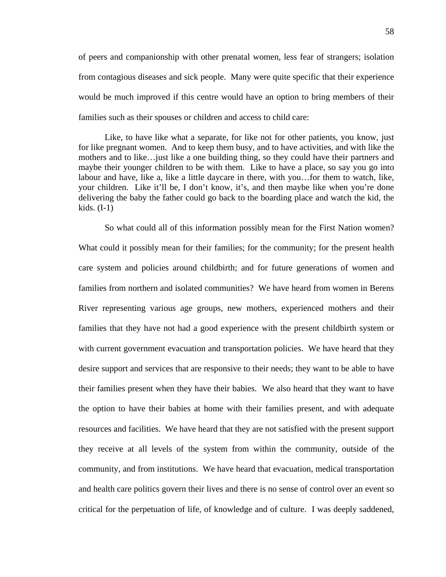of peers and companionship with other prenatal women, less fear of strangers; isolation from contagious diseases and sick people. Many were quite specific that their experience would be much improved if this centre would have an option to bring members of their families such as their spouses or children and access to child care:

Like, to have like what a separate, for like not for other patients, you know, just for like pregnant women. And to keep them busy, and to have activities, and with like the mothers and to like…just like a one building thing, so they could have their partners and maybe their younger children to be with them. Like to have a place, so say you go into labour and have, like a, like a little daycare in there, with you…for them to watch, like, your children. Like it'll be, I don't know, it's, and then maybe like when you're done delivering the baby the father could go back to the boarding place and watch the kid, the kids. (I-1)

So what could all of this information possibly mean for the First Nation women? What could it possibly mean for their families; for the community; for the present health care system and policies around childbirth; and for future generations of women and families from northern and isolated communities? We have heard from women in Berens River representing various age groups, new mothers, experienced mothers and their families that they have not had a good experience with the present childbirth system or with current government evacuation and transportation policies. We have heard that they desire support and services that are responsive to their needs; they want to be able to have their families present when they have their babies. We also heard that they want to have the option to have their babies at home with their families present, and with adequate resources and facilities. We have heard that they are not satisfied with the present support they receive at all levels of the system from within the community, outside of the community, and from institutions. We have heard that evacuation, medical transportation and health care politics govern their lives and there is no sense of control over an event so critical for the perpetuation of life, of knowledge and of culture. I was deeply saddened,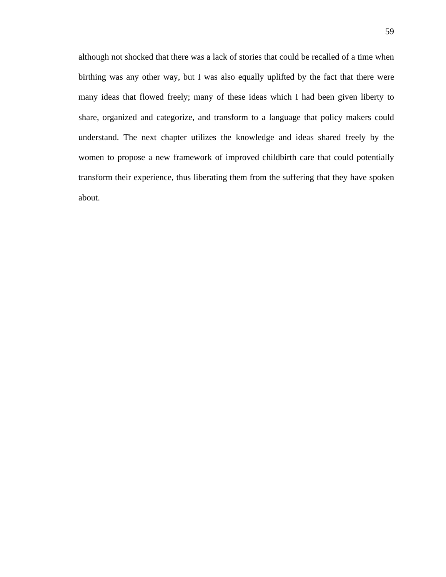although not shocked that there was a lack of stories that could be recalled of a time when birthing was any other way, but I was also equally uplifted by the fact that there were many ideas that flowed freely; many of these ideas which I had been given liberty to share, organized and categorize, and transform to a language that policy makers could understand. The next chapter utilizes the knowledge and ideas shared freely by the women to propose a new framework of improved childbirth care that could potentially transform their experience, thus liberating them from the suffering that they have spoken about.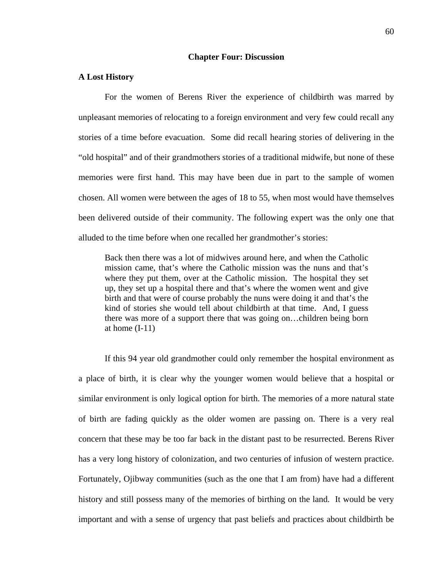### **Chapter Four: Discussion**

#### **A Lost History**

For the women of Berens River the experience of childbirth was marred by unpleasant memories of relocating to a foreign environment and very few could recall any stories of a time before evacuation. Some did recall hearing stories of delivering in the "old hospital" and of their grandmothers stories of a traditional midwife, but none of these memories were first hand. This may have been due in part to the sample of women chosen. All women were between the ages of 18 to 55, when most would have themselves been delivered outside of their community. The following expert was the only one that alluded to the time before when one recalled her grandmother's stories:

Back then there was a lot of midwives around here, and when the Catholic mission came, that's where the Catholic mission was the nuns and that's where they put them, over at the Catholic mission. The hospital they set up, they set up a hospital there and that's where the women went and give birth and that were of course probably the nuns were doing it and that's the kind of stories she would tell about childbirth at that time. And, I guess there was more of a support there that was going on…children being born at home  $(I-11)$ 

If this 94 year old grandmother could only remember the hospital environment as a place of birth, it is clear why the younger women would believe that a hospital or similar environment is only logical option for birth. The memories of a more natural state of birth are fading quickly as the older women are passing on. There is a very real concern that these may be too far back in the distant past to be resurrected. Berens River has a very long history of colonization, and two centuries of infusion of western practice. Fortunately, Ojibway communities (such as the one that I am from) have had a different history and still possess many of the memories of birthing on the land. It would be very important and with a sense of urgency that past beliefs and practices about childbirth be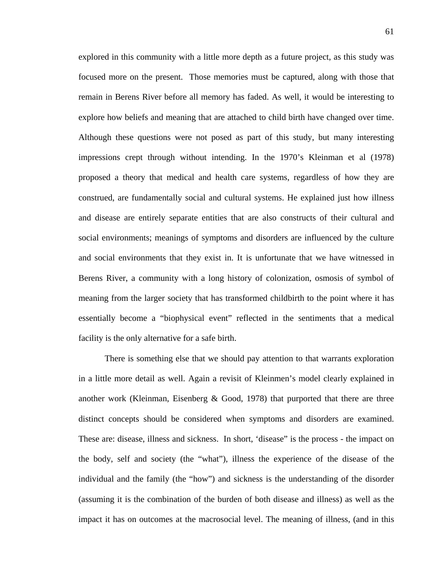explored in this community with a little more depth as a future project, as this study was focused more on the present. Those memories must be captured, along with those that remain in Berens River before all memory has faded. As well, it would be interesting to explore how beliefs and meaning that are attached to child birth have changed over time. Although these questions were not posed as part of this study, but many interesting impressions crept through without intending. In the 1970's Kleinman et al (1978) proposed a theory that medical and health care systems, regardless of how they are construed, are fundamentally social and cultural systems. He explained just how illness and disease are entirely separate entities that are also constructs of their cultural and social environments; meanings of symptoms and disorders are influenced by the culture and social environments that they exist in. It is unfortunate that we have witnessed in Berens River, a community with a long history of colonization, osmosis of symbol of meaning from the larger society that has transformed childbirth to the point where it has essentially become a "biophysical event" reflected in the sentiments that a medical facility is the only alternative for a safe birth.

There is something else that we should pay attention to that warrants exploration in a little more detail as well. Again a revisit of Kleinmen's model clearly explained in another work (Kleinman, Eisenberg & Good, 1978) that purported that there are three distinct concepts should be considered when symptoms and disorders are examined. These are: disease, illness and sickness. In short, 'disease" is the process - the impact on the body, self and society (the "what"), illness the experience of the disease of the individual and the family (the "how") and sickness is the understanding of the disorder (assuming it is the combination of the burden of both disease and illness) as well as the impact it has on outcomes at the macrosocial level. The meaning of illness, (and in this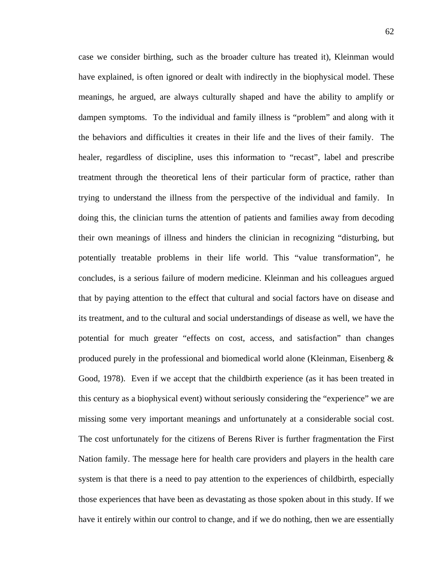case we consider birthing, such as the broader culture has treated it), Kleinman would have explained, is often ignored or dealt with indirectly in the biophysical model. These meanings, he argued, are always culturally shaped and have the ability to amplify or dampen symptoms. To the individual and family illness is "problem" and along with it the behaviors and difficulties it creates in their life and the lives of their family. The healer, regardless of discipline, uses this information to "recast", label and prescribe treatment through the theoretical lens of their particular form of practice, rather than trying to understand the illness from the perspective of the individual and family. In doing this, the clinician turns the attention of patients and families away from decoding their own meanings of illness and hinders the clinician in recognizing "disturbing, but potentially treatable problems in their life world. This "value transformation", he concludes, is a serious failure of modern medicine. Kleinman and his colleagues argued that by paying attention to the effect that cultural and social factors have on disease and its treatment, and to the cultural and social understandings of disease as well, we have the potential for much greater "effects on cost, access, and satisfaction" than changes produced purely in the professional and biomedical world alone (Kleinman, Eisenberg & Good, 1978). Even if we accept that the childbirth experience (as it has been treated in this century as a biophysical event) without seriously considering the "experience" we are missing some very important meanings and unfortunately at a considerable social cost. The cost unfortunately for the citizens of Berens River is further fragmentation the First Nation family. The message here for health care providers and players in the health care system is that there is a need to pay attention to the experiences of childbirth, especially those experiences that have been as devastating as those spoken about in this study. If we have it entirely within our control to change, and if we do nothing, then we are essentially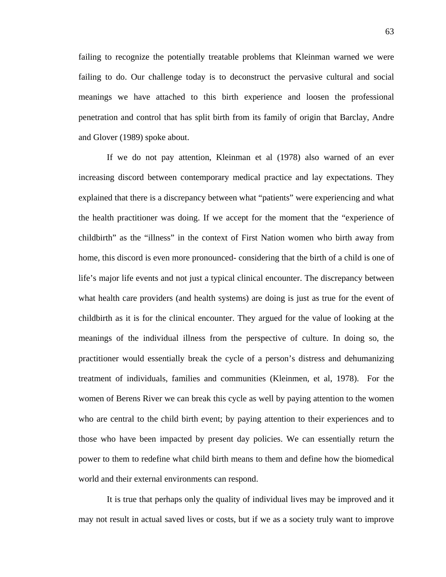failing to recognize the potentially treatable problems that Kleinman warned we were failing to do. Our challenge today is to deconstruct the pervasive cultural and social meanings we have attached to this birth experience and loosen the professional penetration and control that has split birth from its family of origin that Barclay, Andre and Glover (1989) spoke about.

 If we do not pay attention, Kleinman et al (1978) also warned of an ever increasing discord between contemporary medical practice and lay expectations. They explained that there is a discrepancy between what "patients" were experiencing and what the health practitioner was doing. If we accept for the moment that the "experience of childbirth" as the "illness" in the context of First Nation women who birth away from home, this discord is even more pronounced- considering that the birth of a child is one of life's major life events and not just a typical clinical encounter. The discrepancy between what health care providers (and health systems) are doing is just as true for the event of childbirth as it is for the clinical encounter. They argued for the value of looking at the meanings of the individual illness from the perspective of culture. In doing so, the practitioner would essentially break the cycle of a person's distress and dehumanizing treatment of individuals, families and communities (Kleinmen, et al, 1978). For the women of Berens River we can break this cycle as well by paying attention to the women who are central to the child birth event; by paying attention to their experiences and to those who have been impacted by present day policies. We can essentially return the power to them to redefine what child birth means to them and define how the biomedical world and their external environments can respond.

 It is true that perhaps only the quality of individual lives may be improved and it may not result in actual saved lives or costs, but if we as a society truly want to improve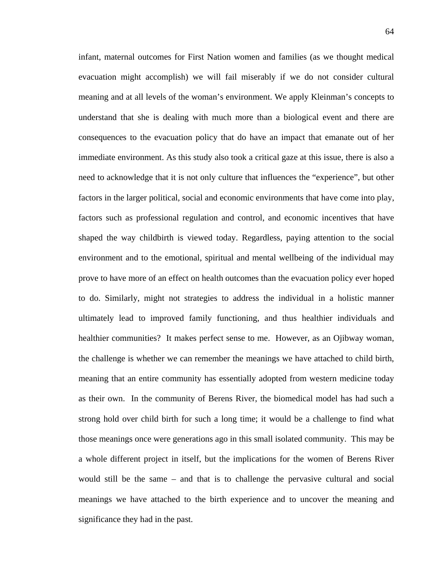infant, maternal outcomes for First Nation women and families (as we thought medical evacuation might accomplish) we will fail miserably if we do not consider cultural meaning and at all levels of the woman's environment. We apply Kleinman's concepts to understand that she is dealing with much more than a biological event and there are consequences to the evacuation policy that do have an impact that emanate out of her immediate environment. As this study also took a critical gaze at this issue, there is also a need to acknowledge that it is not only culture that influences the "experience", but other factors in the larger political, social and economic environments that have come into play, factors such as professional regulation and control, and economic incentives that have shaped the way childbirth is viewed today. Regardless, paying attention to the social environment and to the emotional, spiritual and mental wellbeing of the individual may prove to have more of an effect on health outcomes than the evacuation policy ever hoped to do. Similarly, might not strategies to address the individual in a holistic manner ultimately lead to improved family functioning, and thus healthier individuals and healthier communities? It makes perfect sense to me. However, as an Ojibway woman, the challenge is whether we can remember the meanings we have attached to child birth, meaning that an entire community has essentially adopted from western medicine today as their own. In the community of Berens River, the biomedical model has had such a strong hold over child birth for such a long time; it would be a challenge to find what those meanings once were generations ago in this small isolated community. This may be a whole different project in itself, but the implications for the women of Berens River would still be the same – and that is to challenge the pervasive cultural and social meanings we have attached to the birth experience and to uncover the meaning and significance they had in the past.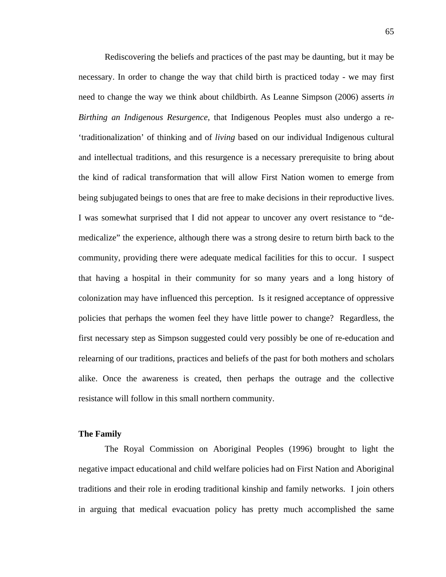Rediscovering the beliefs and practices of the past may be daunting, but it may be necessary. In order to change the way that child birth is practiced today - we may first need to change the way we think about childbirth. As Leanne Simpson (2006) asserts *in Birthing an Indigenous Resurgence*, that Indigenous Peoples must also undergo a re- 'traditionalization' of thinking and of *living* based on our individual Indigenous cultural and intellectual traditions, and this resurgence is a necessary prerequisite to bring about the kind of radical transformation that will allow First Nation women to emerge from being subjugated beings to ones that are free to make decisions in their reproductive lives. I was somewhat surprised that I did not appear to uncover any overt resistance to "demedicalize" the experience, although there was a strong desire to return birth back to the community, providing there were adequate medical facilities for this to occur. I suspect that having a hospital in their community for so many years and a long history of colonization may have influenced this perception. Is it resigned acceptance of oppressive policies that perhaps the women feel they have little power to change? Regardless, the first necessary step as Simpson suggested could very possibly be one of re-education and relearning of our traditions, practices and beliefs of the past for both mothers and scholars alike. Once the awareness is created, then perhaps the outrage and the collective resistance will follow in this small northern community.

# **The Family**

The Royal Commission on Aboriginal Peoples (1996) brought to light the negative impact educational and child welfare policies had on First Nation and Aboriginal traditions and their role in eroding traditional kinship and family networks. I join others in arguing that medical evacuation policy has pretty much accomplished the same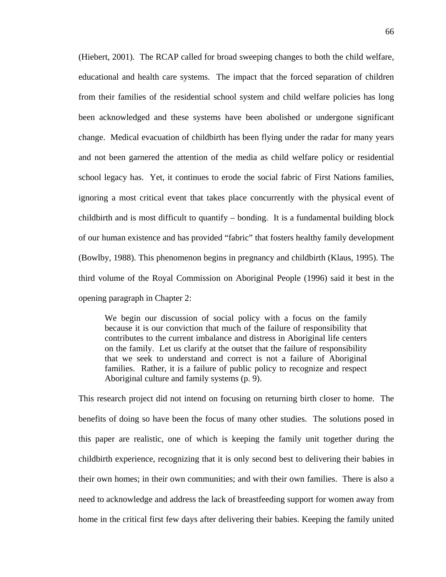(Hiebert, 2001). The RCAP called for broad sweeping changes to both the child welfare, educational and health care systems. The impact that the forced separation of children from their families of the residential school system and child welfare policies has long been acknowledged and these systems have been abolished or undergone significant change. Medical evacuation of childbirth has been flying under the radar for many years and not been garnered the attention of the media as child welfare policy or residential school legacy has. Yet, it continues to erode the social fabric of First Nations families, ignoring a most critical event that takes place concurrently with the physical event of childbirth and is most difficult to quantify – bonding. It is a fundamental building block of our human existence and has provided "fabric" that fosters healthy family development (Bowlby, 1988). This phenomenon begins in pregnancy and childbirth (Klaus, 1995). The third volume of the Royal Commission on Aboriginal People (1996) said it best in the opening paragraph in Chapter 2:

We begin our discussion of social policy with a focus on the family because it is our conviction that much of the failure of responsibility that contributes to the current imbalance and distress in Aboriginal life centers on the family. Let us clarify at the outset that the failure of responsibility that we seek to understand and correct is not a failure of Aboriginal families. Rather, it is a failure of public policy to recognize and respect Aboriginal culture and family systems (p. 9).

This research project did not intend on focusing on returning birth closer to home. The benefits of doing so have been the focus of many other studies. The solutions posed in this paper are realistic, one of which is keeping the family unit together during the childbirth experience, recognizing that it is only second best to delivering their babies in their own homes; in their own communities; and with their own families. There is also a need to acknowledge and address the lack of breastfeeding support for women away from home in the critical first few days after delivering their babies. Keeping the family united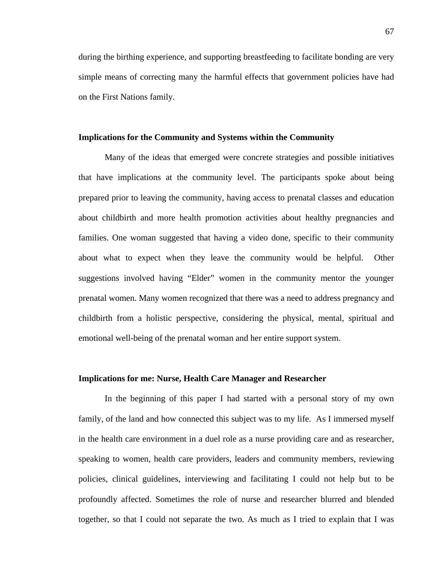during the birthing experience, and supporting breastfeeding to facilitate bonding are very simple means of correcting many the harmful effects that government policies have had on the First Nations family.

## **Implications for the Community and Systems within the Community**

Many of the ideas that emerged were concrete strategies and possible initiatives that have implications at the community level. The participants spoke about being prepared prior to leaving the community, having access to prenatal classes and education about childbirth and more health promotion activities about healthy pregnancies and families. One woman suggested that having a video done, specific to their community about what to expect when they leave the community would be helpful.Other suggestions involved having "Elder" women in the community mentor the younger prenatal women. Many women recognized that there was a need to address pregnancy and childbirth from a holistic perspective, considering the physical, mental, spiritual and emotional well-being of the prenatal woman and her entire support system.

## **Implications for me: Nurse, Health Care Manager and Researcher**

In the beginning of this paper I had started with a personal story of my own family, of the land and how connected this subject was to my life. As I immersed myself in the health care environment in a duel role as a nurse providing care and as researcher, speaking to women, health care providers, leaders and community members, reviewing policies, clinical guidelines, interviewing and facilitating I could not help but to be profoundly affected. Sometimes the role of nurse and researcher blurred and blended together, so that I could not separate the two. As much as I tried to explain that I was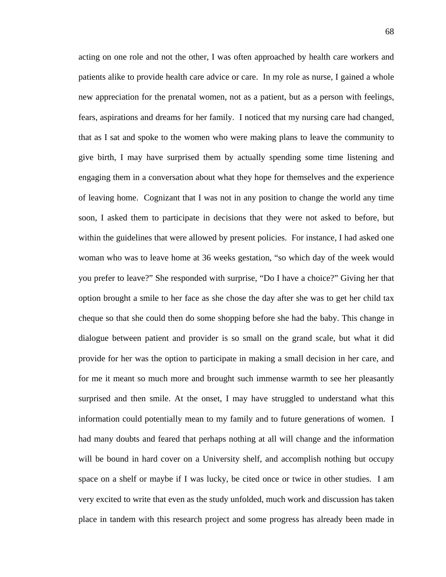acting on one role and not the other, I was often approached by health care workers and patients alike to provide health care advice or care. In my role as nurse, I gained a whole new appreciation for the prenatal women, not as a patient, but as a person with feelings, fears, aspirations and dreams for her family. I noticed that my nursing care had changed, that as I sat and spoke to the women who were making plans to leave the community to give birth, I may have surprised them by actually spending some time listening and engaging them in a conversation about what they hope for themselves and the experience of leaving home. Cognizant that I was not in any position to change the world any time soon, I asked them to participate in decisions that they were not asked to before, but within the guidelines that were allowed by present policies. For instance, I had asked one woman who was to leave home at 36 weeks gestation, "so which day of the week would you prefer to leave?" She responded with surprise, "Do I have a choice?" Giving her that option brought a smile to her face as she chose the day after she was to get her child tax cheque so that she could then do some shopping before she had the baby. This change in dialogue between patient and provider is so small on the grand scale, but what it did provide for her was the option to participate in making a small decision in her care, and for me it meant so much more and brought such immense warmth to see her pleasantly surprised and then smile. At the onset, I may have struggled to understand what this information could potentially mean to my family and to future generations of women. I had many doubts and feared that perhaps nothing at all will change and the information will be bound in hard cover on a University shelf, and accomplish nothing but occupy space on a shelf or maybe if I was lucky, be cited once or twice in other studies. I am very excited to write that even as the study unfolded, much work and discussion has taken place in tandem with this research project and some progress has already been made in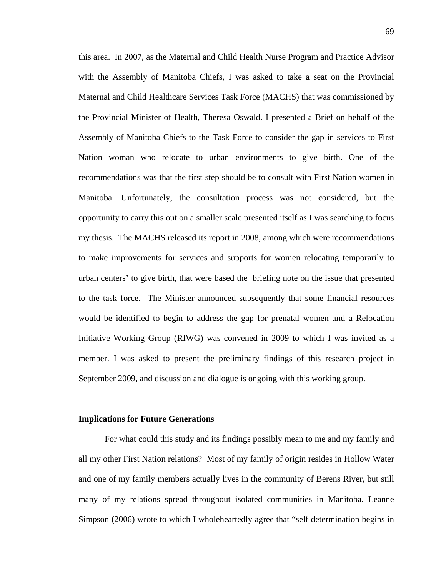this area. In 2007, as the Maternal and Child Health Nurse Program and Practice Advisor with the Assembly of Manitoba Chiefs, I was asked to take a seat on the Provincial Maternal and Child Healthcare Services Task Force (MACHS) that was commissioned by the Provincial Minister of Health, Theresa Oswald. I presented a Brief on behalf of the Assembly of Manitoba Chiefs to the Task Force to consider the gap in services to First Nation woman who relocate to urban environments to give birth. One of the recommendations was that the first step should be to consult with First Nation women in Manitoba. Unfortunately, the consultation process was not considered, but the opportunity to carry this out on a smaller scale presented itself as I was searching to focus my thesis. The MACHS released its report in 2008, among which were recommendations to make improvements for services and supports for women relocating temporarily to urban centers' to give birth, that were based the briefing note on the issue that presented to the task force. The Minister announced subsequently that some financial resources would be identified to begin to address the gap for prenatal women and a Relocation Initiative Working Group (RIWG) was convened in 2009 to which I was invited as a member. I was asked to present the preliminary findings of this research project in September 2009, and discussion and dialogue is ongoing with this working group.

## **Implications for Future Generations**

For what could this study and its findings possibly mean to me and my family and all my other First Nation relations? Most of my family of origin resides in Hollow Water and one of my family members actually lives in the community of Berens River, but still many of my relations spread throughout isolated communities in Manitoba. Leanne Simpson (2006) wrote to which I wholeheartedly agree that "self determination begins in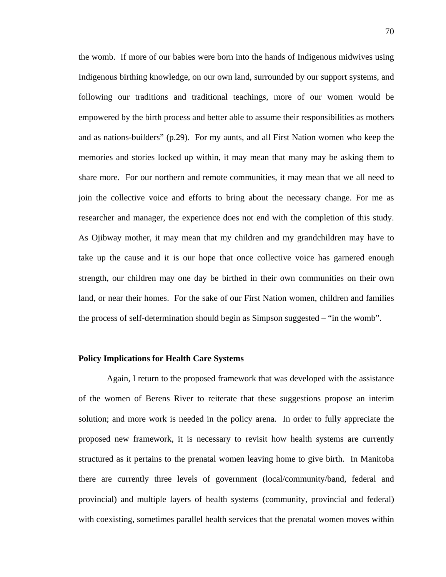the womb. If more of our babies were born into the hands of Indigenous midwives using Indigenous birthing knowledge, on our own land, surrounded by our support systems, and following our traditions and traditional teachings, more of our women would be empowered by the birth process and better able to assume their responsibilities as mothers and as nations-builders" (p.29). For my aunts, and all First Nation women who keep the memories and stories locked up within, it may mean that many may be asking them to share more. For our northern and remote communities, it may mean that we all need to join the collective voice and efforts to bring about the necessary change. For me as researcher and manager, the experience does not end with the completion of this study. As Ojibway mother, it may mean that my children and my grandchildren may have to take up the cause and it is our hope that once collective voice has garnered enough strength, our children may one day be birthed in their own communities on their own land, or near their homes. For the sake of our First Nation women, children and families the process of self-determination should begin as Simpson suggested – "in the womb".

# **Policy Implications for Health Care Systems**

 Again, I return to the proposed framework that was developed with the assistance of the women of Berens River to reiterate that these suggestions propose an interim solution; and more work is needed in the policy arena. In order to fully appreciate the proposed new framework, it is necessary to revisit how health systems are currently structured as it pertains to the prenatal women leaving home to give birth. In Manitoba there are currently three levels of government (local/community/band, federal and provincial) and multiple layers of health systems (community, provincial and federal) with coexisting, sometimes parallel health services that the prenatal women moves within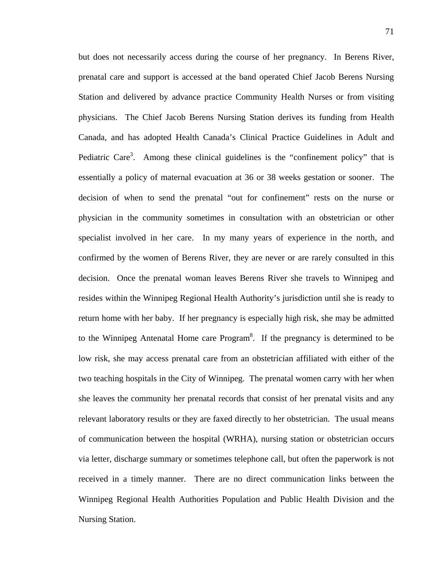but does not necessarily access during the course of her pregnancy. In Berens River, prenatal care and support is accessed at the band operated Chief Jacob Berens Nursing Station and delivered by advance practice Community Health Nurses or from visiting physicians. The Chief Jacob Berens Nursing Station derives its funding from Health Canada, and has adopted Health Canada's Clinical Practice Guidelines in Adult and Pediatric Care<sup>3</sup>. Among these clinical guidelines is the "confinement policy" that is essentially a policy of maternal evacuation at 36 or 38 weeks gestation or sooner. The decision of when to send the prenatal "out for confinement" rests on the nurse or physician in the community sometimes in consultation with an obstetrician or other specialist involved in her care. In my many years of experience in the north, and confirmed by the women of Berens River, they are never or are rarely consulted in this decision. Once the prenatal woman leaves Berens River she travels to Winnipeg and resides within the Winnipeg Regional Health Authority's jurisdiction until she is ready to return home with her baby. If her pregnancy is especially high risk, she may be admitted to the Winnipeg Antenatal Home care  $Program<sup>8</sup>$ . If the pregnancy is determined to be low risk, she may access prenatal care from an obstetrician affiliated with either of the two teaching hospitals in the City of Winnipeg. The prenatal women carry with her when she leaves the community her prenatal records that consist of her prenatal visits and any relevant laboratory results or they are faxed directly to her obstetrician. The usual means of communication between the hospital (WRHA), nursing station or obstetrician occurs via letter, discharge summary or sometimes telephone call, but often the paperwork is not received in a timely manner. There are no direct communication links between the Winnipeg Regional Health Authorities Population and Public Health Division and the Nursing Station.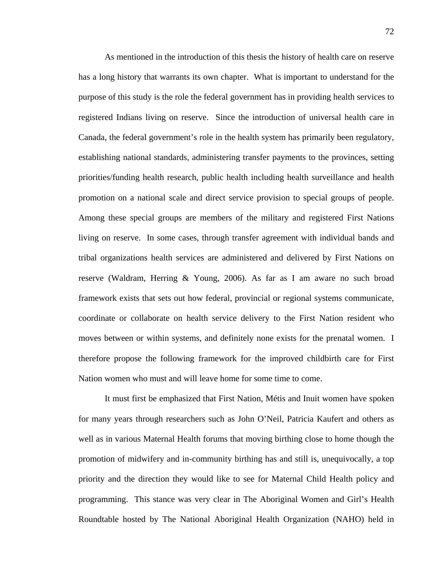As mentioned in the introduction of this thesis the history of health care on reserve has a long history that warrants its own chapter. What is important to understand for the purpose of this study is the role the federal government has in providing health services to registered Indians living on reserve. Since the introduction of universal health care in Canada, the federal government's role in the health system has primarily been regulatory, establishing national standards, administering transfer payments to the provinces, setting priorities/funding health research, public health including health surveillance and health promotion on a national scale and direct service provision to special groups of people. Among these special groups are members of the military and registered First Nations living on reserve. In some cases, through transfer agreement with individual bands and tribal organizations health services are administered and delivered by First Nations on reserve (Waldram, Herring & Young, 2006). As far as I am aware no such broad framework exists that sets out how federal, provincial or regional systems communicate, coordinate or collaborate on health service delivery to the First Nation resident who moves between or within systems, and definitely none exists for the prenatal women. I therefore propose the following framework for the improved childbirth care for First Nation women who must and will leave home for some time to come.

It must first be emphasized that First Nation, Métis and Inuit women have spoken for many years through researchers such as John O'Neil, Patricia Kaufert and others as well as in various Maternal Health forums that moving birthing close to home though the promotion of midwifery and in-community birthing has and still is, unequivocally, a top priority and the direction they would like to see for Maternal Child Health policy and programming. This stance was very clear in The Aboriginal Women and Girl's Health Roundtable hosted by The National Aboriginal Health Organization (NAHO) held in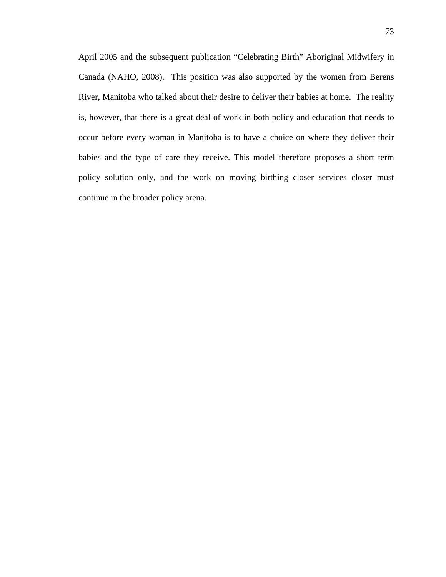April 2005 and the subsequent publication "Celebrating Birth" Aboriginal Midwifery in Canada (NAHO, 2008). This position was also supported by the women from Berens River, Manitoba who talked about their desire to deliver their babies at home. The reality is, however, that there is a great deal of work in both policy and education that needs to occur before every woman in Manitoba is to have a choice on where they deliver their babies and the type of care they receive. This model therefore proposes a short term policy solution only, and the work on moving birthing closer services closer must continue in the broader policy arena.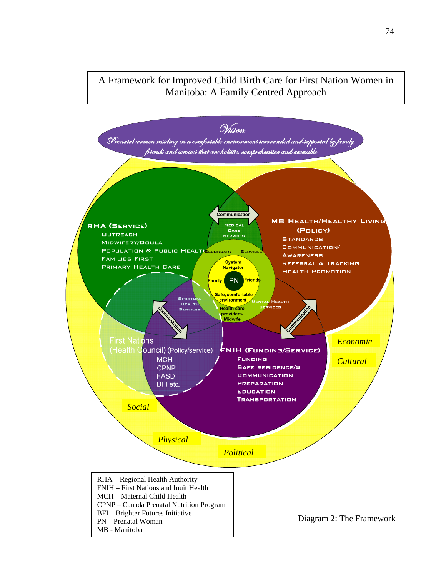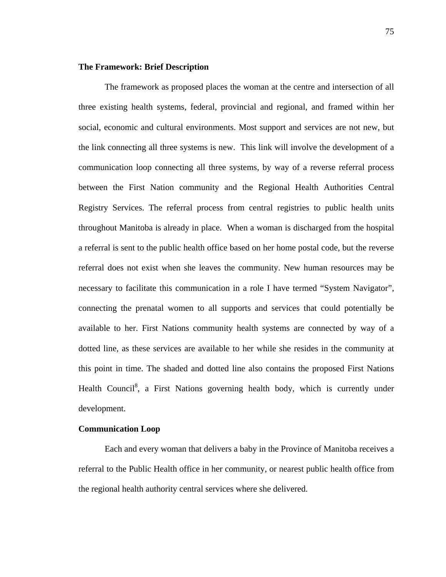## **The Framework: Brief Description**

The framework as proposed places the woman at the centre and intersection of all three existing health systems, federal, provincial and regional, and framed within her social, economic and cultural environments. Most support and services are not new, but the link connecting all three systems is new. This link will involve the development of a communication loop connecting all three systems, by way of a reverse referral process between the First Nation community and the Regional Health Authorities Central Registry Services. The referral process from central registries to public health units throughout Manitoba is already in place. When a woman is discharged from the hospital a referral is sent to the public health office based on her home postal code, but the reverse referral does not exist when she leaves the community. New human resources may be necessary to facilitate this communication in a role I have termed "System Navigator", connecting the prenatal women to all supports and services that could potentially be available to her. First Nations community health systems are connected by way of a dotted line, as these services are available to her while she resides in the community at this point in time. The shaded and dotted line also contains the proposed First Nations Health Council<sup>8</sup>, a First Nations governing health body, which is currently under development.

# **Communication Loop**

Each and every woman that delivers a baby in the Province of Manitoba receives a referral to the Public Health office in her community, or nearest public health office from the regional health authority central services where she delivered.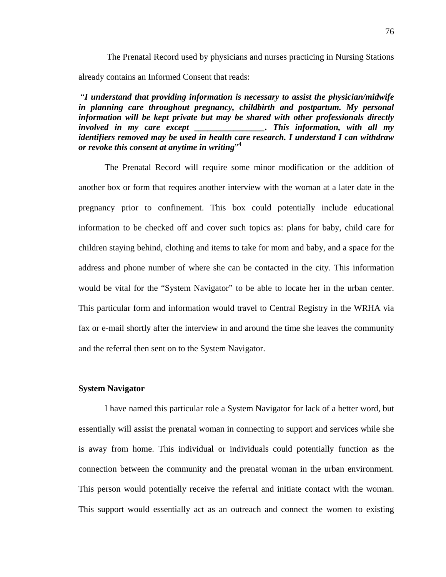The Prenatal Record used by physicians and nurses practicing in Nursing Stations already contains an Informed Consent that reads:

 "*I understand that providing information is necessary to assist the physician/midwife in planning care throughout pregnancy, childbirth and postpartum. My personal information will be kept private but may be shared with other professionals directly involved in my care except \_\_\_\_\_\_\_\_\_\_\_\_\_\_\_\_. This information, with all my identifiers removed may be used in health care research. I understand I can withdraw or revoke this consent at anytime in writing*" 4

The Prenatal Record will require some minor modification or the addition of another box or form that requires another interview with the woman at a later date in the pregnancy prior to confinement. This box could potentially include educational information to be checked off and cover such topics as: plans for baby, child care for children staying behind, clothing and items to take for mom and baby, and a space for the address and phone number of where she can be contacted in the city. This information would be vital for the "System Navigator" to be able to locate her in the urban center. This particular form and information would travel to Central Registry in the WRHA via fax or e-mail shortly after the interview in and around the time she leaves the community and the referral then sent on to the System Navigator.

## **System Navigator**

 I have named this particular role a System Navigator for lack of a better word, but essentially will assist the prenatal woman in connecting to support and services while she is away from home. This individual or individuals could potentially function as the connection between the community and the prenatal woman in the urban environment. This person would potentially receive the referral and initiate contact with the woman. This support would essentially act as an outreach and connect the women to existing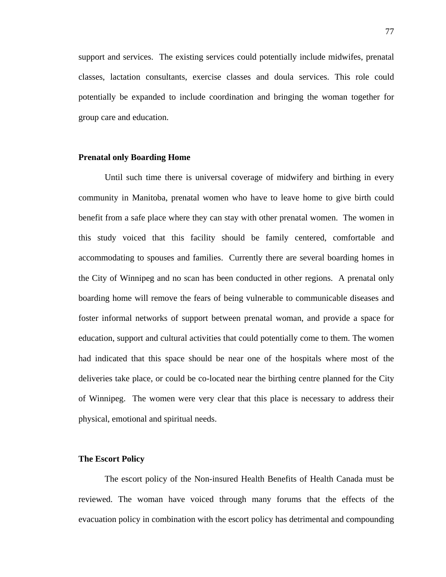support and services. The existing services could potentially include midwifes, prenatal classes, lactation consultants, exercise classes and doula services. This role could potentially be expanded to include coordination and bringing the woman together for group care and education.

#### **Prenatal only Boarding Home**

Until such time there is universal coverage of midwifery and birthing in every community in Manitoba, prenatal women who have to leave home to give birth could benefit from a safe place where they can stay with other prenatal women. The women in this study voiced that this facility should be family centered, comfortable and accommodating to spouses and families. Currently there are several boarding homes in the City of Winnipeg and no scan has been conducted in other regions. A prenatal only boarding home will remove the fears of being vulnerable to communicable diseases and foster informal networks of support between prenatal woman, and provide a space for education, support and cultural activities that could potentially come to them. The women had indicated that this space should be near one of the hospitals where most of the deliveries take place, or could be co-located near the birthing centre planned for the City of Winnipeg. The women were very clear that this place is necessary to address their physical, emotional and spiritual needs.

## **The Escort Policy**

The escort policy of the Non-insured Health Benefits of Health Canada must be reviewed. The woman have voiced through many forums that the effects of the evacuation policy in combination with the escort policy has detrimental and compounding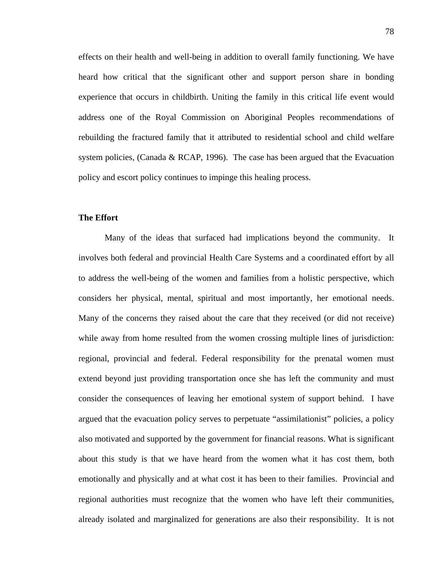effects on their health and well-being in addition to overall family functioning. We have heard how critical that the significant other and support person share in bonding experience that occurs in childbirth. Uniting the family in this critical life event would address one of the Royal Commission on Aboriginal Peoples recommendations of rebuilding the fractured family that it attributed to residential school and child welfare system policies, (Canada & RCAP, 1996). The case has been argued that the Evacuation policy and escort policy continues to impinge this healing process.

## **The Effort**

Many of the ideas that surfaced had implications beyond the community. It involves both federal and provincial Health Care Systems and a coordinated effort by all to address the well-being of the women and families from a holistic perspective, which considers her physical, mental, spiritual and most importantly, her emotional needs. Many of the concerns they raised about the care that they received (or did not receive) while away from home resulted from the women crossing multiple lines of jurisdiction: regional, provincial and federal. Federal responsibility for the prenatal women must extend beyond just providing transportation once she has left the community and must consider the consequences of leaving her emotional system of support behind. I have argued that the evacuation policy serves to perpetuate "assimilationist" policies, a policy also motivated and supported by the government for financial reasons. What is significant about this study is that we have heard from the women what it has cost them, both emotionally and physically and at what cost it has been to their families. Provincial and regional authorities must recognize that the women who have left their communities, already isolated and marginalized for generations are also their responsibility. It is not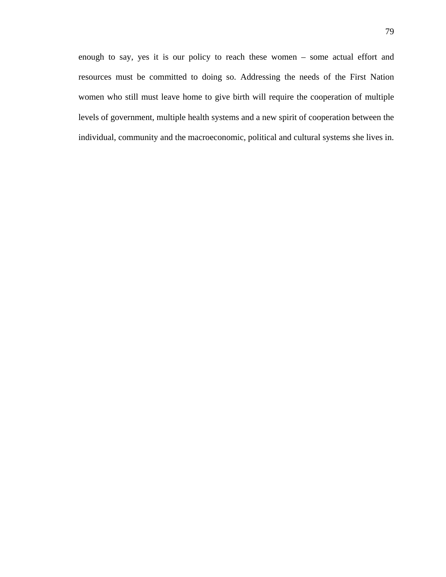enough to say, yes it is our policy to reach these women – some actual effort and resources must be committed to doing so. Addressing the needs of the First Nation women who still must leave home to give birth will require the cooperation of multiple levels of government, multiple health systems and a new spirit of cooperation between the individual, community and the macroeconomic, political and cultural systems she lives in.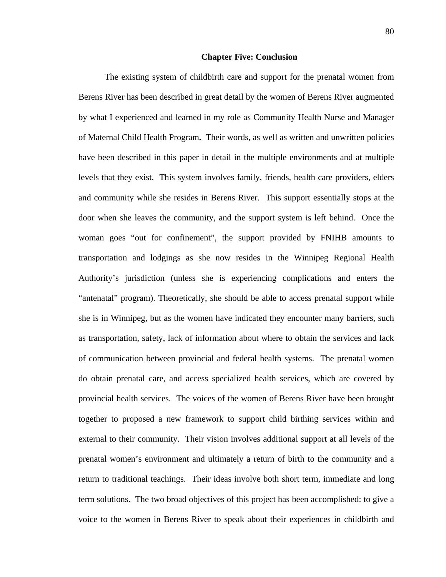### **Chapter Five: Conclusion**

 The existing system of childbirth care and support for the prenatal women from Berens River has been described in great detail by the women of Berens River augmented by what I experienced and learned in my role as Community Health Nurse and Manager of Maternal Child Health Program**.** Their words, as well as written and unwritten policies have been described in this paper in detail in the multiple environments and at multiple levels that they exist. This system involves family, friends, health care providers, elders and community while she resides in Berens River. This support essentially stops at the door when she leaves the community, and the support system is left behind. Once the woman goes "out for confinement", the support provided by FNIHB amounts to transportation and lodgings as she now resides in the Winnipeg Regional Health Authority's jurisdiction (unless she is experiencing complications and enters the "antenatal" program). Theoretically, she should be able to access prenatal support while she is in Winnipeg, but as the women have indicated they encounter many barriers, such as transportation, safety, lack of information about where to obtain the services and lack of communication between provincial and federal health systems. The prenatal women do obtain prenatal care, and access specialized health services, which are covered by provincial health services. The voices of the women of Berens River have been brought together to proposed a new framework to support child birthing services within and external to their community. Their vision involves additional support at all levels of the prenatal women's environment and ultimately a return of birth to the community and a return to traditional teachings. Their ideas involve both short term, immediate and long term solutions. The two broad objectives of this project has been accomplished: to give a voice to the women in Berens River to speak about their experiences in childbirth and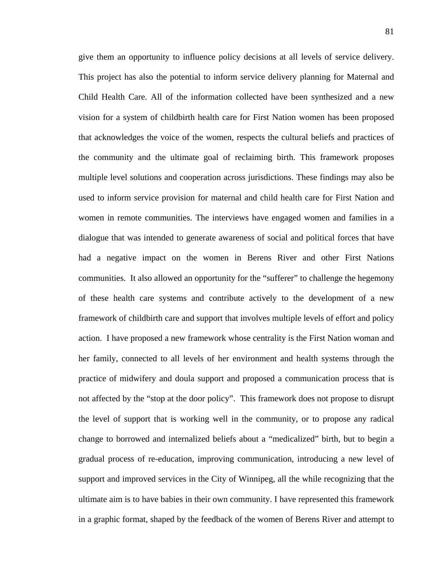give them an opportunity to influence policy decisions at all levels of service delivery. This project has also the potential to inform service delivery planning for Maternal and Child Health Care. All of the information collected have been synthesized and a new vision for a system of childbirth health care for First Nation women has been proposed that acknowledges the voice of the women, respects the cultural beliefs and practices of the community and the ultimate goal of reclaiming birth. This framework proposes multiple level solutions and cooperation across jurisdictions. These findings may also be used to inform service provision for maternal and child health care for First Nation and women in remote communities. The interviews have engaged women and families in a dialogue that was intended to generate awareness of social and political forces that have had a negative impact on the women in Berens River and other First Nations communities. It also allowed an opportunity for the "sufferer" to challenge the hegemony of these health care systems and contribute actively to the development of a new framework of childbirth care and support that involves multiple levels of effort and policy action. I have proposed a new framework whose centrality is the First Nation woman and her family, connected to all levels of her environment and health systems through the practice of midwifery and doula support and proposed a communication process that is not affected by the "stop at the door policy". This framework does not propose to disrupt the level of support that is working well in the community, or to propose any radical change to borrowed and internalized beliefs about a "medicalized" birth, but to begin a gradual process of re-education, improving communication, introducing a new level of support and improved services in the City of Winnipeg, all the while recognizing that the ultimate aim is to have babies in their own community. I have represented this framework in a graphic format, shaped by the feedback of the women of Berens River and attempt to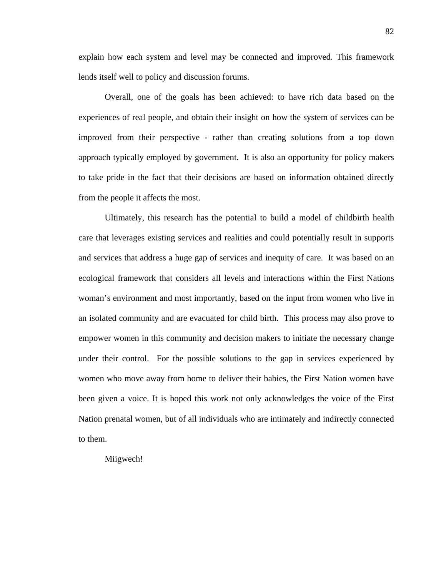explain how each system and level may be connected and improved. This framework lends itself well to policy and discussion forums.

Overall, one of the goals has been achieved: to have rich data based on the experiences of real people, and obtain their insight on how the system of services can be improved from their perspective - rather than creating solutions from a top down approach typically employed by government. It is also an opportunity for policy makers to take pride in the fact that their decisions are based on information obtained directly from the people it affects the most.

Ultimately, this research has the potential to build a model of childbirth health care that leverages existing services and realities and could potentially result in supports and services that address a huge gap of services and inequity of care. It was based on an ecological framework that considers all levels and interactions within the First Nations woman's environment and most importantly, based on the input from women who live in an isolated community and are evacuated for child birth. This process may also prove to empower women in this community and decision makers to initiate the necessary change under their control. For the possible solutions to the gap in services experienced by women who move away from home to deliver their babies, the First Nation women have been given a voice. It is hoped this work not only acknowledges the voice of the First Nation prenatal women, but of all individuals who are intimately and indirectly connected to them.

Miigwech!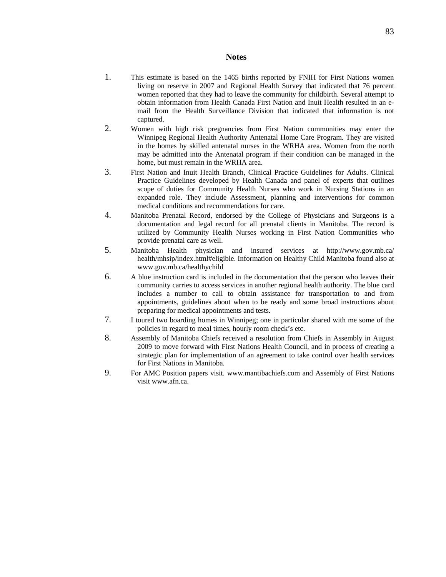#### **Notes**

- 1. This estimate is based on the 1465 births reported by FNIH for First Nations women living on reserve in 2007 and Regional Health Survey that indicated that 76 percent women reported that they had to leave the community for childbirth. Several attempt to obtain information from Health Canada First Nation and Inuit Health resulted in an email from the Health Surveillance Division that indicated that information is not captured.
- 2. Women with high risk pregnancies from First Nation communities may enter the Winnipeg Regional Health Authority Antenatal Home Care Program. They are visited in the homes by skilled antenatal nurses in the WRHA area. Women from the north may be admitted into the Antenatal program if their condition can be managed in the home, but must remain in the WRHA area.
- 3. First Nation and Inuit Health Branch, Clinical Practice Guidelines for Adults. Clinical Practice Guidelines developed by Health Canada and panel of experts that outlines scope of duties for Community Health Nurses who work in Nursing Stations in an expanded role. They include Assessment, planning and interventions for common medical conditions and recommendations for care.
- 4. Manitoba Prenatal Record, endorsed by the College of Physicians and Surgeons is a documentation and legal record for all prenatal clients in Manitoba. The record is utilized by Community Health Nurses working in First Nation Communities who provide prenatal care as well.
- 5. Manitoba Health physician and insured services at http://www.gov.mb.ca/ health/mhsip/index.html#eligible. Information on Healthy Child Manitoba found also at www.gov.mb.ca/healthychild
- 6. A blue instruction card is included in the documentation that the person who leaves their community carries to access services in another regional health authority. The blue card includes a number to call to obtain assistance for transportation to and from appointments, guidelines about when to be ready and some broad instructions about preparing for medical appointments and tests.
- 7. I toured two boarding homes in Winnipeg; one in particular shared with me some of the policies in regard to meal times, hourly room check's etc.
- 8. Assembly of Manitoba Chiefs received a resolution from Chiefs in Assembly in August 2009 to move forward with First Nations Health Council, and in process of creating a strategic plan for implementation of an agreement to take control over health services for First Nations in Manitoba.
- 9. For AMC Position papers visit. www.mantibachiefs.com and Assembly of First Nations visit www.afn.ca.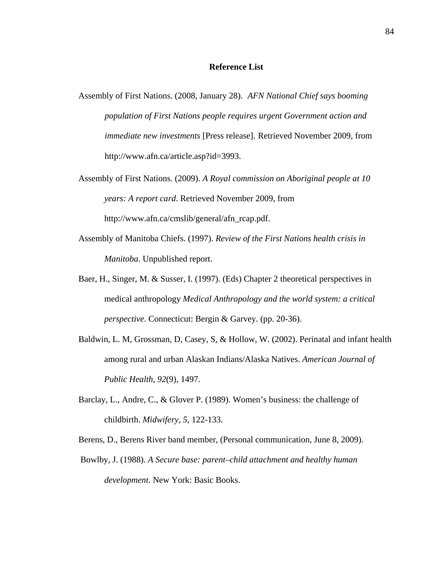#### **Reference List**

- Assembly of First Nations. (2008, January 28). *AFN National Chief says booming population of First Nations people requires urgent Government action and immediate new investments* [Press release]. Retrieved November 2009, from http://www.afn.ca/article.asp?id=3993.
- Assembly of First Nations. (2009). *A Royal commission on Aboriginal people at 10 years: A report card*. Retrieved November 2009, from http://www.afn.ca/cmslib/general/afn\_rcap.pdf.
- Assembly of Manitoba Chiefs. (1997). *Review of the First Nations health crisis in Manitoba*. Unpublished report.
- Baer, H., Singer, M. & Susser, I. (1997). (Eds) Chapter 2 theoretical perspectives in medical anthropology *Medical Anthropology and the world system: a critical perspective*. Connecticut: Bergin & Garvey. (pp. 20-36).
- Baldwin, L. M, Grossman, D, Casey, S, & Hollow, W. (2002). Perinatal and infant health among rural and urban Alaskan Indians/Alaska Natives. *American Journal of Public Health*, *92*(9), 1497.
- Barclay, L., Andre, C., & Glover P. (1989). Women's business: the challenge of childbirth. *Midwifery, 5*, 122-133.

Berens, D., Berens River band member, (Personal communication, June 8, 2009).

Bowlby, J. (1988). *A Secure base: parent–child attachment and healthy human development.* New York: Basic Books.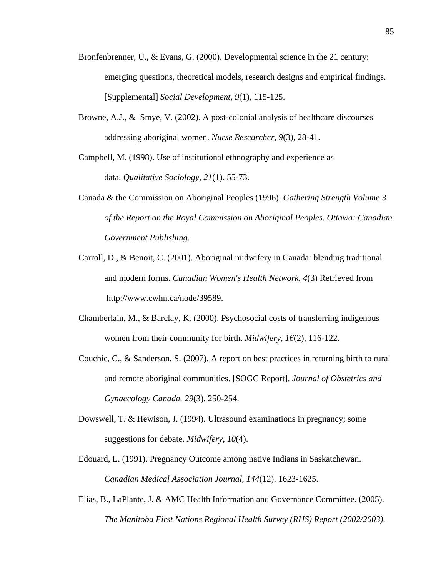- Bronfenbrenner, U., & Evans, G. (2000). Developmental science in the 21 century: emerging questions, theoretical models, research designs and empirical findings. [Supplemental] *Social Development*, *9*(1), 115-125.
- Browne, A.J., & Smye, V. (2002). A post-colonial analysis of healthcare discourses addressing aboriginal women. *Nurse Researcher, 9*(3), 28-41.

Campbell, M. (1998). Use of institutional ethnography and experience as data. *Qualitative Sociology*, *21*(1). 55-73.

- Canada & the Commission on Aboriginal Peoples (1996). *Gathering Strength Volume 3 of the Report on the Royal Commission on Aboriginal Peoples. Ottawa: Canadian Government Publishing.*
- Carroll, D., & Benoit, C. (2001). Aboriginal midwifery in Canada: blending traditional and modern forms. *Canadian Women's Health Network*, *4*(3) Retrieved from http://www.cwhn.ca/node/39589.
- Chamberlain, M., & Barclay, K. (2000). Psychosocial costs of transferring indigenous women from their community for birth. *Midwifery, 16*(2), 116-122.
- Couchie, C., & Sanderson, S. (2007). A report on best practices in returning birth to rural and remote aboriginal communities. [SOGC Report]. *Journal of Obstetrics and Gynaecology Canada. 29*(3). 250-254.
- Dowswell, T. & Hewison, J. (1994). Ultrasound examinations in pregnancy; some suggestions for debate. *Midwifery, 10*(4).
- Edouard, L. (1991). Pregnancy Outcome among native Indians in Saskatchewan. *Canadian Medical Association Journal, 144*(12). 1623-1625.
- Elias, B., LaPlante, J. & AMC Health Information and Governance Committee. (2005). *The Manitoba First Nations Regional Health Survey (RHS) Report (2002/2003)*.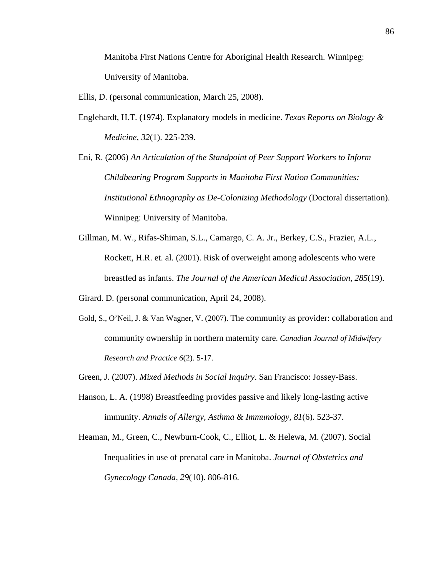Manitoba First Nations Centre for Aboriginal Health Research. Winnipeg: University of Manitoba.

- Ellis, D. (personal communication, March 25, 2008).
- Englehardt, H.T. (1974). Explanatory models in medicine. *Texas Reports on Biology & Medicine, 32*(1). 225-239.

Eni, R. (2006) *An Articulation of the Standpoint of Peer Support Workers to Inform Childbearing Program Supports in Manitoba First Nation Communities: Institutional Ethnography as De-Colonizing Methodology* (Doctoral dissertation). Winnipeg: University of Manitoba.

Gillman, M. W., Rifas-Shiman, S.L., Camargo, C. A. Jr., Berkey, C.S., Frazier, A.L., Rockett, H.R. et. al. (2001). Risk of overweight among adolescents who were breastfed as infants. *The Journal of the American Medical Association, 285*(19).

Girard. D. (personal communication, April 24, 2008).

Gold, S., O'Neil, J. & Van Wagner, V. (2007). The community as provider: collaboration and community ownership in northern maternity care. *Canadian Journal of Midwifery Research and Practice 6*(2). 5-17.

Green, J. (2007). *Mixed Methods in Social Inquiry*. San Francisco: Jossey-Bass.

- Hanson, L. A. (1998) Breastfeeding provides passive and likely long-lasting active immunity. *Annals of Allergy, Asthma & Immunology, 81*(6). 523-37.
- Heaman, M., Green, C., Newburn-Cook, C., Elliot, L. & Helewa, M. (2007). Social Inequalities in use of prenatal care in Manitoba. *Journal of Obstetrics and Gynecology Canada, 29*(10). 806-816.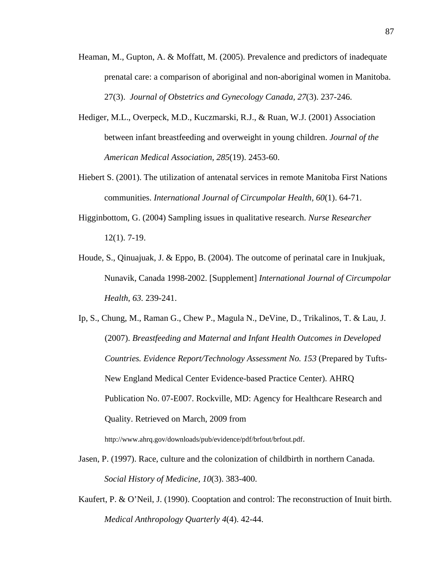- Heaman, M., Gupton, A. & Moffatt, M. (2005). Prevalence and predictors of inadequate prenatal care: a comparison of aboriginal and non-aboriginal women in Manitoba. 27(3). *Journal of Obstetrics and Gynecology Canada, 27*(3). 237-246.
- Hediger, M.L., Overpeck, M.D., Kuczmarski, R.J., & Ruan, W.J. (2001) Association between infant breastfeeding and overweight in young children. *Journal of the American Medical Association, 285*(19). 2453-60.
- Hiebert S. (2001). The utilization of antenatal services in remote Manitoba First Nations communities. *International Journal of Circumpolar Health, 60*(1). 64-71.
- Higginbottom, G. (2004) Sampling issues in qualitative research. *Nurse Researcher* 12(1). 7-19.
- Houde, S., Qinuajuak, J. & Eppo, B. (2004). The outcome of perinatal care in Inukjuak, Nunavik, Canada 1998-2002. [Supplement] *International Journal of Circumpolar Health*, *63.* 239-241.
- Ip, S., Chung, M., Raman G., Chew P., Magula N., DeVine, D., Trikalinos, T. & Lau, J. (2007). *Breastfeeding and Maternal and Infant Health Outcomes in Developed Countries. Evidence Report/Technology Assessment No. 153* (Prepared by Tufts-New England Medical Center Evidence-based Practice Center). AHRQ Publication No. 07-E007. Rockville, MD: Agency for Healthcare Research and Quality. Retrieved on March, 2009 from

http://www.ahrq.gov/downloads/pub/evidence/pdf/brfout/brfout.pdf.

- Jasen, P. (1997). Race, culture and the colonization of childbirth in northern Canada. *Social History of Medicine, 10*(3). 383-400.
- Kaufert, P. & O'Neil, J. (1990). Cooptation and control: The reconstruction of Inuit birth. *Medical Anthropology Quarterly 4*(4). 42-44.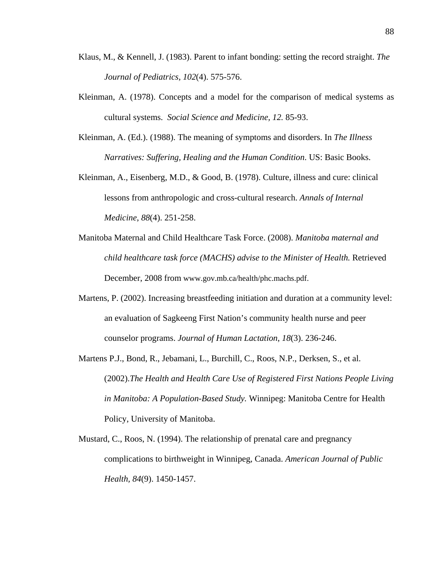- Klaus, M., & Kennell, J. (1983). Parent to infant bonding: setting the record straight. *The Journal of Pediatrics, 102*(4). 575-576.
- Kleinman, A. (1978). Concepts and a model for the comparison of medical systems as cultural systems. *Social Science and Medicine, 12.* 85-93.
- Kleinman, A. (Ed.). (1988). The meaning of symptoms and disorders. In *The Illness Narratives: Suffering, Healing and the Human Condition*. US: Basic Books.
- Kleinman, A., Eisenberg, M.D., & Good, B. (1978). Culture, illness and cure: clinical lessons from anthropologic and cross-cultural research. *Annals of Internal Medicine*, *88*(4). 251-258.
- Manitoba Maternal and Child Healthcare Task Force. (2008). *Manitoba maternal and child healthcare task force (MACHS) advise to the Minister of Health.* Retrieved December, 2008 from www.gov.mb.ca/health/phc.machs.pdf.
- Martens, P. (2002). Increasing breastfeeding initiation and duration at a community level: an evaluation of Sagkeeng First Nation's community health nurse and peer counselor programs. *Journal of Human Lactation*, *18*(3). 236-246.
- Martens P.J., Bond, R., Jebamani, L., Burchill, C., Roos, N.P., Derksen, S., et al. (2002).*The Health and Health Care Use of Registered First Nations People Living in Manitoba: A Population-Based Study.* Winnipeg: Manitoba Centre for Health Policy, University of Manitoba.
- Mustard, C., Roos, N. (1994). The relationship of prenatal care and pregnancy complications to birthweight in Winnipeg, Canada. *American Journal of Public Health, 84*(9). 1450-1457.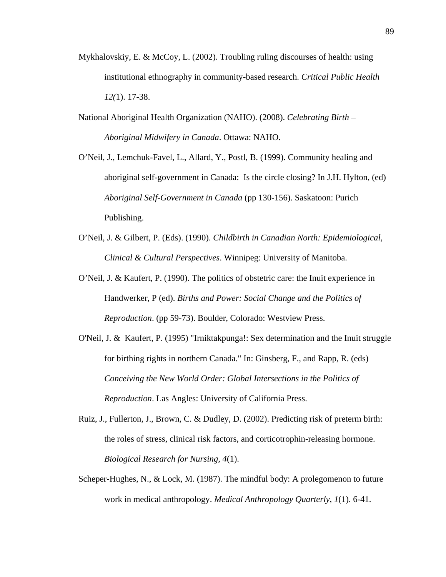- Mykhalovskiy, E. & McCoy, L. (2002). Troubling ruling discourses of health: using institutional ethnography in community-based research. *Critical Public Health 12(*1). 17-38.
- National Aboriginal Health Organization (NAHO). (2008). *Celebrating Birth Aboriginal Midwifery in Canada*. Ottawa: NAHO.
- O'Neil, J., Lemchuk-Favel, L., Allard, Y., Postl, B. (1999). Community healing and aboriginal self-government in Canada: Is the circle closing? In J.H. Hylton, (ed) *Aboriginal Self-Government in Canada* (pp 130-156). Saskatoon: Purich Publishing.
- O'Neil, J. & Gilbert, P. (Eds). (1990). *Childbirth in Canadian North: Epidemiological, Clinical & Cultural Perspectives*. Winnipeg: University of Manitoba.
- O'Neil, J. & Kaufert, P. (1990). The politics of obstetric care: the Inuit experience in Handwerker, P (ed). *Births and Power: Social Change and the Politics of Reproduction*. (pp 59-73). Boulder, Colorado: Westview Press.
- O'Neil, J. & Kaufert, P. (1995) "Irniktakpunga!: Sex determination and the Inuit struggle for birthing rights in northern Canada." In: Ginsberg, F., and Rapp, R. (eds) *Conceiving the New World Order: Global Intersections in the Politics of Reproduction*. Las Angles: University of California Press.
- Ruiz, J., Fullerton, J., Brown, C. & Dudley, D. (2002). Predicting risk of preterm birth: the roles of stress, clinical risk factors, and corticotrophin-releasing hormone. *Biological Research for Nursing, 4*(1).
- Scheper-Hughes, N., & Lock, M. (1987). The mindful body: A prolegomenon to future work in medical anthropology. *Medical Anthropology Quarterly*, *1*(1). 6-41.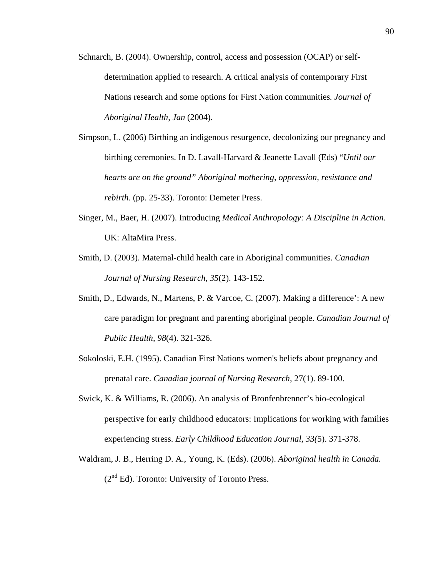- Schnarch, B. (2004). Ownership, control, access and possession (OCAP) or selfdetermination applied to research. A critical analysis of contemporary First Nations research and some options for First Nation communities*. Journal of Aboriginal Health, Jan* (2004)*.*
- Simpson, L. (2006) Birthing an indigenous resurgence, decolonizing our pregnancy and birthing ceremonies. In D. Lavall-Harvard & Jeanette Lavall (Eds) "*Until our hearts are on the ground" Aboriginal mothering, oppression, resistance and rebirth*. (pp. 25-33). Toronto: Demeter Press.
- Singer, M., Baer, H. (2007). Introducing *Medical Anthropology: A Discipline in Action*. UK: AltaMira Press.
- Smith, D. (2003). Maternal-child health care in Aboriginal communities. *Canadian Journal of Nursing Research, 35*(2). 143-152.
- Smith, D., Edwards, N., Martens, P. & Varcoe, C. (2007). Making a difference': A new care paradigm for pregnant and parenting aboriginal people. *Canadian Journal of Public Health, 98*(4). 321-326.
- Sokoloski, E.H. (1995). Canadian First Nations women's beliefs about pregnancy and prenatal care. *Canadian journal of Nursing Research*, 27(1). 89-100.
- Swick, K. & Williams, R. (2006). An analysis of Bronfenbrenner's bio-ecological perspective for early childhood educators: Implications for working with families experiencing stress. *Early Childhood Education Journal, 33(*5). 371-378.
- Waldram, J. B., Herring D. A., Young, K. (Eds). (2006). *Aboriginal health in Canada.*   $(2<sup>nd</sup> Ed)$ . Toronto: University of Toronto Press.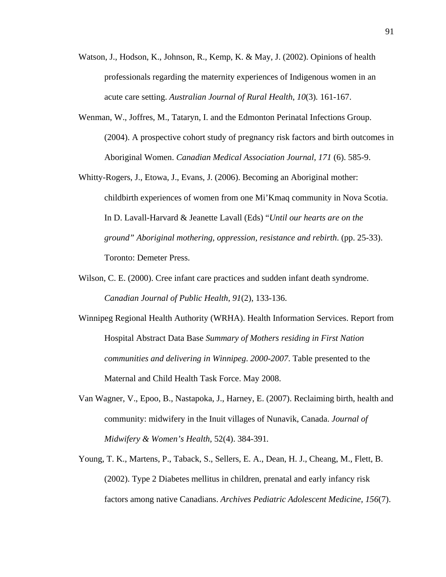- Watson, J., Hodson, K., Johnson, R., Kemp, K. & May, J. (2002). Opinions of health professionals regarding the maternity experiences of Indigenous women in an acute care setting. *Australian Journal of Rural Health*, *10*(3)*.* 161-167.
- Wenman, W., Joffres, M., Tataryn, I. and the Edmonton Perinatal Infections Group. (2004). A prospective cohort study of pregnancy risk factors and birth outcomes in Aboriginal Women. *Canadian Medical Association Journal*, *171* (6). 585-9.
- Whitty-Rogers, J., Etowa, J., Evans, J. (2006). Becoming an Aboriginal mother: childbirth experiences of women from one Mi'Kmaq community in Nova Scotia. In D. Lavall-Harvard & Jeanette Lavall (Eds) "*Until our hearts are on the ground" Aboriginal mothering, oppression, resistance and rebirth*. (pp. 25-33). Toronto: Demeter Press.
- Wilson, C. E. (2000). Cree infant care practices and sudden infant death syndrome. *Canadian Journal of Public Health*, *91*(2), 133-136.
- Winnipeg Regional Health Authority (WRHA). Health Information Services. Report from Hospital Abstract Data Base *Summary of Mothers residing in First Nation communities and delivering in Winnipeg*. *2000-2007*. Table presented to the Maternal and Child Health Task Force. May 2008.
- Van Wagner, V., Epoo, B., Nastapoka, J., Harney, E. (2007). Reclaiming birth, health and community: midwifery in the Inuit villages of Nunavik, Canada. *Journal of Midwifery & Women's Health,* 52(4). 384-391*.*
- Young, T. K., Martens, P., Taback, S., Sellers, E. A., Dean, H. J., Cheang, M., Flett, B. (2002). Type 2 Diabetes mellitus in children, prenatal and early infancy risk factors among native Canadians. *Archives Pediatric Adolescent Medicine, 156*(7).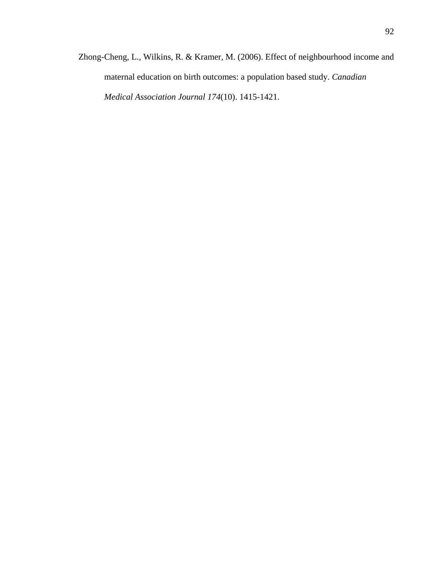Zhong-Cheng, L., Wilkins, R. & Kramer, M. (2006). Effect of neighbourhood income and maternal education on birth outcomes: a population based study. *Canadian Medical Association Journal 174*(10). 1415-1421.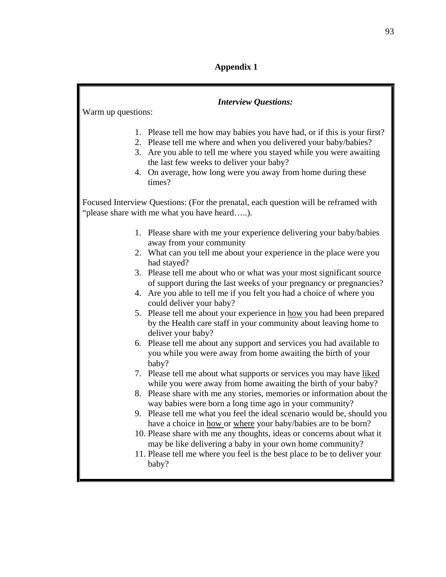## **Appendix 1**

| <b>Interview Questions:</b><br>Warm up questions:                                                                                  |                                                                                                                                                                                                                                                                                                                                           |
|------------------------------------------------------------------------------------------------------------------------------------|-------------------------------------------------------------------------------------------------------------------------------------------------------------------------------------------------------------------------------------------------------------------------------------------------------------------------------------------|
|                                                                                                                                    | 1. Please tell me how may babies you have had, or if this is your first?<br>2. Please tell me where and when you delivered your baby/babies?<br>3. Are you able to tell me where you stayed while you were awaiting<br>the last few weeks to deliver your baby?<br>4. On average, how long were you away from home during these<br>times? |
| Focused Interview Questions: (For the prenatal, each question will be reframed with<br>"please share with me what you have heard). |                                                                                                                                                                                                                                                                                                                                           |
|                                                                                                                                    | 1. Please share with me your experience delivering your baby/babies<br>away from your community                                                                                                                                                                                                                                           |
|                                                                                                                                    | 2. What can you tell me about your experience in the place were you<br>had stayed?                                                                                                                                                                                                                                                        |
| 4.                                                                                                                                 | 3. Please tell me about who or what was your most significant source<br>of support during the last weeks of your pregnancy or pregnancies?<br>Are you able to tell me if you felt you had a choice of where you                                                                                                                           |
|                                                                                                                                    | could deliver your baby?<br>5. Please tell me about your experience in how you had been prepared<br>by the Health care staff in your community about leaving home to                                                                                                                                                                      |
|                                                                                                                                    | deliver your baby?<br>6. Please tell me about any support and services you had available to<br>you while you were away from home awaiting the birth of your<br>baby?                                                                                                                                                                      |
|                                                                                                                                    | 7. Please tell me about what supports or services you may have liked<br>while you were away from home awaiting the birth of your baby?                                                                                                                                                                                                    |
|                                                                                                                                    | 8. Please share with me any stories, memories or information about the<br>way babies were born a long time ago in your community?                                                                                                                                                                                                         |
|                                                                                                                                    | 9. Please tell me what you feel the ideal scenario would be, should you<br>have a choice in how or where your baby/babies are to be born?                                                                                                                                                                                                 |
|                                                                                                                                    | 10. Please share with me any thoughts, ideas or concerns about what it<br>may be like delivering a baby in your own home community?<br>11. Please tell me where you feel is the best place to be to deliver your<br>baby?                                                                                                                 |
|                                                                                                                                    |                                                                                                                                                                                                                                                                                                                                           |